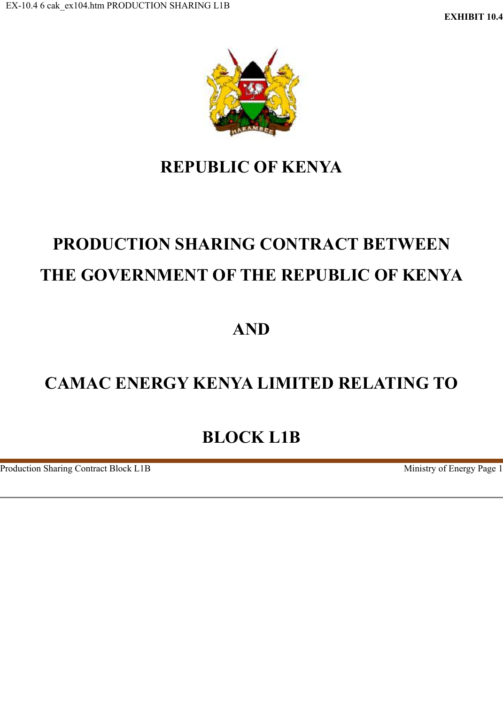

# **REPUBLIC OF KENYA**

# **PRODUCTION SHARING CONTRACT BETWEEN THE GOVERNMENT OF THE REPUBLIC OF KENYA**

# **AND**

# **CAMAC ENERGY KENYA LIMITED RELATING TO**

# **BLOCK L1B**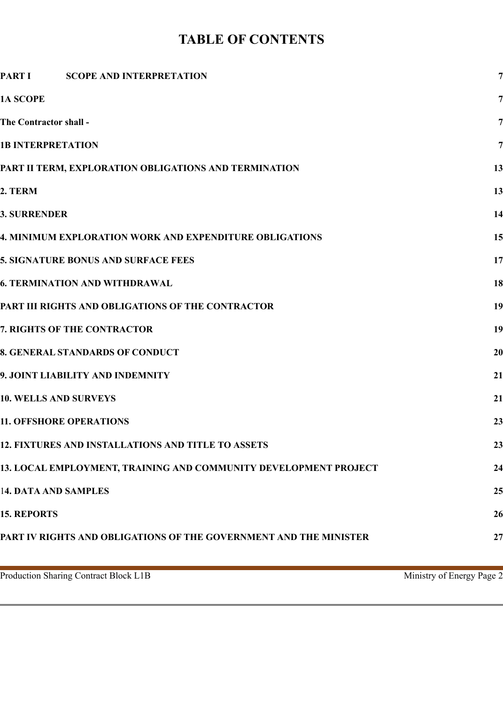# **TABLE OF CONTENTS**

| <b>PART I</b><br><b>SCOPE AND INTERPRETATION</b>                  | 7              |
|-------------------------------------------------------------------|----------------|
| 1A SCOPE                                                          | $\overline{7}$ |
| The Contractor shall -                                            | 7              |
| <b>1B INTERPRETATION</b>                                          | 7              |
| PART II TERM, EXPLORATION OBLIGATIONS AND TERMINATION             | 13             |
| 2. TERM                                                           | 13             |
| <b>3. SURRENDER</b>                                               | 14             |
| 4. MINIMUM EXPLORATION WORK AND EXPENDITURE OBLIGATIONS           | 15             |
| 5. SIGNATURE BONUS AND SURFACE FEES                               | 17             |
| <b>6. TERMINATION AND WITHDRAWAL</b>                              | 18             |
| PART III RIGHTS AND OBLIGATIONS OF THE CONTRACTOR                 | 19             |
| 7. RIGHTS OF THE CONTRACTOR                                       | 19             |
| 8. GENERAL STANDARDS OF CONDUCT                                   | 20             |
| 9. JOINT LIABILITY AND INDEMNITY                                  | 21             |
| <b>10. WELLS AND SURVEYS</b>                                      | 21             |
| <b>11. OFFSHORE OPERATIONS</b>                                    | 23             |
| 12. FIXTURES AND INSTALLATIONS AND TITLE TO ASSETS                | 23             |
| 13. LOCAL EMPLOYMENT, TRAINING AND COMMUNITY DEVELOPMENT PROJECT  | 24             |
| <b>14. DATA AND SAMPLES</b>                                       | 25             |
| <b>15. REPORTS</b>                                                | 26             |
| PART IV RIGHTS AND OBLIGATIONS OF THE GOVERNMENT AND THE MINISTER | 27             |
|                                                                   |                |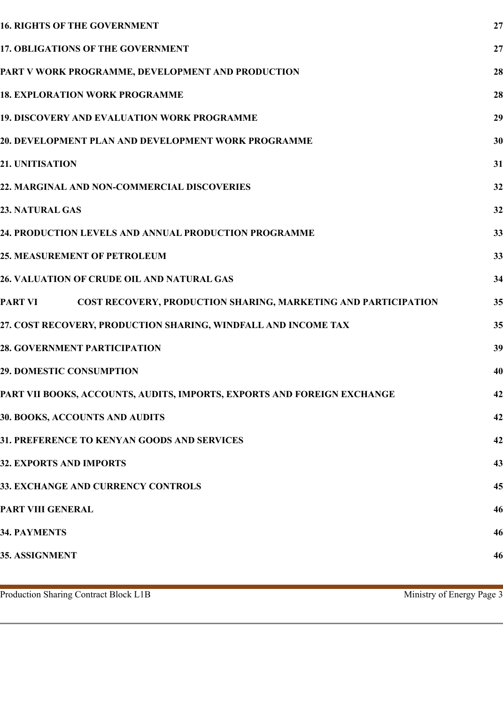| <b>16. RIGHTS OF THE GOVERNMENT</b>                                       | 27 |
|---------------------------------------------------------------------------|----|
| <b>17. OBLIGATIONS OF THE GOVERNMENT</b>                                  | 27 |
| PART V WORK PROGRAMME, DEVELOPMENT AND PRODUCTION                         | 28 |
| <b>18. EXPLORATION WORK PROGRAMME</b>                                     | 28 |
| 19. DISCOVERY AND EVALUATION WORK PROGRAMME                               | 29 |
| 20. DEVELOPMENT PLAN AND DEVELOPMENT WORK PROGRAMME                       | 30 |
| <b>21. UNITISATION</b>                                                    | 31 |
| 22. MARGINAL AND NON-COMMERCIAL DISCOVERIES                               | 32 |
| <b>23. NATURAL GAS</b>                                                    | 32 |
| 24. PRODUCTION LEVELS AND ANNUAL PRODUCTION PROGRAMME                     | 33 |
| <b>25. MEASUREMENT OF PETROLEUM</b>                                       | 33 |
| 26. VALUATION OF CRUDE OIL AND NATURAL GAS                                | 34 |
| COST RECOVERY, PRODUCTION SHARING, MARKETING AND PARTICIPATION<br>PART VI | 35 |
| 27. COST RECOVERY, PRODUCTION SHARING, WINDFALL AND INCOME TAX            | 35 |
| <b>28. GOVERNMENT PARTICIPATION</b>                                       | 39 |
| <b>29. DOMESTIC CONSUMPTION</b>                                           | 40 |
| PART VII BOOKS, ACCOUNTS, AUDITS, IMPORTS, EXPORTS AND FOREIGN EXCHANGE   | 42 |
| <b>30. BOOKS, ACCOUNTS AND AUDITS</b>                                     | 42 |
| 31. PREFERENCE TO KENYAN GOODS AND SERVICES                               | 42 |
| <b>32. EXPORTS AND IMPORTS</b>                                            | 43 |
| 33. EXCHANGE AND CURRENCY CONTROLS                                        | 45 |
| PART VIII GENERAL                                                         | 46 |
| <b>34. PAYMENTS</b>                                                       | 46 |
| <b>35. ASSIGNMENT</b>                                                     | 46 |
|                                                                           |    |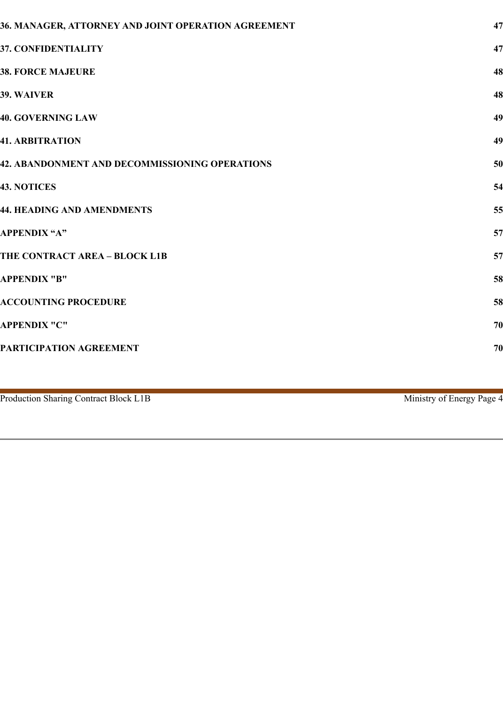| 36. MANAGER, ATTORNEY AND JOINT OPERATION AGREEMENT | 47 |
|-----------------------------------------------------|----|
| <b>37. CONFIDENTIALITY</b>                          | 47 |
| <b>38. FORCE MAJEURE</b>                            | 48 |
| <b>39. WAIVER</b>                                   | 48 |
| <b>40. GOVERNING LAW</b>                            | 49 |
| <b>41. ARBITRATION</b>                              | 49 |
| 42. ABANDONMENT AND DECOMMISSIONING OPERATIONS      | 50 |
| <b>43. NOTICES</b>                                  | 54 |
| <b>44. HEADING AND AMENDMENTS</b>                   | 55 |
| <b>APPENDIX "A"</b>                                 | 57 |
| THE CONTRACT AREA - BLOCK L1B                       | 57 |
| <b>APPENDIX "B"</b>                                 | 58 |
| <b>ACCOUNTING PROCEDURE</b>                         | 58 |
| <b>APPENDIX "C"</b>                                 | 70 |
| PARTICIPATION AGREEMENT                             | 70 |
|                                                     |    |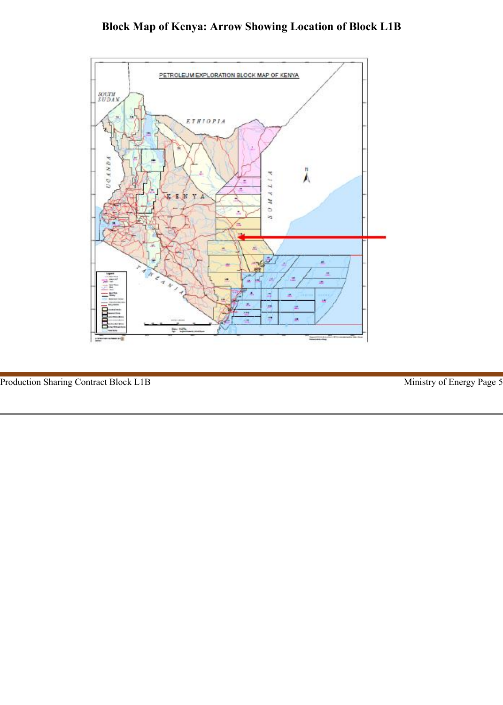# **Block Map of Kenya: Arrow Showing Location of Block L1B**

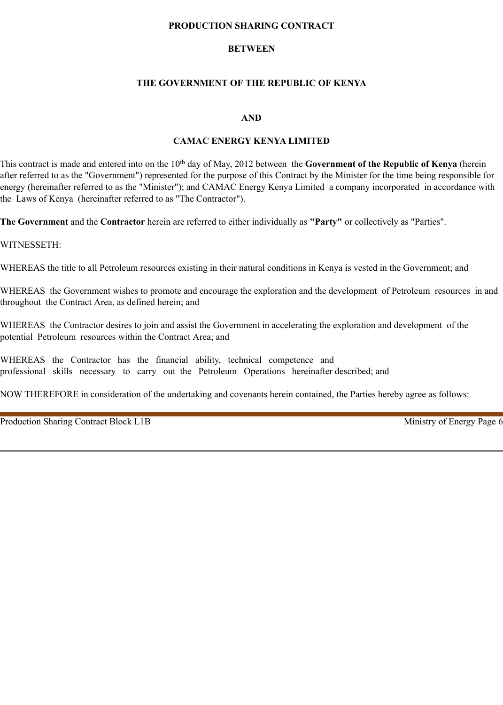#### **PRODUCTION SHARING CONTRACT**

### **BETWEEN**

# **THE GOVERNMENT OF THE REPUBLIC OF KENYA**

#### **AND**

#### **CAMAC ENERGY KENYA LIMITED**

This contract is made and entered into on the 10th day of May, 2012 between the **Government of the Republic of Kenya** (herein after referred to as the "Government") represented for the purpose of this Contract by the Minister for the time being responsible for energy (hereinafter referred to as the "Minister"); and CAMAC Energy Kenya Limited a company incorporated in accordance with the Laws of Kenya (hereinafter referred to as "The Contractor").

**The Government** and the **Contractor** herein are referred to either individually as **"Party"** or collectively as "Parties".

WITNESSETH:

WHEREAS the title to all Petroleum resources existing in their natural conditions in Kenya is vested in the Government; and

WHEREAS the Government wishes to promote and encourage the exploration and the development of Petroleum resources in and throughout the Contract Area, as defined herein; and

WHEREAS the Contractor desires to join and assist the Government in accelerating the exploration and development of the potential Petroleum resources within the Contract Area; and

WHEREAS the Contractor has the financial ability, technical competence and professional skills necessary to carry out the Petroleum Operations hereinafter described; and

NOW THEREFORE in consideration of the undertaking and covenants herein contained, the Parties hereby agree as follows: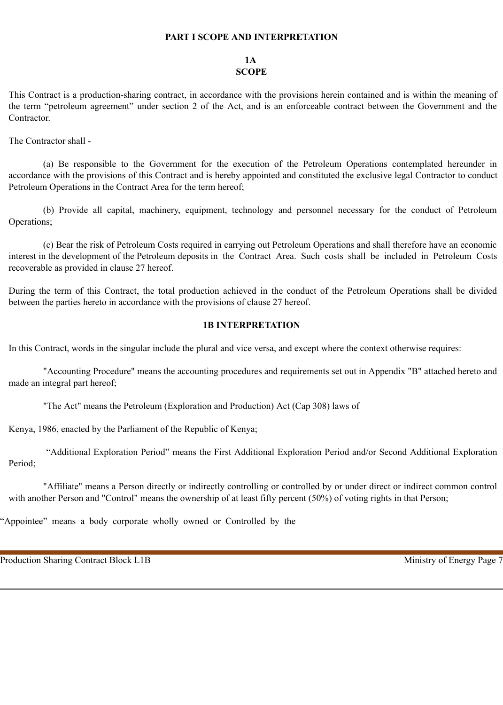#### **PART I SCOPE AND INTERPRETATION**

#### **1A SCOPE**

This Contract is a production-sharing contract, in accordance with the provisions herein contained and is within the meaning of the term "petroleum agreement" under section 2 of the Act, and is an enforceable contract between the Government and the Contractor.

The Contractor shall -

(a) Be responsible to the Government for the execution of the Petroleum Operations contemplated hereunder in accordance with the provisions of this Contract and is hereby appointed and constituted the exclusive legal Contractor to conduct Petroleum Operations in the Contract Area for the term hereof;

(b) Provide all capital, machinery, equipment, technology and personnel necessary for the conduct of Petroleum Operations;

(c) Bear the risk of Petroleum Costs required in carrying out Petroleum Operations and shall therefore have an economic interest in the development of the Petroleum deposits in the Contract Area. Such costs shall be included in Petroleum Costs recoverable as provided in clause 27 hereof.

During the term of this Contract, the total production achieved in the conduct of the Petroleum Operations shall be divided between the parties hereto in accordance with the provisions of clause 27 hereof.

# **1B INTERPRETATION**

In this Contract, words in the singular include the plural and vice versa, and except where the context otherwise requires:

"Accounting Procedure" means the accounting procedures and requirements set out in Appendix "B" attached hereto and made an integral part hereof;

"The Act" means the Petroleum (Exploration and Production) Act (Cap 308) laws of

Kenya, 1986, enacted by the Parliament of the Republic of Kenya;

 "Additional Exploration Period" means the First Additional Exploration Period and/or Second Additional Exploration Period;

"Affiliate" means a Person directly or indirectly controlling or controlled by or under direct or indirect common control with another Person and "Control" means the ownership of at least fifty percent (50%) of voting rights in that Person;

"Appointee" means a body corporate wholly owned or Controlled by the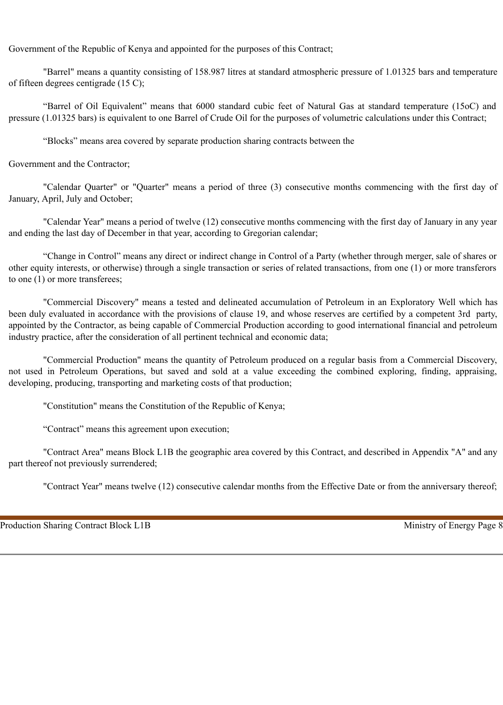Government of the Republic of Kenya and appointed for the purposes of this Contract;

"Barrel" means a quantity consisting of 158.987 litres at standard atmospheric pressure of 1.01325 bars and temperature of fifteen degrees centigrade (15 C);

"Barrel of Oil Equivalent" means that 6000 standard cubic feet of Natural Gas at standard temperature (15oC) and pressure (1.01325 bars) is equivalent to one Barrel of Crude Oil for the purposes of volumetric calculations under this Contract;

"Blocks" means area covered by separate production sharing contracts between the

Government and the Contractor;

"Calendar Quarter" or "Quarter" means a period of three (3) consecutive months commencing with the first day of January, April, July and October;

"Calendar Year" means a period of twelve (12) consecutive months commencing with the first day of January in any year and ending the last day of December in that year, according to Gregorian calendar;

"Change in Control" means any direct or indirect change in Control of a Party (whether through merger, sale of shares or other equity interests, or otherwise) through a single transaction or series of related transactions, from one (1) or more transferors to one (1) or more transferees;

"Commercial Discovery" means a tested and delineated accumulation of Petroleum in an Exploratory Well which has been duly evaluated in accordance with the provisions of clause 19, and whose reserves are certified by a competent 3rd party, appointed by the Contractor, as being capable of Commercial Production according to good international financial and petroleum industry practice, after the consideration of all pertinent technical and economic data;

"Commercial Production" means the quantity of Petroleum produced on a regular basis from a Commercial Discovery, not used in Petroleum Operations, but saved and sold at a value exceeding the combined exploring, finding, appraising, developing, producing, transporting and marketing costs of that production;

"Constitution" means the Constitution of the Republic of Kenya;

"Contract" means this agreement upon execution;

"Contract Area" means Block L1B the geographic area covered by this Contract, and described in Appendix "A" and any part thereof not previously surrendered;

"Contract Year" means twelve (12) consecutive calendar months from the Effective Date or from the anniversary thereof;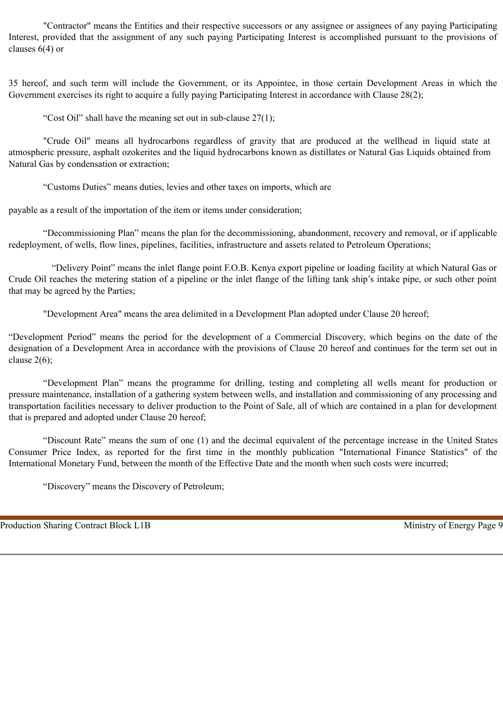"Contractor" means the Entities and their respective successors or any assignee or assignees of any paying Participating Interest, provided that the assignment of any such paying Participating Interest is accomplished pursuant to the provisions of clauses 6(4) or

35 hereof, and such term will include the Government, or its Appointee, in those certain Development Areas in which the Government exercises its right to acquire a fully paying Participating Interest in accordance with Clause 28(2);

"Cost Oil" shall have the meaning set out in sub-clause  $27(1)$ ;

"Crude Oil" means all hydrocarbons regardless of gravity that are produced at the wellhead in liquid state at atmospheric pressure, asphalt ozokerites and the liquid hydrocarbons known as distillates or Natural Gas Liquids obtained from Natural Gas by condensation or extraction;

"Customs Duties" means duties, levies and other taxes on imports, which are

payable as a result of the importation of the item or items under consideration;

"Decommissioning Plan" means the plan for the decommissioning, abandonment, recovery and removal, or if applicable redeployment, of wells, flow lines, pipelines, facilities, infrastructure and assets related to Petroleum Operations;

"Delivery Point" means the inlet flange point F.O.B. Kenya export pipeline or loading facility at which Natural Gas or Crude Oil reaches the metering station of a pipeline or the inlet flange of the lifting tank ship's intake pipe, or such other point that may be agreed by the Parties;

"Development Area" means the area delimited in a Development Plan adopted under Clause 20 hereof;

"Development Period" means the period for the development of a Commercial Discovery, which begins on the date of the designation of a Development Area in accordance with the provisions of Clause 20 hereof and continues for the term set out in clause  $2(6)$ ;

"Development Plan" means the programme for drilling, testing and completing all wells meant for production or pressure maintenance, installation of a gathering system between wells, and installation and commissioning of any processing and transportation facilities necessary to deliver production to the Point of Sale, all of which are contained in a plan for development that is prepared and adopted under Clause 20 hereof;

"Discount Rate" means the sum of one (1) and the decimal equivalent of the percentage increase in the United States Consumer Price Index, as reported for the first time in the monthly publication "International Finance Statistics" of the International Monetary Fund, between the month of the Effective Date and the month when such costs were incurred;

"Discovery" means the Discovery of Petroleum;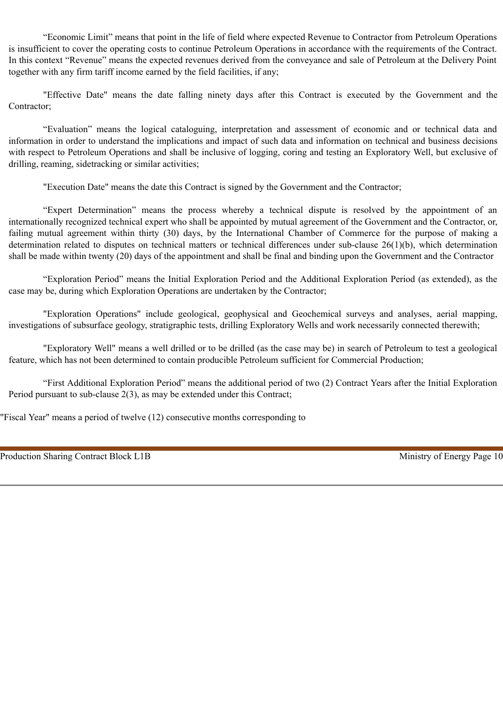"Economic Limit" means that point in the life of field where expected Revenue to Contractor from Petroleum Operations is insufficient to cover the operating costs to continue Petroleum Operations in accordance with the requirements of the Contract. In this context "Revenue" means the expected revenues derived from the conveyance and sale of Petroleum at the Delivery Point together with any firm tariff income earned by the field facilities, if any;

"Effective Date" means the date falling ninety days after this Contract is executed by the Government and the Contractor;

"Evaluation" means the logical cataloguing, interpretation and assessment of economic and or technical data and information in order to understand the implications and impact of such data and information on technical and business decisions with respect to Petroleum Operations and shall be inclusive of logging, coring and testing an Exploratory Well, but exclusive of drilling, reaming, sidetracking or similar activities;

"Execution Date" means the date this Contract is signed by the Government and the Contractor;

"Expert Determination" means the process whereby a technical dispute is resolved by the appointment of an internationally recognized technical expert who shall be appointed by mutual agreement of the Government and the Contractor, or, failing mutual agreement within thirty (30) days, by the International Chamber of Commerce for the purpose of making a determination related to disputes on technical matters or technical differences under sub-clause 26(1)(b), which determination shall be made within twenty (20) days of the appointment and shall be final and binding upon the Government and the Contractor

"Exploration Period" means the Initial Exploration Period and the Additional Exploration Period (as extended), as the case may be, during which Exploration Operations are undertaken by the Contractor;

"Exploration Operations" include geological, geophysical and Geochemical surveys and analyses, aerial mapping, investigations of subsurface geology, stratigraphic tests, drilling Exploratory Wells and work necessarily connected therewith;

"Exploratory Well" means a well drilled or to be drilled (as the case may be) in search of Petroleum to test a geological feature, which has not been determined to contain producible Petroleum sufficient for Commercial Production;

"First Additional Exploration Period" means the additional period of two (2) Contract Years after the Initial Exploration Period pursuant to sub-clause 2(3), as may be extended under this Contract;

"Fiscal Year" means a period of twelve (12) consecutive months corresponding to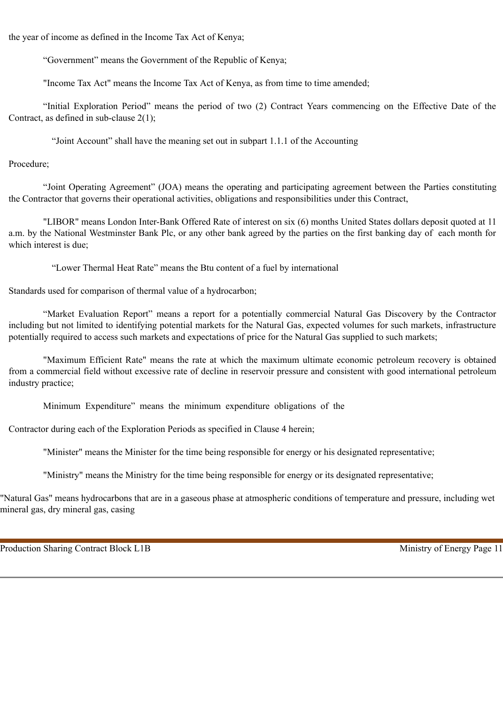the year of income as defined in the Income Tax Act of Kenya;

"Government" means the Government of the Republic of Kenya;

"Income Tax Act" means the Income Tax Act of Kenya, as from time to time amended;

"Initial Exploration Period" means the period of two (2) Contract Years commencing on the Effective Date of the Contract, as defined in sub-clause 2(1);

"Joint Account" shall have the meaning set out in subpart 1.1.1 of the Accounting

Procedure;

"Joint Operating Agreement" (JOA) means the operating and participating agreement between the Parties constituting the Contractor that governs their operational activities, obligations and responsibilities under this Contract,

"LIBOR" means London Inter-Bank Offered Rate of interest on six (6) months United States dollars deposit quoted at 11 a.m. by the National Westminster Bank Plc, or any other bank agreed by the parties on the first banking day of each month for which interest is due;

"Lower Thermal Heat Rate" means the Btu content of a fuel by international

Standards used for comparison of thermal value of a hydrocarbon;

"Market Evaluation Report" means a report for a potentially commercial Natural Gas Discovery by the Contractor including but not limited to identifying potential markets for the Natural Gas, expected volumes for such markets, infrastructure potentially required to access such markets and expectations of price for the Natural Gas supplied to such markets;

"Maximum Efficient Rate" means the rate at which the maximum ultimate economic petroleum recovery is obtained from a commercial field without excessive rate of decline in reservoir pressure and consistent with good international petroleum industry practice;

Minimum Expenditure" means the minimum expenditure obligations of the

Contractor during each of the Exploration Periods as specified in Clause 4 herein;

"Minister" means the Minister for the time being responsible for energy or his designated representative;

"Ministry" means the Ministry for the time being responsible for energy or its designated representative;

"Natural Gas" means hydrocarbons that are in a gaseous phase at atmospheric conditions of temperature and pressure, including wet mineral gas, dry mineral gas, casing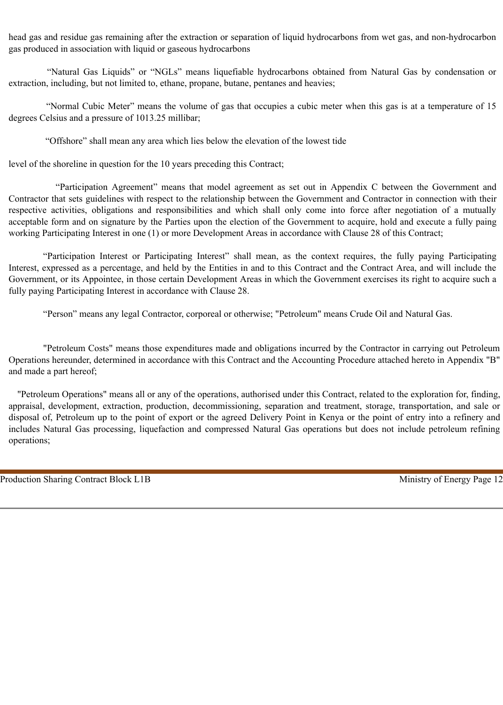head gas and residue gas remaining after the extraction or separation of liquid hydrocarbons from wet gas, and non-hydrocarbon gas produced in association with liquid or gaseous hydrocarbons

 "Natural Gas Liquids" or "NGLs" means liquefiable hydrocarbons obtained from Natural Gas by condensation or extraction, including, but not limited to, ethane, propane, butane, pentanes and heavies;

 "Normal Cubic Meter" means the volume of gas that occupies a cubic meter when this gas is at a temperature of 15 degrees Celsius and a pressure of 1013.25 millibar;

"Offshore" shall mean any area which lies below the elevation of the lowest tide

level of the shoreline in question for the 10 years preceding this Contract;

 "Participation Agreement" means that model agreement as set out in Appendix C between the Government and Contractor that sets guidelines with respect to the relationship between the Government and Contractor in connection with their respective activities, obligations and responsibilities and which shall only come into force after negotiation of a mutually acceptable form and on signature by the Parties upon the election of the Government to acquire, hold and execute a fully paing working Participating Interest in one (1) or more Development Areas in accordance with Clause 28 of this Contract;

"Participation Interest or Participating Interest" shall mean, as the context requires, the fully paying Participating Interest, expressed as a percentage, and held by the Entities in and to this Contract and the Contract Area, and will include the Government, or its Appointee, in those certain Development Areas in which the Government exercises its right to acquire such a fully paying Participating Interest in accordance with Clause 28.

"Person" means any legal Contractor, corporeal or otherwise; "Petroleum" means Crude Oil and Natural Gas.

"Petroleum Costs" means those expenditures made and obligations incurred by the Contractor in carrying out Petroleum Operations hereunder, determined in accordance with this Contract and the Accounting Procedure attached hereto in Appendix "B" and made a part hereof;

"Petroleum Operations" means all or any of the operations, authorised under this Contract, related to the exploration for, finding, appraisal, development, extraction, production, decommissioning, separation and treatment, storage, transportation, and sale or disposal of, Petroleum up to the point of export or the agreed Delivery Point in Kenya or the point of entry into a refinery and includes Natural Gas processing, liquefaction and compressed Natural Gas operations but does not include petroleum refining operations;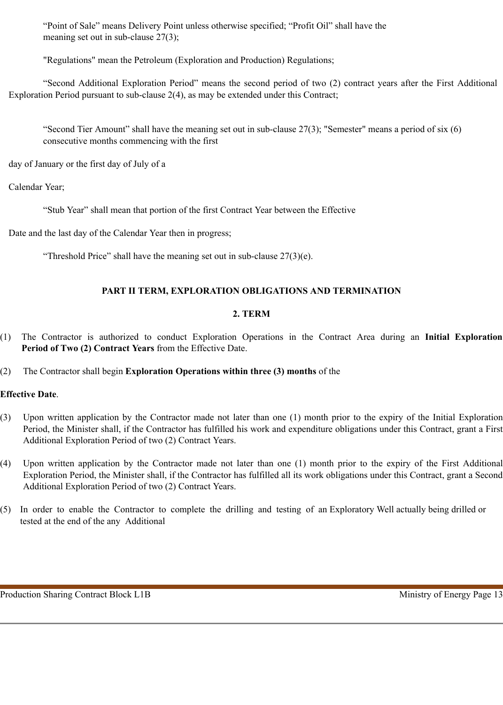"Point of Sale" means Delivery Point unless otherwise specified; "Profit Oil" shall have the meaning set out in sub-clause 27(3);

"Regulations" mean the Petroleum (Exploration and Production) Regulations;

"Second Additional Exploration Period" means the second period of two (2) contract years after the First Additional Exploration Period pursuant to sub-clause 2(4), as may be extended under this Contract;

"Second Tier Amount" shall have the meaning set out in sub-clause 27(3); "Semester" means a period of six (6) consecutive months commencing with the first

day of January or the first day of July of a

Calendar Year;

"Stub Year" shall mean that portion of the first Contract Year between the Effective

Date and the last day of the Calendar Year then in progress;

"Threshold Price" shall have the meaning set out in sub-clause  $27(3)(e)$ .

# **PART II TERM, EXPLORATION OBLIGATIONS AND TERMINATION**

# **2. TERM**

(1) The Contractor is authorized to conduct Exploration Operations in the Contract Area during an **Initial Exploration Period of Two (2) Contract Years** from the Effective Date.

# (2) The Contractor shall begin **Exploration Operations within three (3) months** of the

# **Effective Date**.

- (3) Upon written application by the Contractor made not later than one (1) month prior to the expiry of the Initial Exploration Period, the Minister shall, if the Contractor has fulfilled his work and expenditure obligations under this Contract, grant a First Additional Exploration Period of two (2) Contract Years.
- (4) Upon written application by the Contractor made not later than one (1) month prior to the expiry of the First Additional Exploration Period, the Minister shall, if the Contractor has fulfilled all its work obligations under this Contract, grant a Second Additional Exploration Period of two (2) Contract Years.
- (5) In order to enable the Contractor to complete the drilling and testing of an Exploratory Well actually being drilled or tested at the end of the any Additional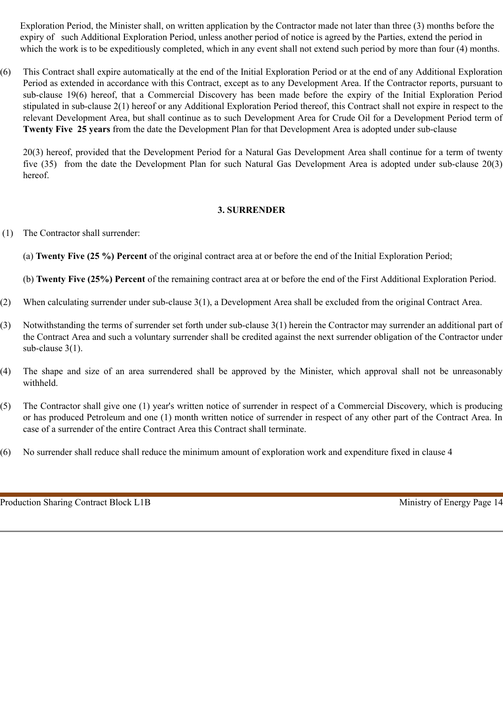Exploration Period, the Minister shall, on written application by the Contractor made not later than three (3) months before the expiry of such Additional Exploration Period, unless another period of notice is agreed by the Parties, extend the period in which the work is to be expeditiously completed, which in any event shall not extend such period by more than four (4) months.

(6) This Contract shall expire automatically at the end of the Initial Exploration Period or at the end of any Additional Exploration Period as extended in accordance with this Contract, except as to any Development Area. If the Contractor reports, pursuant to sub-clause 19(6) hereof, that a Commercial Discovery has been made before the expiry of the Initial Exploration Period stipulated in sub-clause 2(1) hereof or any Additional Exploration Period thereof, this Contract shall not expire in respect to the relevant Development Area, but shall continue as to such Development Area for Crude Oil for a Development Period term of **Twenty Five 25 years** from the date the Development Plan for that Development Area is adopted under sub-clause

20(3) hereof, provided that the Development Period for a Natural Gas Development Area shall continue for a term of twenty five (35) from the date the Development Plan for such Natural Gas Development Area is adopted under sub-clause 20(3) hereof.

#### **3. SURRENDER**

(1) The Contractor shall surrender:

(a) **Twenty Five (25 %) Percent** of the original contract area at or before the end of the Initial Exploration Period;

(b) **Twenty Five (25%) Percent** of the remaining contract area at or before the end of the First Additional Exploration Period.

- (2) When calculating surrender under sub-clause 3(1), a Development Area shall be excluded from the original Contract Area.
- (3) Notwithstanding the terms of surrender set forth under sub-clause 3(1) herein the Contractor may surrender an additional part of the Contract Area and such a voluntary surrender shall be credited against the next surrender obligation of the Contractor under sub-clause 3(1).
- (4) The shape and size of an area surrendered shall be approved by the Minister, which approval shall not be unreasonably withheld.
- (5) The Contractor shall give one (1) year's written notice of surrender in respect of a Commercial Discovery, which is producing or has produced Petroleum and one (1) month written notice of surrender in respect of any other part of the Contract Area. In case of a surrender of the entire Contract Area this Contract shall terminate.
- (6) No surrender shall reduce shall reduce the minimum amount of exploration work and expenditure fixed in clause 4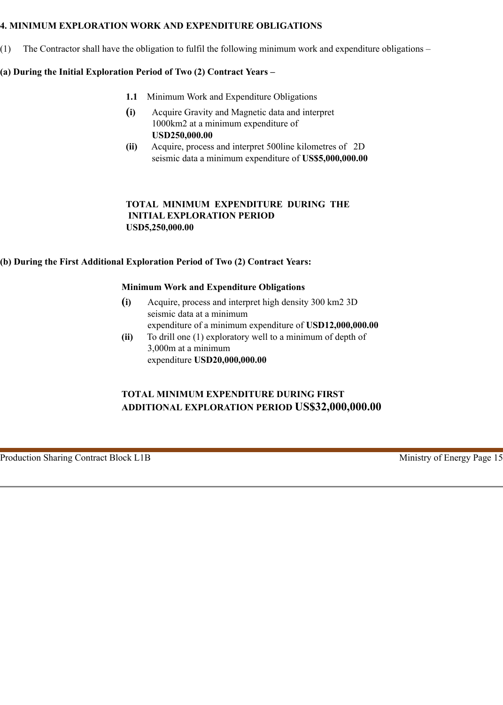#### **4. MINIMUM EXPLORATION WORK AND EXPENDITURE OBLIGATIONS**

(1) The Contractor shall have the obligation to fulfil the following minimum work and expenditure obligations –

# **(a) During the Initial Exploration Period of Two (2) Contract Years –**

- **1.1** Minimum Work and Expenditure Obligations
- **(i)** Acquire Gravity and Magnetic data and interpret 1000km2 at a minimum expenditure of **USD250,000.00**
- **(ii)** Acquire, process and interpret 500line kilometres of 2D seismic data a minimum expenditure of **US\$5,000,000.00**

# **TOTAL MINIMUM EXPENDITURE DURING THE INITIAL EXPLORATION PERIOD USD5,250,000.00**

# **(b) During the First Additional Exploration Period of Two (2) Contract Years:**

#### **Minimum Work and Expenditure Obligations**

- **(i)** Acquire, process and interpret high density 300 km2 3D seismic data at a minimum expenditure of a minimum expenditure of **USD12,000,000.00**
- **(ii)** To drill one (1) exploratory well to a minimum of depth of 3,000m at a minimum expenditure **USD20,000,000.00**

# **TOTAL MINIMUM EXPENDITURE DURING FIRST ADDITIONAL EXPLORATION PERIOD US\$32,000,000.00**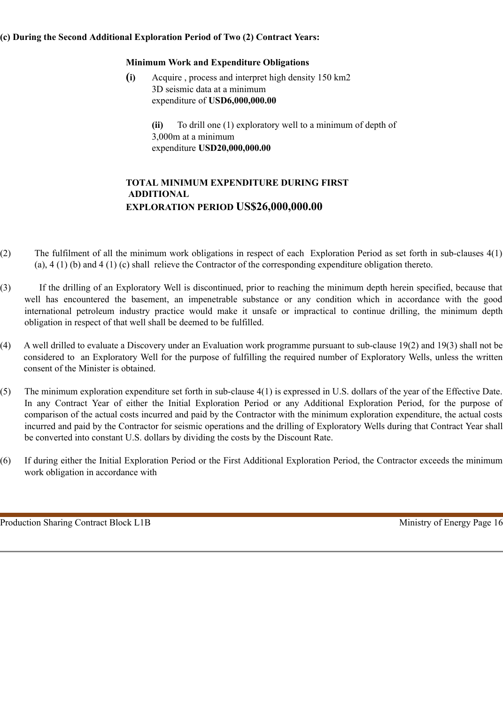# **(c) During the Second Additional Exploration Period of Two (2) Contract Years:**

# **Minimum Work and Expenditure Obligations**

**(i)** Acquire , process and interpret high density 150 km2 3D seismic data at a minimum expenditure of **USD6,000,000.00**

> **(ii)** To drill one (1) exploratory well to a minimum of depth of 3,000m at a minimum expenditure **USD20,000,000.00**

# **TOTAL MINIMUM EXPENDITURE DURING FIRST ADDITIONAL EXPLORATION PERIOD US\$26,000,000.00**

- (2) The fulfilment of all the minimum work obligations in respect of each Exploration Period as set forth in sub-clauses 4(1) (a), 4 (1) (b) and 4 (1) (c) shall relieve the Contractor of the corresponding expenditure obligation thereto.
- (3) If the drilling of an Exploratory Well is discontinued, prior to reaching the minimum depth herein specified, because that well has encountered the basement, an impenetrable substance or any condition which in accordance with the good international petroleum industry practice would make it unsafe or impractical to continue drilling, the minimum depth obligation in respect of that well shall be deemed to be fulfilled.
- (4) A well drilled to evaluate a Discovery under an Evaluation work programme pursuant to sub-clause 19(2) and 19(3) shall not be considered to an Exploratory Well for the purpose of fulfilling the required number of Exploratory Wells, unless the written consent of the Minister is obtained.
- (5) The minimum exploration expenditure set forth in sub-clause 4(1) is expressed in U.S. dollars of the year of the Effective Date. In any Contract Year of either the Initial Exploration Period or any Additional Exploration Period, for the purpose of comparison of the actual costs incurred and paid by the Contractor with the minimum exploration expenditure, the actual costs incurred and paid by the Contractor for seismic operations and the drilling of Exploratory Wells during that Contract Year shall be converted into constant U.S. dollars by dividing the costs by the Discount Rate.
- (6) If during either the Initial Exploration Period or the First Additional Exploration Period, the Contractor exceeds the minimum work obligation in accordance with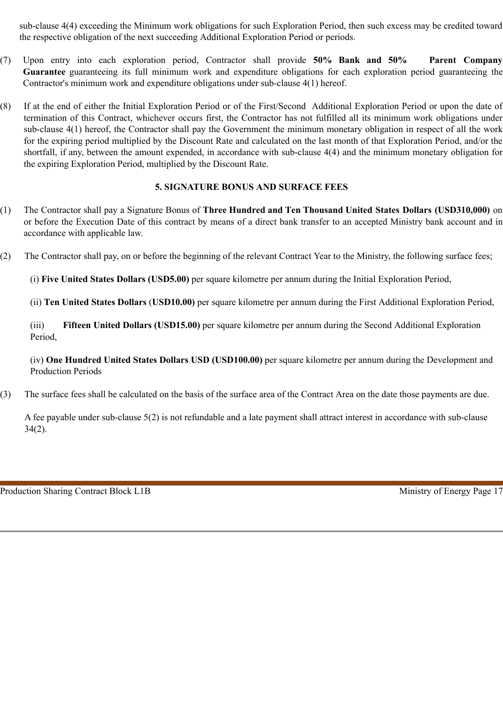sub-clause 4(4) exceeding the Minimum work obligations for such Exploration Period, then such excess may be credited toward the respective obligation of the next succeeding Additional Exploration Period or periods.

- (7) Upon entry into each exploration period, Contractor shall provide **50% Bank and 50% Parent Company Guarantee** guaranteeing its full minimum work and expenditure obligations for each exploration period guaranteeing the Contractor's minimum work and expenditure obligations under sub-clause 4(1) hereof.
- (8) If at the end of either the Initial Exploration Period or of the First/Second Additional Exploration Period or upon the date of termination of this Contract, whichever occurs first, the Contractor has not fulfilled all its minimum work obligations under sub-clause 4(1) hereof, the Contractor shall pay the Government the minimum monetary obligation in respect of all the work for the expiring period multiplied by the Discount Rate and calculated on the last month of that Exploration Period, and/or the shortfall, if any, between the amount expended, in accordance with sub-clause 4(4) and the minimum monetary obligation for the expiring Exploration Period, multiplied by the Discount Rate.

# **5. SIGNATURE BONUS AND SURFACE FEES**

- (1) The Contractor shall pay a Signature Bonus of **Three Hundred and Ten Thousand United States Dollars (USD310,000)** on or before the Execution Date of this contract by means of a direct bank transfer to an accepted Ministry bank account and in accordance with applicable law.
- (2) The Contractor shall pay, on or before the beginning of the relevant Contract Year to the Ministry, the following surface fees;

(i) **Five United States Dollars (USD5.00)** per square kilometre per annum during the Initial Exploration Period,

(ii) **Ten United States Dollars** (**USD10.00)** per square kilometre per annum during the First Additional Exploration Period,

(iii) **Fifteen United Dollars (USD15.00)** per square kilometre per annum during the Second Additional Exploration Period,

(iv) **One Hundred United States Dollars USD (USD100.00)** per square kilometre per annum during the Development and Production Periods

(3) The surface fees shall be calculated on the basis of the surface area of the Contract Area on the date those payments are due.

A fee payable under sub-clause 5(2) is not refundable and a late payment shall attract interest in accordance with sub-clause 34(2).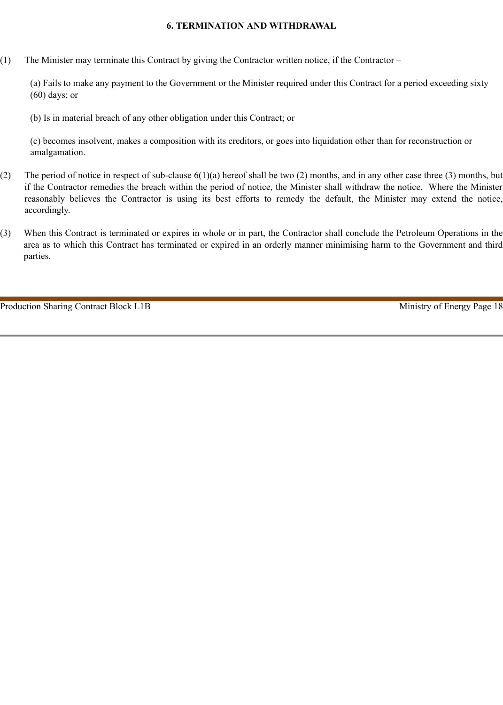#### **6. TERMINATION AND WITHDRAWAL**

(1) The Minister may terminate this Contract by giving the Contractor written notice, if the Contractor –

(a) Fails to make any payment to the Government or the Minister required under this Contract for a period exceeding sixty (60) days; or

(b) Is in material breach of any other obligation under this Contract; or

(c) becomes insolvent, makes a composition with its creditors, or goes into liquidation other than for reconstruction or amalgamation.

- (2) The period of notice in respect of sub-clause 6(1)(a) hereof shall be two (2) months, and in any other case three (3) months, but if the Contractor remedies the breach within the period of notice, the Minister shall withdraw the notice. Where the Minister reasonably believes the Contractor is using its best efforts to remedy the default, the Minister may extend the notice, accordingly.
- (3) When this Contract is terminated or expires in whole or in part, the Contractor shall conclude the Petroleum Operations in the area as to which this Contract has terminated or expired in an orderly manner minimising harm to the Government and third parties.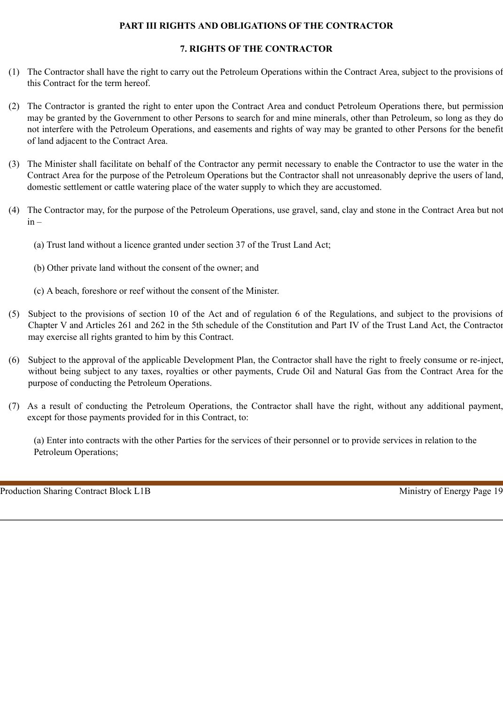# **PART III RIGHTS AND OBLIGATIONS OF THE CONTRACTOR**

# **7. RIGHTS OF THE CONTRACTOR**

- (1) The Contractor shall have the right to carry out the Petroleum Operations within the Contract Area, subject to the provisions of this Contract for the term hereof.
- (2) The Contractor is granted the right to enter upon the Contract Area and conduct Petroleum Operations there, but permission may be granted by the Government to other Persons to search for and mine minerals, other than Petroleum, so long as they do not interfere with the Petroleum Operations, and easements and rights of way may be granted to other Persons for the benefit of land adjacent to the Contract Area.
- (3) The Minister shall facilitate on behalf of the Contractor any permit necessary to enable the Contractor to use the water in the Contract Area for the purpose of the Petroleum Operations but the Contractor shall not unreasonably deprive the users of land, domestic settlement or cattle watering place of the water supply to which they are accustomed.
- (4) The Contractor may, for the purpose of the Petroleum Operations, use gravel, sand, clay and stone in the Contract Area but not  $in -$ 
	- (a) Trust land without a licence granted under section 37 of the Trust Land Act;
	- (b) Other private land without the consent of the owner; and
	- (c) A beach, foreshore or reef without the consent of the Minister.
- (5) Subject to the provisions of section 10 of the Act and of regulation 6 of the Regulations, and subject to the provisions of Chapter V and Articles 261 and 262 in the 5th schedule of the Constitution and Part IV of the Trust Land Act, the Contractor may exercise all rights granted to him by this Contract.
- (6) Subject to the approval of the applicable Development Plan, the Contractor shall have the right to freely consume or re-inject, without being subject to any taxes, royalties or other payments, Crude Oil and Natural Gas from the Contract Area for the purpose of conducting the Petroleum Operations.
- (7) As a result of conducting the Petroleum Operations, the Contractor shall have the right, without any additional payment, except for those payments provided for in this Contract, to:

(a) Enter into contracts with the other Parties for the services of their personnel or to provide services in relation to the Petroleum Operations;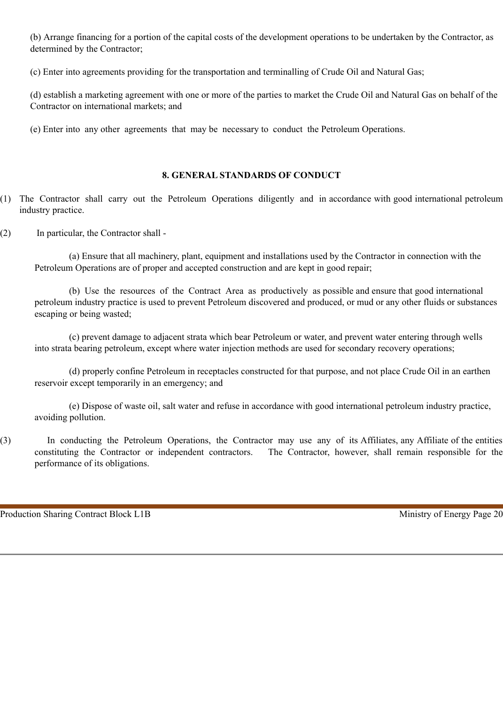(b) Arrange financing for a portion of the capital costs of the development operations to be undertaken by the Contractor, as determined by the Contractor;

(c) Enter into agreements providing for the transportation and terminalling of Crude Oil and Natural Gas;

(d) establish a marketing agreement with one or more of the parties to market the Crude Oil and Natural Gas on behalf of the Contractor on international markets; and

(e) Enter into any other agreements that may be necessary to conduct the Petroleum Operations.

# **8. GENERAL STANDARDS OF CONDUCT**

- (1) The Contractor shall carry out the Petroleum Operations diligently and in accordance with good international petroleum industry practice.
- (2) In particular, the Contractor shall -

(a) Ensure that all machinery, plant, equipment and installations used by the Contractor in connection with the Petroleum Operations are of proper and accepted construction and are kept in good repair;

(b) Use the resources of the Contract Area as productively as possible and ensure that good international petroleum industry practice is used to prevent Petroleum discovered and produced, or mud or any other fluids or substances escaping or being wasted;

(c) prevent damage to adjacent strata which bear Petroleum or water, and prevent water entering through wells into strata bearing petroleum, except where water injection methods are used for secondary recovery operations;

(d) properly confine Petroleum in receptacles constructed for that purpose, and not place Crude Oil in an earthen reservoir except temporarily in an emergency; and

(e) Dispose of waste oil, salt water and refuse in accordance with good international petroleum industry practice, avoiding pollution.

(3) In conducting the Petroleum Operations, the Contractor may use any of its Affiliates, any Affiliate of the entities constituting the Contractor or independent contractors. The Contractor, however, shall remain responsible for the performance of its obligations.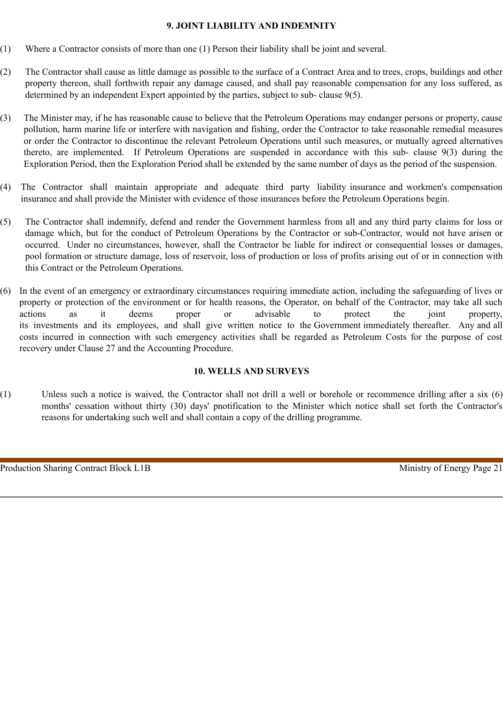#### **9. JOINT LIABILITY AND INDEMNITY**

- (1) Where a Contractor consists of more than one (1) Person their liability shall be joint and several.
- (2) The Contractor shall cause as little damage as possible to the surface of a Contract Area and to trees, crops, buildings and other property thereon, shall forthwith repair any damage caused, and shall pay reasonable compensation for any loss suffered, as determined by an independent Expert appointed by the parties, subject to sub- clause 9(5).
- (3) The Minister may, if he has reasonable cause to believe that the Petroleum Operations may endanger persons or property, cause pollution, harm marine life or interfere with navigation and fishing, order the Contractor to take reasonable remedial measures or order the Contractor to discontinue the relevant Petroleum Operations until such measures, or mutually agreed alternatives thereto, are implemented. If Petroleum Operations are suspended in accordance with this sub- clause 9(3) during the Exploration Period, then the Exploration Period shall be extended by the same number of days as the period of the suspension.
- (4) The Contractor shall maintain appropriate and adequate third party liability insurance and workmen's compensation insurance and shall provide the Minister with evidence of those insurances before the Petroleum Operations begin.
- (5) The Contractor shall indemnify, defend and render the Government harmless from all and any third party claims for loss or damage which, but for the conduct of Petroleum Operations by the Contractor or sub-Contractor, would not have arisen or occurred. Under no circumstances, however, shall the Contractor be liable for indirect or consequential losses or damages, pool formation or structure damage, loss of reservoir, loss of production or loss of profits arising out of or in connection with this Contract or the Petroleum Operations.
- In the event of an emergency or extraordinary circumstances requiring immediate action, including the safeguarding of lives or property or protection of the environment or for health reasons, the Operator, on behalf of the Contractor, may take all such actions as it deems proper or advisable to protect the joint property, its investments and its employees, and shall give written notice to the Government immediately thereafter. Any and all costs incurred in connection with such emergency activities shall be regarded as Petroleum Costs for the purpose of cost recovery under Clause 27 and the Accounting Procedure.

# **10. WELLS AND SURVEYS**

(1) Unless such a notice is waived, the Contractor shall not drill a well or borehole or recommence drilling after a six (6) months' cessation without thirty (30) days' pnotification to the Minister which notice shall set forth the Contractor's reasons for undertaking such well and shall contain a copy of the drilling programme.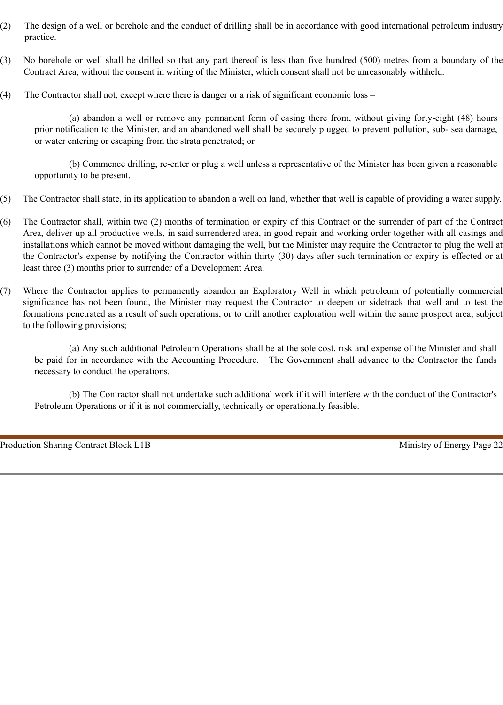- (2) The design of a well or borehole and the conduct of drilling shall be in accordance with good international petroleum industry practice.
- (3) No borehole or well shall be drilled so that any part thereof is less than five hundred (500) metres from a boundary of the Contract Area, without the consent in writing of the Minister, which consent shall not be unreasonably withheld.
- (4) The Contractor shall not, except where there is danger or a risk of significant economic loss –

(a) abandon a well or remove any permanent form of casing there from, without giving forty-eight (48) hours prior notification to the Minister, and an abandoned well shall be securely plugged to prevent pollution, sub- sea damage, or water entering or escaping from the strata penetrated; or

(b) Commence drilling, re-enter or plug a well unless a representative of the Minister has been given a reasonable opportunity to be present.

- (5) The Contractor shall state, in its application to abandon a well on land, whether that well is capable of providing a water supply.
- (6) The Contractor shall, within two (2) months of termination or expiry of this Contract or the surrender of part of the Contract Area, deliver up all productive wells, in said surrendered area, in good repair and working order together with all casings and installations which cannot be moved without damaging the well, but the Minister may require the Contractor to plug the well at the Contractor's expense by notifying the Contractor within thirty (30) days after such termination or expiry is effected or at least three (3) months prior to surrender of a Development Area.
- (7) Where the Contractor applies to permanently abandon an Exploratory Well in which petroleum of potentially commercial significance has not been found, the Minister may request the Contractor to deepen or sidetrack that well and to test the formations penetrated as a result of such operations, or to drill another exploration well within the same prospect area, subject to the following provisions;

(a) Any such additional Petroleum Operations shall be at the sole cost, risk and expense of the Minister and shall be paid for in accordance with the Accounting Procedure. The Government shall advance to the Contractor the funds necessary to conduct the operations.

(b) The Contractor shall not undertake such additional work if it will interfere with the conduct of the Contractor's Petroleum Operations or if it is not commercially, technically or operationally feasible.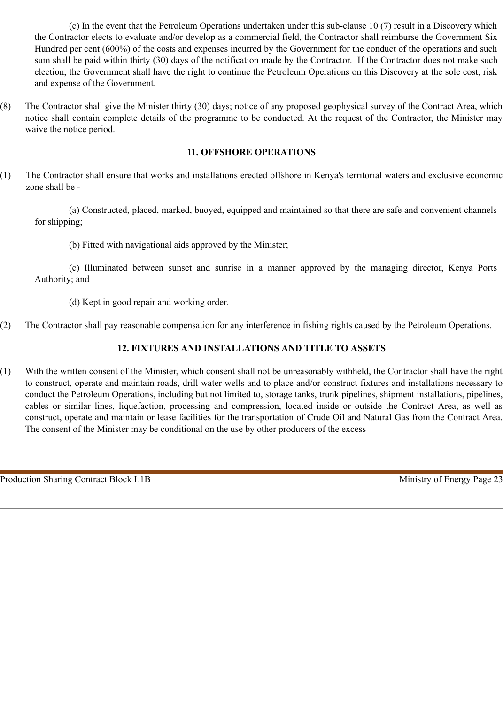(c) In the event that the Petroleum Operations undertaken under this sub-clause 10 (7) result in a Discovery which the Contractor elects to evaluate and/or develop as a commercial field, the Contractor shall reimburse the Government Six Hundred per cent (600%) of the costs and expenses incurred by the Government for the conduct of the operations and such sum shall be paid within thirty (30) days of the notification made by the Contractor. If the Contractor does not make such election, the Government shall have the right to continue the Petroleum Operations on this Discovery at the sole cost, risk and expense of the Government.

(8) The Contractor shall give the Minister thirty (30) days; notice of any proposed geophysical survey of the Contract Area, which notice shall contain complete details of the programme to be conducted. At the request of the Contractor, the Minister may waive the notice period.

# **11. OFFSHORE OPERATIONS**

(1) The Contractor shall ensure that works and installations erected offshore in Kenya's territorial waters and exclusive economic zone shall be -

(a) Constructed, placed, marked, buoyed, equipped and maintained so that there are safe and convenient channels for shipping;

(b) Fitted with navigational aids approved by the Minister;

(c) Illuminated between sunset and sunrise in a manner approved by the managing director, Kenya Ports Authority; and

(d) Kept in good repair and working order.

(2) The Contractor shall pay reasonable compensation for any interference in fishing rights caused by the Petroleum Operations.

# **12. FIXTURES AND INSTALLATIONS AND TITLE TO ASSETS**

(1) With the written consent of the Minister, which consent shall not be unreasonably withheld, the Contractor shall have the right to construct, operate and maintain roads, drill water wells and to place and/or construct fixtures and installations necessary to conduct the Petroleum Operations, including but not limited to, storage tanks, trunk pipelines, shipment installations, pipelines, cables or similar lines, liquefaction, processing and compression, located inside or outside the Contract Area, as well as construct, operate and maintain or lease facilities for the transportation of Crude Oil and Natural Gas from the Contract Area. The consent of the Minister may be conditional on the use by other producers of the excess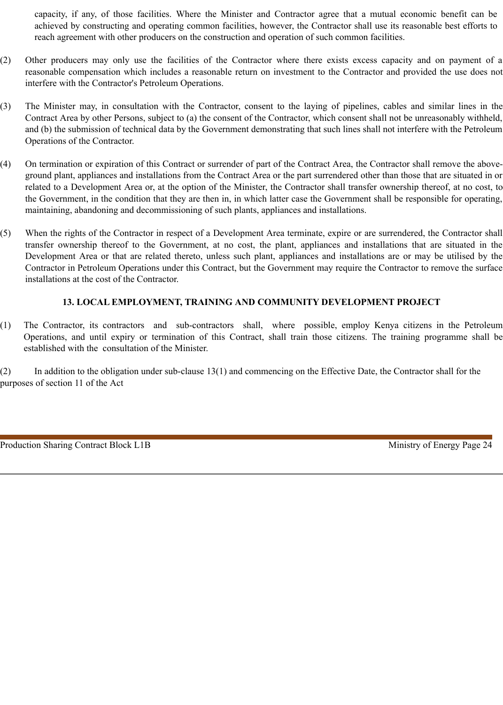capacity, if any, of those facilities. Where the Minister and Contractor agree that a mutual economic benefit can be achieved by constructing and operating common facilities, however, the Contractor shall use its reasonable best efforts to reach agreement with other producers on the construction and operation of such common facilities.

- (2) Other producers may only use the facilities of the Contractor where there exists excess capacity and on payment of a reasonable compensation which includes a reasonable return on investment to the Contractor and provided the use does not interfere with the Contractor's Petroleum Operations.
- (3) The Minister may, in consultation with the Contractor, consent to the laying of pipelines, cables and similar lines in the Contract Area by other Persons, subject to (a) the consent of the Contractor, which consent shall not be unreasonably withheld, and (b) the submission of technical data by the Government demonstrating that such lines shall not interfere with the Petroleum Operations of the Contractor.
- (4) On termination or expiration of this Contract or surrender of part of the Contract Area, the Contractor shall remove the aboveground plant, appliances and installations from the Contract Area or the part surrendered other than those that are situated in or related to a Development Area or, at the option of the Minister, the Contractor shall transfer ownership thereof, at no cost, to the Government, in the condition that they are then in, in which latter case the Government shall be responsible for operating, maintaining, abandoning and decommissioning of such plants, appliances and installations.
- (5) When the rights of the Contractor in respect of a Development Area terminate, expire or are surrendered, the Contractor shall transfer ownership thereof to the Government, at no cost, the plant, appliances and installations that are situated in the Development Area or that are related thereto, unless such plant, appliances and installations are or may be utilised by the Contractor in Petroleum Operations under this Contract, but the Government may require the Contractor to remove the surface installations at the cost of the Contractor.

# **13. LOCAL EMPLOYMENT, TRAINING AND COMMUNITY DEVELOPMENT PROJECT**

(1) The Contractor, its contractors and sub-contractors shall, where possible, employ Kenya citizens in the Petroleum Operations, and until expiry or termination of this Contract, shall train those citizens. The training programme shall be established with the consultation of the Minister.

(2) In addition to the obligation under sub-clause 13(1) and commencing on the Effective Date, the Contractor shall for the purposes of section 11 of the Act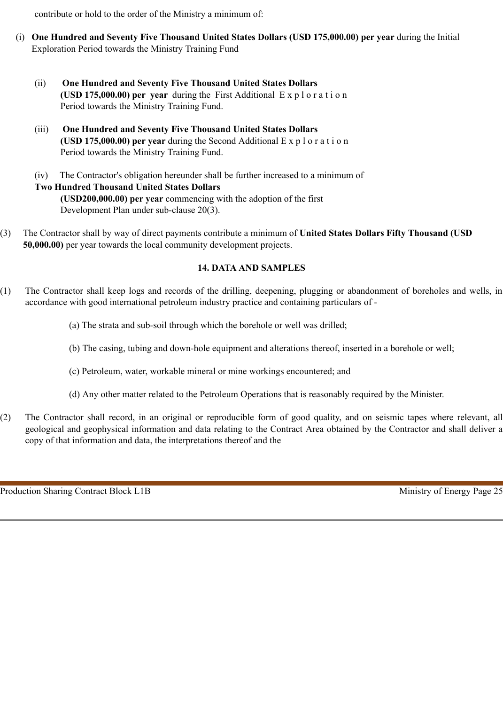contribute or hold to the order of the Ministry a minimum of:

- (i) **One Hundred and Seventy Five Thousand United States Dollars (USD 175,000.00) per year** during the Initial Exploration Period towards the Ministry Training Fund
	- (ii) **One Hundred and Seventy Five Thousand United States Dollars (USD 175,000.00) per year** during the First Additional E x p l o r a t i o n Period towards the Ministry Training Fund.
	- (iii) **One Hundred and Seventy Five Thousand United States Dollars (USD 175,000.00) per year** during the Second Additional E x p l o r a t i o n Period towards the Ministry Training Fund.
	- (iv) The Contractor's obligation hereunder shall be further increased to a minimum of **Two Hundred Thousand United States Dollars (USD200,000.00) per year** commencing with the adoption of the first Development Plan under sub-clause 20(3).
- (3) The Contractor shall by way of direct payments contribute a minimum of **United States Dollars Fifty Thousand (USD 50,000.00)** per year towards the local community development projects.

# **14. DATA AND SAMPLES**

- (1) The Contractor shall keep logs and records of the drilling, deepening, plugging or abandonment of boreholes and wells, in accordance with good international petroleum industry practice and containing particulars of -
	- (a) The strata and sub-soil through which the borehole or well was drilled;
	- (b) The casing, tubing and down-hole equipment and alterations thereof, inserted in a borehole or well;
	- (c) Petroleum, water, workable mineral or mine workings encountered; and
	- (d) Any other matter related to the Petroleum Operations that is reasonably required by the Minister.
- (2) The Contractor shall record, in an original or reproducible form of good quality, and on seismic tapes where relevant, all geological and geophysical information and data relating to the Contract Area obtained by the Contractor and shall deliver a copy of that information and data, the interpretations thereof and the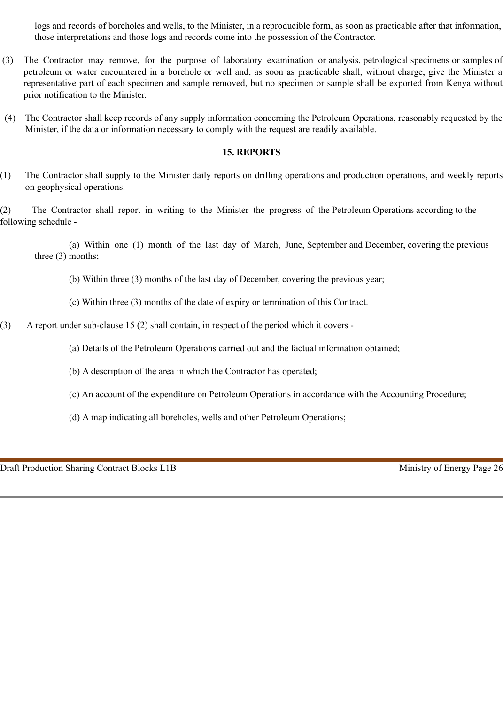logs and records of boreholes and wells, to the Minister, in a reproducible form, as soon as practicable after that information, those interpretations and those logs and records come into the possession of the Contractor.

- (3) The Contractor may remove, for the purpose of laboratory examination or analysis, petrological specimens or samples of petroleum or water encountered in a borehole or well and, as soon as practicable shall, without charge, give the Minister a representative part of each specimen and sample removed, but no specimen or sample shall be exported from Kenya without prior notification to the Minister.
- (4) The Contractor shall keep records of any supply information concerning the Petroleum Operations, reasonably requested by the Minister, if the data or information necessary to comply with the request are readily available.

#### **15. REPORTS**

(1) The Contractor shall supply to the Minister daily reports on drilling operations and production operations, and weekly reports on geophysical operations.

(2) The Contractor shall report in writing to the Minister the progress of the Petroleum Operations according to the following schedule -

(a) Within one (1) month of the last day of March, June, September and December, covering the previous three (3) months;

(b) Within three (3) months of the last day of December, covering the previous year;

(c) Within three (3) months of the date of expiry or termination of this Contract.

(3) A report under sub-clause 15 (2) shall contain, in respect of the period which it covers -

(a) Details of the Petroleum Operations carried out and the factual information obtained;

(b) A description of the area in which the Contractor has operated;

(c) An account of the expenditure on Petroleum Operations in accordance with the Accounting Procedure;

(d) A map indicating all boreholes, wells and other Petroleum Operations;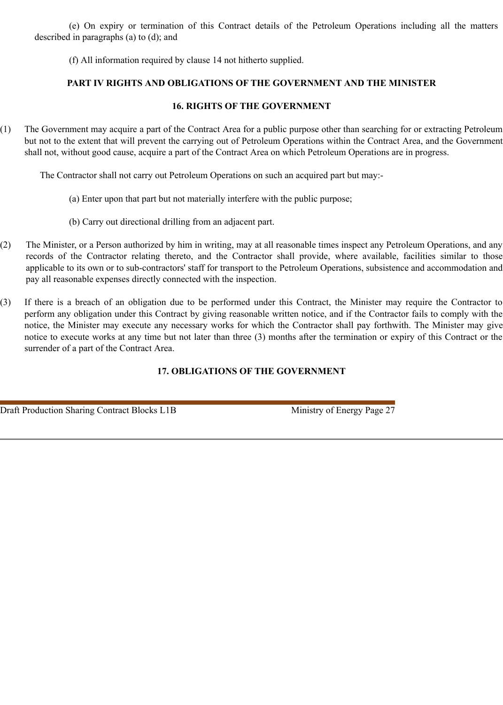(e) On expiry or termination of this Contract details of the Petroleum Operations including all the matters described in paragraphs (a) to (d); and

(f) All information required by clause 14 not hitherto supplied.

# **PART IV RIGHTS AND OBLIGATIONS OF THE GOVERNMENT AND THE MINISTER**

# **16. RIGHTS OF THE GOVERNMENT**

(1) The Government may acquire a part of the Contract Area for a public purpose other than searching for or extracting Petroleum but not to the extent that will prevent the carrying out of Petroleum Operations within the Contract Area, and the Government shall not, without good cause, acquire a part of the Contract Area on which Petroleum Operations are in progress.

The Contractor shall not carry out Petroleum Operations on such an acquired part but may:-

- (a) Enter upon that part but not materially interfere with the public purpose;
- (b) Carry out directional drilling from an adjacent part.
- (2) The Minister, or a Person authorized by him in writing, may at all reasonable times inspect any Petroleum Operations, and any records of the Contractor relating thereto, and the Contractor shall provide, where available, facilities similar to those applicable to its own or to sub-contractors' staff for transport to the Petroleum Operations, subsistence and accommodation and pay all reasonable expenses directly connected with the inspection.
- (3) If there is a breach of an obligation due to be performed under this Contract, the Minister may require the Contractor to perform any obligation under this Contract by giving reasonable written notice, and if the Contractor fails to comply with the notice, the Minister may execute any necessary works for which the Contractor shall pay forthwith. The Minister may give notice to execute works at any time but not later than three (3) months after the termination or expiry of this Contract or the surrender of a part of the Contract Area.

# **17. OBLIGATIONS OF THE GOVERNMENT**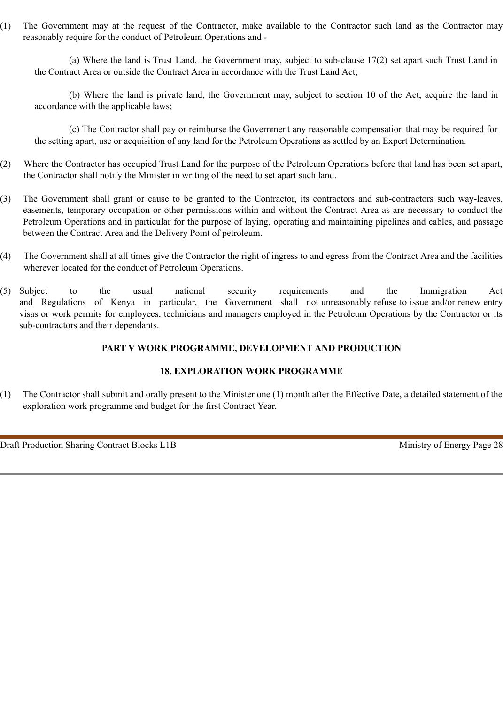(1) The Government may at the request of the Contractor, make available to the Contractor such land as the Contractor may reasonably require for the conduct of Petroleum Operations and -

(a) Where the land is Trust Land, the Government may, subject to sub-clause 17(2) set apart such Trust Land in the Contract Area or outside the Contract Area in accordance with the Trust Land Act;

(b) Where the land is private land, the Government may, subject to section 10 of the Act, acquire the land in accordance with the applicable laws;

(c) The Contractor shall pay or reimburse the Government any reasonable compensation that may be required for the setting apart, use or acquisition of any land for the Petroleum Operations as settled by an Expert Determination.

- (2) Where the Contractor has occupied Trust Land for the purpose of the Petroleum Operations before that land has been set apart, the Contractor shall notify the Minister in writing of the need to set apart such land.
- (3) The Government shall grant or cause to be granted to the Contractor, its contractors and sub-contractors such way-leaves, easements, temporary occupation or other permissions within and without the Contract Area as are necessary to conduct the Petroleum Operations and in particular for the purpose of laying, operating and maintaining pipelines and cables, and passage between the Contract Area and the Delivery Point of petroleum.
- (4) The Government shall at all times give the Contractor the right of ingress to and egress from the Contract Area and the facilities wherever located for the conduct of Petroleum Operations.
- (5) Subject to the usual national security requirements and the Immigration Act and Regulations of Kenya in particular, the Government shall not unreasonably refuse to issue and/or renew entry visas or work permits for employees, technicians and managers employed in the Petroleum Operations by the Contractor or its sub-contractors and their dependants.

### **PART V WORK PROGRAMME, DEVELOPMENT AND PRODUCTION**

# **18. EXPLORATION WORK PROGRAMME**

(1) The Contractor shall submit and orally present to the Minister one (1) month after the Effective Date, a detailed statement of the exploration work programme and budget for the first Contract Year.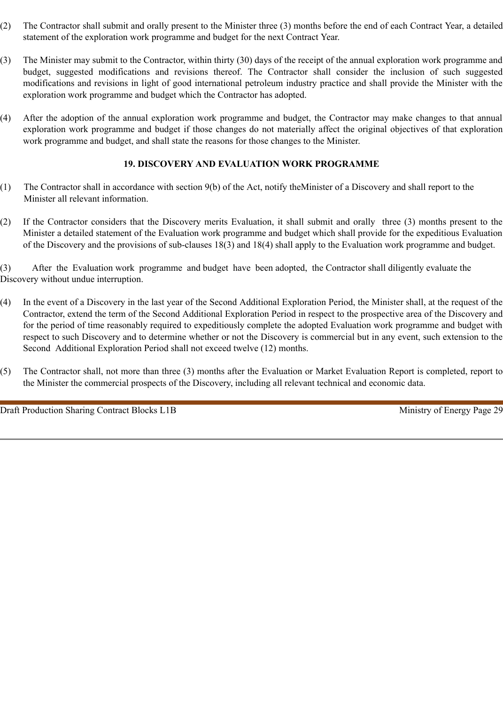- (2) The Contractor shall submit and orally present to the Minister three (3) months before the end of each Contract Year, a detailed statement of the exploration work programme and budget for the next Contract Year.
- (3) The Minister may submit to the Contractor, within thirty (30) days of the receipt of the annual exploration work programme and budget, suggested modifications and revisions thereof. The Contractor shall consider the inclusion of such suggested modifications and revisions in light of good international petroleum industry practice and shall provide the Minister with the exploration work programme and budget which the Contractor has adopted.
- (4) After the adoption of the annual exploration work programme and budget, the Contractor may make changes to that annual exploration work programme and budget if those changes do not materially affect the original objectives of that exploration work programme and budget, and shall state the reasons for those changes to the Minister.

# **19. DISCOVERY AND EVALUATION WORK PROGRAMME**

- (1) The Contractor shall in accordance with section 9(b) of the Act, notify theMinister of a Discovery and shall report to the Minister all relevant information.
- (2) If the Contractor considers that the Discovery merits Evaluation, it shall submit and orally three (3) months present to the Minister a detailed statement of the Evaluation work programme and budget which shall provide for the expeditious Evaluation of the Discovery and the provisions of sub-clauses 18(3) and 18(4) shall apply to the Evaluation work programme and budget.

(3) After the Evaluation work programme and budget have been adopted, the Contractor shall diligently evaluate the Discovery without undue interruption.

- (4) In the event of a Discovery in the last year of the Second Additional Exploration Period, the Minister shall, at the request of the Contractor, extend the term of the Second Additional Exploration Period in respect to the prospective area of the Discovery and for the period of time reasonably required to expeditiously complete the adopted Evaluation work programme and budget with respect to such Discovery and to determine whether or not the Discovery is commercial but in any event, such extension to the Second Additional Exploration Period shall not exceed twelve (12) months.
- (5) The Contractor shall, not more than three (3) months after the Evaluation or Market Evaluation Report is completed, report to the Minister the commercial prospects of the Discovery, including all relevant technical and economic data.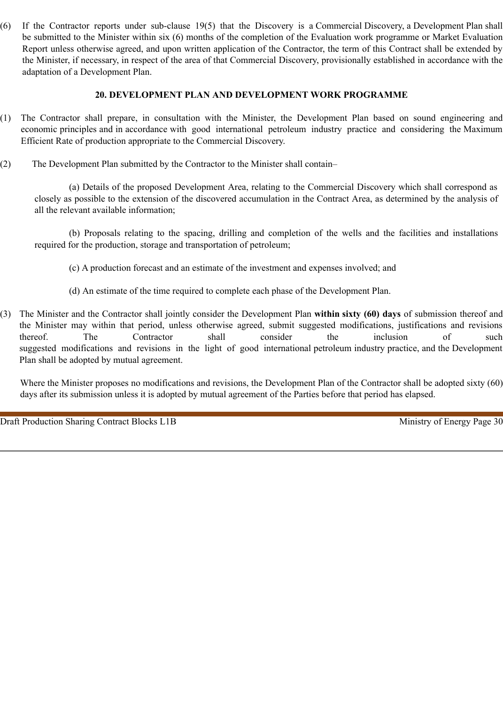(6) If the Contractor reports under sub-clause 19(5) that the Discovery is a Commercial Discovery, a Development Plan shall be submitted to the Minister within six (6) months of the completion of the Evaluation work programme or Market Evaluation Report unless otherwise agreed, and upon written application of the Contractor, the term of this Contract shall be extended by the Minister, if necessary, in respect of the area of that Commercial Discovery, provisionally established in accordance with the adaptation of a Development Plan.

#### **20. DEVELOPMENT PLAN AND DEVELOPMENT WORK PROGRAMME**

- (1) The Contractor shall prepare, in consultation with the Minister, the Development Plan based on sound engineering and economic principles and in accordance with good international petroleum industry practice and considering the Maximum Efficient Rate of production appropriate to the Commercial Discovery.
- (2) The Development Plan submitted by the Contractor to the Minister shall contain–

(a) Details of the proposed Development Area, relating to the Commercial Discovery which shall correspond as closely as possible to the extension of the discovered accumulation in the Contract Area, as determined by the analysis of all the relevant available information;

(b) Proposals relating to the spacing, drilling and completion of the wells and the facilities and installations required for the production, storage and transportation of petroleum;

(c) A production forecast and an estimate of the investment and expenses involved; and

- (d) An estimate of the time required to complete each phase of the Development Plan.
- (3) The Minister and the Contractor shall jointly consider the Development Plan **within sixty (60) days** of submission thereof and the Minister may within that period, unless otherwise agreed, submit suggested modifications, justifications and revisions thereof. The Contractor shall consider the inclusion of such suggested modifications and revisions in the light of good international petroleum industry practice, and the Development Plan shall be adopted by mutual agreement.

Where the Minister proposes no modifications and revisions, the Development Plan of the Contractor shall be adopted sixty (60) days after its submission unless it is adopted by mutual agreement of the Parties before that period has elapsed.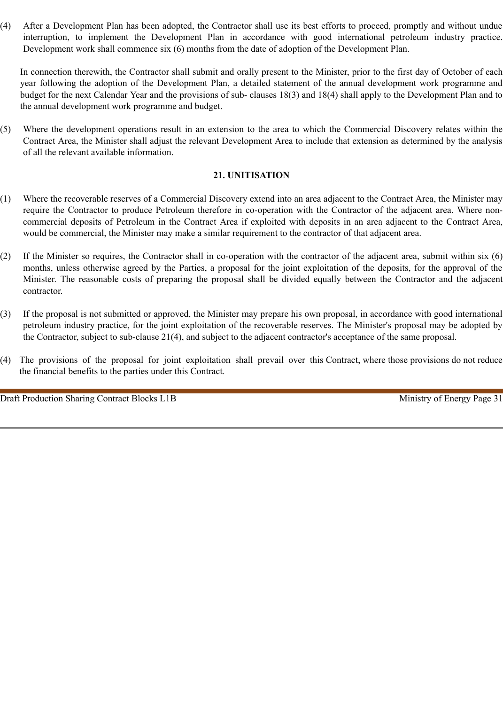(4) After a Development Plan has been adopted, the Contractor shall use its best efforts to proceed, promptly and without undue interruption, to implement the Development Plan in accordance with good international petroleum industry practice. Development work shall commence six (6) months from the date of adoption of the Development Plan.

In connection therewith, the Contractor shall submit and orally present to the Minister, prior to the first day of October of each year following the adoption of the Development Plan, a detailed statement of the annual development work programme and budget for the next Calendar Year and the provisions of sub- clauses 18(3) and 18(4) shall apply to the Development Plan and to the annual development work programme and budget.

(5) Where the development operations result in an extension to the area to which the Commercial Discovery relates within the Contract Area, the Minister shall adjust the relevant Development Area to include that extension as determined by the analysis of all the relevant available information.

# **21. UNITISATION**

- (1) Where the recoverable reserves of a Commercial Discovery extend into an area adjacent to the Contract Area, the Minister may require the Contractor to produce Petroleum therefore in co-operation with the Contractor of the adjacent area. Where noncommercial deposits of Petroleum in the Contract Area if exploited with deposits in an area adjacent to the Contract Area, would be commercial, the Minister may make a similar requirement to the contractor of that adjacent area.
- (2) If the Minister so requires, the Contractor shall in co-operation with the contractor of the adjacent area, submit within six (6) months, unless otherwise agreed by the Parties, a proposal for the joint exploitation of the deposits, for the approval of the Minister. The reasonable costs of preparing the proposal shall be divided equally between the Contractor and the adjacent contractor.
- (3) If the proposal is not submitted or approved, the Minister may prepare his own proposal, in accordance with good international petroleum industry practice, for the joint exploitation of the recoverable reserves. The Minister's proposal may be adopted by the Contractor, subject to sub-clause 21(4), and subject to the adjacent contractor's acceptance of the same proposal.
- (4) The provisions of the proposal for joint exploitation shall prevail over this Contract, where those provisions do not reduce the financial benefits to the parties under this Contract.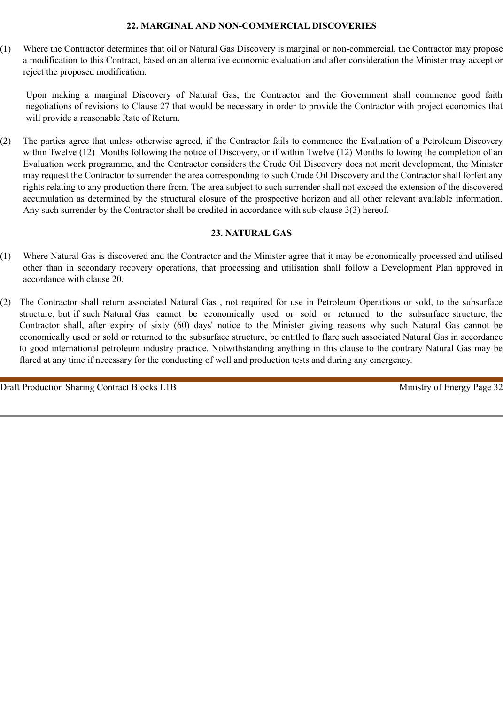#### **22. MARGINAL AND NON-COMMERCIAL DISCOVERIES**

(1) Where the Contractor determines that oil or Natural Gas Discovery is marginal or non-commercial, the Contractor may propose a modification to this Contract, based on an alternative economic evaluation and after consideration the Minister may accept or reject the proposed modification.

Upon making a marginal Discovery of Natural Gas, the Contractor and the Government shall commence good faith negotiations of revisions to Clause 27 that would be necessary in order to provide the Contractor with project economics that will provide a reasonable Rate of Return.

(2) The parties agree that unless otherwise agreed, if the Contractor fails to commence the Evaluation of a Petroleum Discovery within Twelve (12) Months following the notice of Discovery, or if within Twelve (12) Months following the completion of an Evaluation work programme, and the Contractor considers the Crude Oil Discovery does not merit development, the Minister may request the Contractor to surrender the area corresponding to such Crude Oil Discovery and the Contractor shall forfeit any rights relating to any production there from. The area subject to such surrender shall not exceed the extension of the discovered accumulation as determined by the structural closure of the prospective horizon and all other relevant available information. Any such surrender by the Contractor shall be credited in accordance with sub-clause 3(3) hereof.

# **23. NATURAL GAS**

- (1) Where Natural Gas is discovered and the Contractor and the Minister agree that it may be economically processed and utilised other than in secondary recovery operations, that processing and utilisation shall follow a Development Plan approved in accordance with clause 20.
- (2) The Contractor shall return associated Natural Gas , not required for use in Petroleum Operations or sold, to the subsurface structure, but if such Natural Gas cannot be economically used or sold or returned to the subsurface structure, the Contractor shall, after expiry of sixty (60) days' notice to the Minister giving reasons why such Natural Gas cannot be economically used or sold or returned to the subsurface structure, be entitled to flare such associated Natural Gas in accordance to good international petroleum industry practice. Notwithstanding anything in this clause to the contrary Natural Gas may be flared at any time if necessary for the conducting of well and production tests and during any emergency.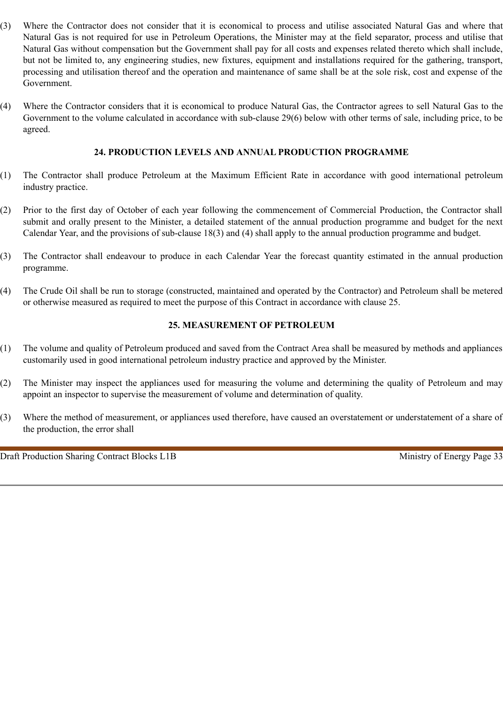- (3) Where the Contractor does not consider that it is economical to process and utilise associated Natural Gas and where that Natural Gas is not required for use in Petroleum Operations, the Minister may at the field separator, process and utilise that Natural Gas without compensation but the Government shall pay for all costs and expenses related thereto which shall include, but not be limited to, any engineering studies, new fixtures, equipment and installations required for the gathering, transport, processing and utilisation thereof and the operation and maintenance of same shall be at the sole risk, cost and expense of the Government.
- (4) Where the Contractor considers that it is economical to produce Natural Gas, the Contractor agrees to sell Natural Gas to the Government to the volume calculated in accordance with sub-clause 29(6) below with other terms of sale, including price, to be agreed.

#### **24. PRODUCTION LEVELS AND ANNUAL PRODUCTION PROGRAMME**

- (1) The Contractor shall produce Petroleum at the Maximum Efficient Rate in accordance with good international petroleum industry practice.
- (2) Prior to the first day of October of each year following the commencement of Commercial Production, the Contractor shall submit and orally present to the Minister, a detailed statement of the annual production programme and budget for the next Calendar Year, and the provisions of sub-clause 18(3) and (4) shall apply to the annual production programme and budget.
- (3) The Contractor shall endeavour to produce in each Calendar Year the forecast quantity estimated in the annual production programme.
- (4) The Crude Oil shall be run to storage (constructed, maintained and operated by the Contractor) and Petroleum shall be metered or otherwise measured as required to meet the purpose of this Contract in accordance with clause 25.

#### **25. MEASUREMENT OF PETROLEUM**

- (1) The volume and quality of Petroleum produced and saved from the Contract Area shall be measured by methods and appliances customarily used in good international petroleum industry practice and approved by the Minister.
- (2) The Minister may inspect the appliances used for measuring the volume and determining the quality of Petroleum and may appoint an inspector to supervise the measurement of volume and determination of quality.
- (3) Where the method of measurement, or appliances used therefore, have caused an overstatement or understatement of a share of the production, the error shall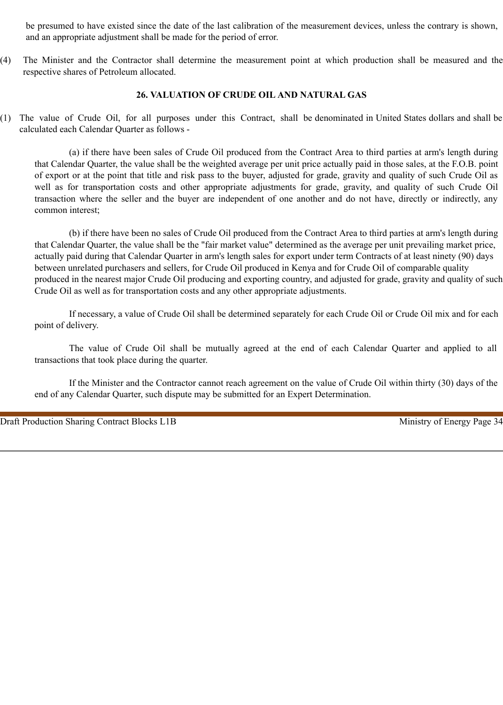be presumed to have existed since the date of the last calibration of the measurement devices, unless the contrary is shown, and an appropriate adjustment shall be made for the period of error.

(4) The Minister and the Contractor shall determine the measurement point at which production shall be measured and the respective shares of Petroleum allocated.

#### **26. VALUATION OF CRUDE OIL AND NATURAL GAS**

(1) The value of Crude Oil, for all purposes under this Contract, shall be denominated in United States dollars and shall be calculated each Calendar Quarter as follows -

(a) if there have been sales of Crude Oil produced from the Contract Area to third parties at arm's length during that Calendar Quarter, the value shall be the weighted average per unit price actually paid in those sales, at the F.O.B. point of export or at the point that title and risk pass to the buyer, adjusted for grade, gravity and quality of such Crude Oil as well as for transportation costs and other appropriate adjustments for grade, gravity, and quality of such Crude Oil transaction where the seller and the buyer are independent of one another and do not have, directly or indirectly, any common interest;

(b) if there have been no sales of Crude Oil produced from the Contract Area to third parties at arm's length during that Calendar Quarter, the value shall be the "fair market value" determined as the average per unit prevailing market price, actually paid during that Calendar Quarter in arm's length sales for export under term Contracts of at least ninety (90) days between unrelated purchasers and sellers, for Crude Oil produced in Kenya and for Crude Oil of comparable quality produced in the nearest major Crude Oil producing and exporting country, and adjusted for grade, gravity and quality of such Crude Oil as well as for transportation costs and any other appropriate adjustments.

If necessary, a value of Crude Oil shall be determined separately for each Crude Oil or Crude Oil mix and for each point of delivery.

The value of Crude Oil shall be mutually agreed at the end of each Calendar Quarter and applied to all transactions that took place during the quarter.

If the Minister and the Contractor cannot reach agreement on the value of Crude Oil within thirty (30) days of the end of any Calendar Quarter, such dispute may be submitted for an Expert Determination.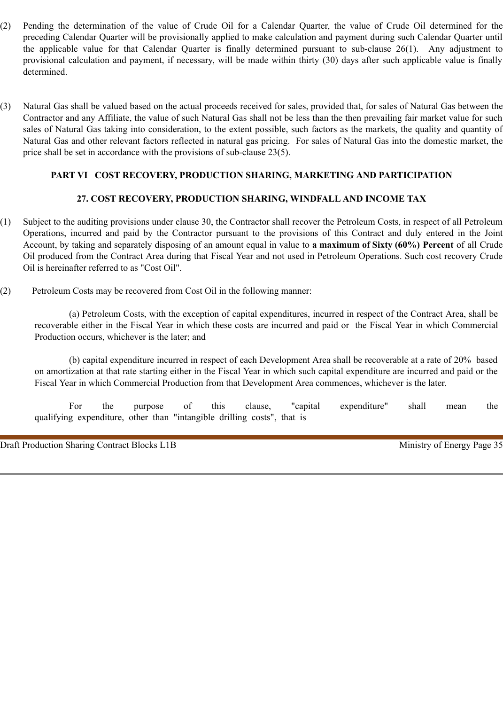- (2) Pending the determination of the value of Crude Oil for a Calendar Quarter, the value of Crude Oil determined for the preceding Calendar Quarter will be provisionally applied to make calculation and payment during such Calendar Quarter until the applicable value for that Calendar Quarter is finally determined pursuant to sub-clause 26(1). Any adjustment to provisional calculation and payment, if necessary, will be made within thirty (30) days after such applicable value is finally determined.
- (3) Natural Gas shall be valued based on the actual proceeds received for sales, provided that, for sales of Natural Gas between the Contractor and any Affiliate, the value of such Natural Gas shall not be less than the then prevailing fair market value for such sales of Natural Gas taking into consideration, to the extent possible, such factors as the markets, the quality and quantity of Natural Gas and other relevant factors reflected in natural gas pricing. For sales of Natural Gas into the domestic market, the price shall be set in accordance with the provisions of sub-clause 23(5).

# **PART VI COST RECOVERY, PRODUCTION SHARING, MARKETING AND PARTICIPATION**

# **27. COST RECOVERY, PRODUCTION SHARING, WINDFALL AND INCOME TAX**

- (1) Subject to the auditing provisions under clause 30, the Contractor shall recover the Petroleum Costs, in respect of all Petroleum Operations, incurred and paid by the Contractor pursuant to the provisions of this Contract and duly entered in the Joint Account, by taking and separately disposing of an amount equal in value to **a maximum of Sixty (60%) Percent** of all Crude Oil produced from the Contract Area during that Fiscal Year and not used in Petroleum Operations. Such cost recovery Crude Oil is hereinafter referred to as "Cost Oil".
- (2) Petroleum Costs may be recovered from Cost Oil in the following manner:

(a) Petroleum Costs, with the exception of capital expenditures, incurred in respect of the Contract Area, shall be recoverable either in the Fiscal Year in which these costs are incurred and paid or the Fiscal Year in which Commercial Production occurs, whichever is the later; and

(b) capital expenditure incurred in respect of each Development Area shall be recoverable at a rate of 20% based on amortization at that rate starting either in the Fiscal Year in which such capital expenditure are incurred and paid or the Fiscal Year in which Commercial Production from that Development Area commences, whichever is the later.

For the purpose of this clause, "capital expenditure" shall mean the qualifying expenditure, other than "intangible drilling costs", that is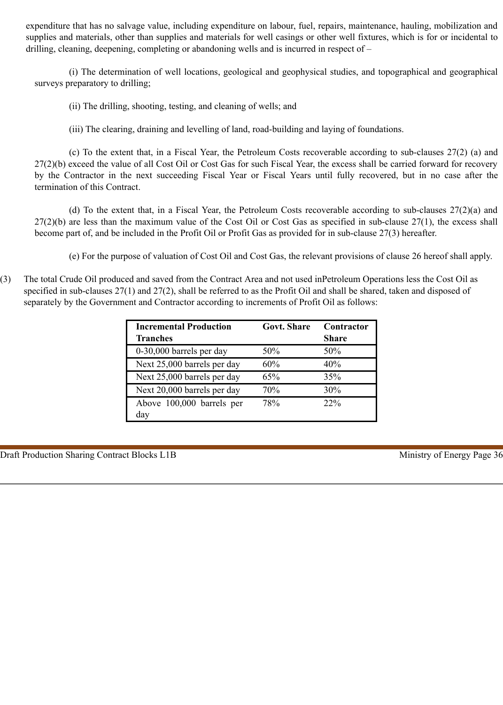expenditure that has no salvage value, including expenditure on labour, fuel, repairs, maintenance, hauling, mobilization and supplies and materials, other than supplies and materials for well casings or other well fixtures, which is for or incidental to drilling, cleaning, deepening, completing or abandoning wells and is incurred in respect of –

(i) The determination of well locations, geological and geophysical studies, and topographical and geographical surveys preparatory to drilling;

(ii) The drilling, shooting, testing, and cleaning of wells; and

(iii) The clearing, draining and levelling of land, road-building and laying of foundations.

(c) To the extent that, in a Fiscal Year, the Petroleum Costs recoverable according to sub-clauses 27(2) (a) and 27(2)(b) exceed the value of all Cost Oil or Cost Gas for such Fiscal Year, the excess shall be carried forward for recovery by the Contractor in the next succeeding Fiscal Year or Fiscal Years until fully recovered, but in no case after the termination of this Contract.

(d) To the extent that, in a Fiscal Year, the Petroleum Costs recoverable according to sub-clauses 27(2)(a) and 27(2)(b) are less than the maximum value of the Cost Oil or Cost Gas as specified in sub-clause 27(1), the excess shall become part of, and be included in the Profit Oil or Profit Gas as provided for in sub-clause 27(3) hereafter.

(e) For the purpose of valuation of Cost Oil and Cost Gas, the relevant provisions of clause 26 hereof shall apply.

(3) The total Crude Oil produced and saved from the Contract Area and not used inPetroleum Operations less the Cost Oil as specified in sub-clauses 27(1) and 27(2), shall be referred to as the Profit Oil and shall be shared, taken and disposed of separately by the Government and Contractor according to increments of Profit Oil as follows:

| <b>Incremental Production</b><br><b>Tranches</b> | <b>Govt. Share</b> | Contractor<br><b>Share</b> |
|--------------------------------------------------|--------------------|----------------------------|
| 0-30,000 barrels per day                         | 50%                | 50%                        |
| Next 25,000 barrels per day                      | 60%                | 40%                        |
| Next 25,000 barrels per day                      | 65%                | 35%                        |
| Next 20,000 barrels per day                      | 70%                | 30%                        |
| Above 100,000 barrels per                        | 78%                | 22%                        |
| day                                              |                    |                            |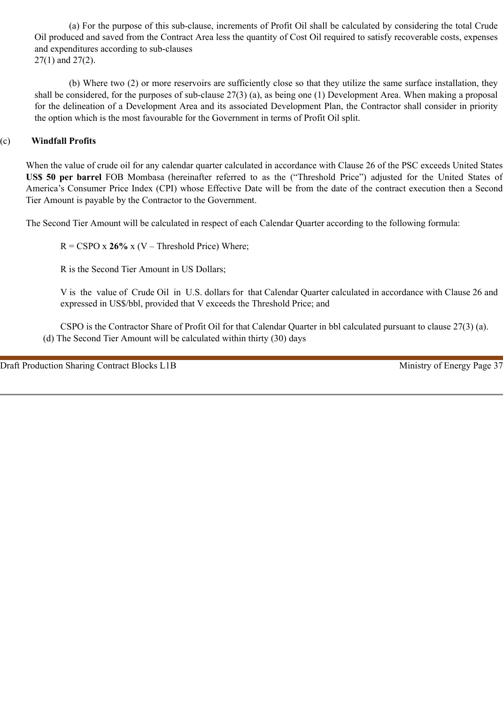(a) For the purpose of this sub-clause, increments of Profit Oil shall be calculated by considering the total Crude Oil produced and saved from the Contract Area less the quantity of Cost Oil required to satisfy recoverable costs, expenses and expenditures according to sub-clauses 27(1) and 27(2).

(b) Where two (2) or more reservoirs are sufficiently close so that they utilize the same surface installation, they shall be considered, for the purposes of sub-clause 27(3) (a), as being one (1) Development Area. When making a proposal for the delineation of a Development Area and its associated Development Plan, the Contractor shall consider in priority the option which is the most favourable for the Government in terms of Profit Oil split.

# (c) **Windfall Profits**

When the value of crude oil for any calendar quarter calculated in accordance with Clause 26 of the PSC exceeds United States **US\$ 50 per barrel** FOB Mombasa (hereinafter referred to as the ("Threshold Price") adjusted for the United States of America's Consumer Price Index (CPI) whose Effective Date will be from the date of the contract execution then a Second Tier Amount is payable by the Contractor to the Government.

The Second Tier Amount will be calculated in respect of each Calendar Quarter according to the following formula:

 $R = CSPO x 26% x (V - Threshold Price) Where;$ 

R is the Second Tier Amount in US Dollars;

V is the value of Crude Oil in U.S. dollars for that Calendar Quarter calculated in accordance with Clause 26 and expressed in US\$/bbl, provided that V exceeds the Threshold Price; and

CSPO is the Contractor Share of Profit Oil for that Calendar Quarter in bbl calculated pursuant to clause 27(3) (a). (d) The Second Tier Amount will be calculated within thirty (30) days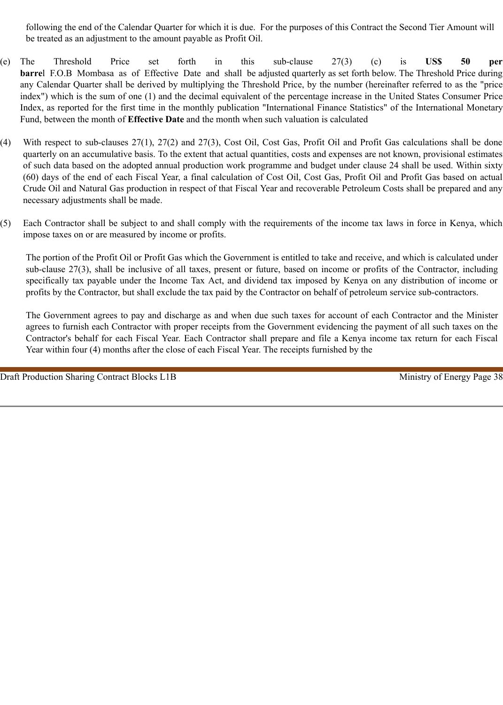following the end of the Calendar Quarter for which it is due. For the purposes of this Contract the Second Tier Amount will be treated as an adjustment to the amount payable as Profit Oil.

- (e) The Threshold Price set forth in this sub-clause 27(3) (c) is **US\$ 50 per barre**l F.O.B Mombasa as of Effective Date and shall be adjusted quarterly as set forth below. The Threshold Price during any Calendar Quarter shall be derived by multiplying the Threshold Price, by the number (hereinafter referred to as the "price index") which is the sum of one (1) and the decimal equivalent of the percentage increase in the United States Consumer Price Index, as reported for the first time in the monthly publication "International Finance Statistics" of the International Monetary Fund, between the month of **Effective Date** and the month when such valuation is calculated
- (4) With respect to sub-clauses 27(1), 27(2) and 27(3), Cost Oil, Cost Gas, Profit Oil and Profit Gas calculations shall be done quarterly on an accumulative basis. To the extent that actual quantities, costs and expenses are not known, provisional estimates of such data based on the adopted annual production work programme and budget under clause 24 shall be used. Within sixty (60) days of the end of each Fiscal Year, a final calculation of Cost Oil, Cost Gas, Profit Oil and Profit Gas based on actual Crude Oil and Natural Gas production in respect of that Fiscal Year and recoverable Petroleum Costs shall be prepared and any necessary adjustments shall be made.
- (5) Each Contractor shall be subject to and shall comply with the requirements of the income tax laws in force in Kenya, which impose taxes on or are measured by income or profits.

The portion of the Profit Oil or Profit Gas which the Government is entitled to take and receive, and which is calculated under sub-clause 27(3), shall be inclusive of all taxes, present or future, based on income or profits of the Contractor, including specifically tax payable under the Income Tax Act, and dividend tax imposed by Kenya on any distribution of income or profits by the Contractor, but shall exclude the tax paid by the Contractor on behalf of petroleum service sub-contractors.

The Government agrees to pay and discharge as and when due such taxes for account of each Contractor and the Minister agrees to furnish each Contractor with proper receipts from the Government evidencing the payment of all such taxes on the Contractor's behalf for each Fiscal Year. Each Contractor shall prepare and file a Kenya income tax return for each Fiscal Year within four (4) months after the close of each Fiscal Year. The receipts furnished by the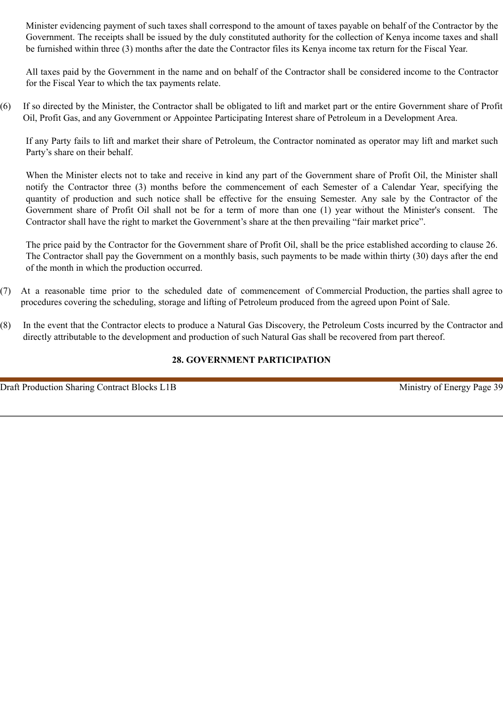Minister evidencing payment of such taxes shall correspond to the amount of taxes payable on behalf of the Contractor by the Government. The receipts shall be issued by the duly constituted authority for the collection of Kenya income taxes and shall be furnished within three (3) months after the date the Contractor files its Kenya income tax return for the Fiscal Year.

All taxes paid by the Government in the name and on behalf of the Contractor shall be considered income to the Contractor for the Fiscal Year to which the tax payments relate.

(6) If so directed by the Minister, the Contractor shall be obligated to lift and market part or the entire Government share of Profit Oil, Profit Gas, and any Government or Appointee Participating Interest share of Petroleum in a Development Area.

If any Party fails to lift and market their share of Petroleum, the Contractor nominated as operator may lift and market such Party's share on their behalf.

When the Minister elects not to take and receive in kind any part of the Government share of Profit Oil, the Minister shall notify the Contractor three (3) months before the commencement of each Semester of a Calendar Year, specifying the quantity of production and such notice shall be effective for the ensuing Semester. Any sale by the Contractor of the Government share of Profit Oil shall not be for a term of more than one (1) year without the Minister's consent. The Contractor shall have the right to market the Government's share at the then prevailing "fair market price".

The price paid by the Contractor for the Government share of Profit Oil, shall be the price established according to clause 26. The Contractor shall pay the Government on a monthly basis, such payments to be made within thirty (30) days after the end of the month in which the production occurred.

- (7) At a reasonable time prior to the scheduled date of commencement of Commercial Production, the parties shall agree to procedures covering the scheduling, storage and lifting of Petroleum produced from the agreed upon Point of Sale.
- (8) In the event that the Contractor elects to produce a Natural Gas Discovery, the Petroleum Costs incurred by the Contractor and directly attributable to the development and production of such Natural Gas shall be recovered from part thereof.

# **28. GOVERNMENT PARTICIPATION**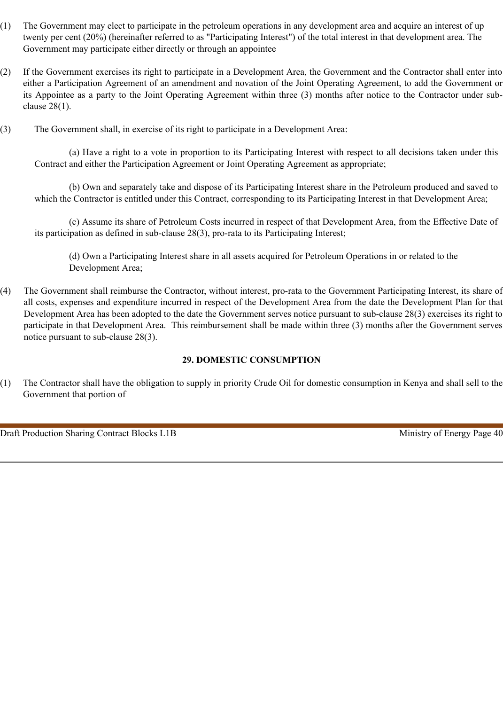- (1) The Government may elect to participate in the petroleum operations in any development area and acquire an interest of up twenty per cent (20%) (hereinafter referred to as "Participating Interest") of the total interest in that development area. The Government may participate either directly or through an appointee
- (2) If the Government exercises its right to participate in a Development Area, the Government and the Contractor shall enter into either a Participation Agreement of an amendment and novation of the Joint Operating Agreement, to add the Government or its Appointee as a party to the Joint Operating Agreement within three (3) months after notice to the Contractor under subclause 28(1).
- (3) The Government shall, in exercise of its right to participate in a Development Area:

(a) Have a right to a vote in proportion to its Participating Interest with respect to all decisions taken under this Contract and either the Participation Agreement or Joint Operating Agreement as appropriate;

(b) Own and separately take and dispose of its Participating Interest share in the Petroleum produced and saved to which the Contractor is entitled under this Contract, corresponding to its Participating Interest in that Development Area;

(c) Assume its share of Petroleum Costs incurred in respect of that Development Area, from the Effective Date of its participation as defined in sub-clause 28(3), pro-rata to its Participating Interest;

(d) Own a Participating Interest share in all assets acquired for Petroleum Operations in or related to the Development Area;

(4) The Government shall reimburse the Contractor, without interest, pro-rata to the Government Participating Interest, its share of all costs, expenses and expenditure incurred in respect of the Development Area from the date the Development Plan for that Development Area has been adopted to the date the Government serves notice pursuant to sub-clause 28(3) exercises its right to participate in that Development Area. This reimbursement shall be made within three (3) months after the Government serves notice pursuant to sub-clause 28(3).

# **29. DOMESTIC CONSUMPTION**

(1) The Contractor shall have the obligation to supply in priority Crude Oil for domestic consumption in Kenya and shall sell to the Government that portion of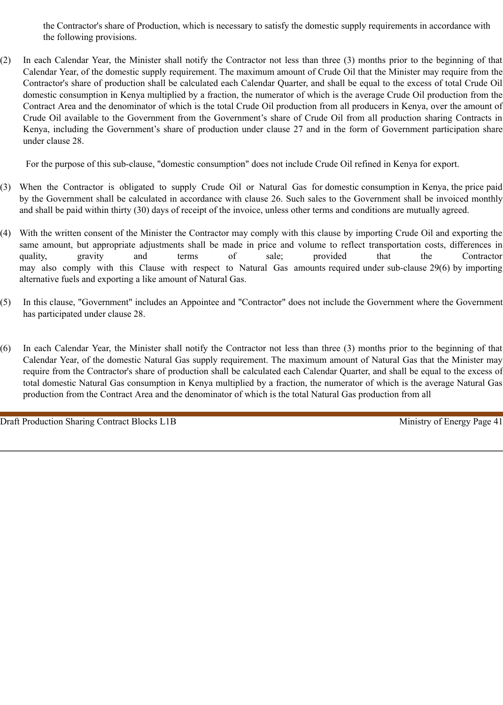the Contractor's share of Production, which is necessary to satisfy the domestic supply requirements in accordance with the following provisions.

(2) In each Calendar Year, the Minister shall notify the Contractor not less than three (3) months prior to the beginning of that Calendar Year, of the domestic supply requirement. The maximum amount of Crude Oil that the Minister may require from the Contractor's share of production shall be calculated each Calendar Quarter, and shall be equal to the excess of total Crude Oil domestic consumption in Kenya multiplied by a fraction, the numerator of which is the average Crude Oil production from the Contract Area and the denominator of which is the total Crude Oil production from all producers in Kenya, over the amount of Crude Oil available to the Government from the Government's share of Crude Oil from all production sharing Contracts in Kenya, including the Government's share of production under clause 27 and in the form of Government participation share under clause 28.

For the purpose of this sub-clause, "domestic consumption" does not include Crude Oil refined in Kenya for export.

- (3) When the Contractor is obligated to supply Crude Oil or Natural Gas for domestic consumption in Kenya, the price paid by the Government shall be calculated in accordance with clause 26. Such sales to the Government shall be invoiced monthly and shall be paid within thirty (30) days of receipt of the invoice, unless other terms and conditions are mutually agreed.
- (4) With the written consent of the Minister the Contractor may comply with this clause by importing Crude Oil and exporting the same amount, but appropriate adjustments shall be made in price and volume to reflect transportation costs, differences in quality, gravity and terms of sale; provided that the Contractor may also comply with this Clause with respect to Natural Gas amounts required under sub-clause 29(6) by importing alternative fuels and exporting a like amount of Natural Gas.
- (5) In this clause, "Government" includes an Appointee and "Contractor" does not include the Government where the Government has participated under clause 28.
- (6) In each Calendar Year, the Minister shall notify the Contractor not less than three (3) months prior to the beginning of that Calendar Year, of the domestic Natural Gas supply requirement. The maximum amount of Natural Gas that the Minister may require from the Contractor's share of production shall be calculated each Calendar Quarter, and shall be equal to the excess of total domestic Natural Gas consumption in Kenya multiplied by a fraction, the numerator of which is the average Natural Gas production from the Contract Area and the denominator of which is the total Natural Gas production from all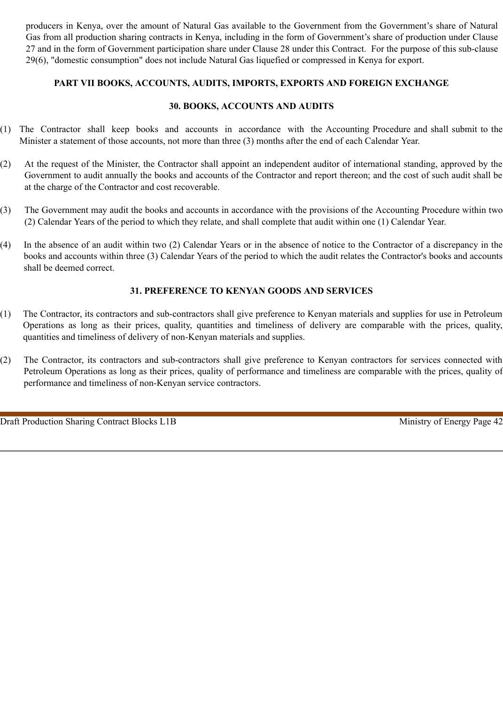producers in Kenya, over the amount of Natural Gas available to the Government from the Government's share of Natural Gas from all production sharing contracts in Kenya, including in the form of Government's share of production under Clause 27 and in the form of Government participation share under Clause 28 under this Contract. For the purpose of this sub-clause 29(6), "domestic consumption" does not include Natural Gas liquefied or compressed in Kenya for export.

## **PART VII BOOKS, ACCOUNTS, AUDITS, IMPORTS, EXPORTS AND FOREIGN EXCHANGE**

## **30. BOOKS, ACCOUNTS AND AUDITS**

- (1) The Contractor shall keep books and accounts in accordance with the Accounting Procedure and shall submit to the Minister a statement of those accounts, not more than three (3) months after the end of each Calendar Year.
- (2) At the request of the Minister, the Contractor shall appoint an independent auditor of international standing, approved by the Government to audit annually the books and accounts of the Contractor and report thereon; and the cost of such audit shall be at the charge of the Contractor and cost recoverable.
- (3) The Government may audit the books and accounts in accordance with the provisions of the Accounting Procedure within two (2) Calendar Years of the period to which they relate, and shall complete that audit within one (1) Calendar Year.
- (4) In the absence of an audit within two (2) Calendar Years or in the absence of notice to the Contractor of a discrepancy in the books and accounts within three (3) Calendar Years of the period to which the audit relates the Contractor's books and accounts shall be deemed correct.

## **31. PREFERENCE TO KENYAN GOODS AND SERVICES**

- (1) The Contractor, its contractors and sub-contractors shall give preference to Kenyan materials and supplies for use in Petroleum Operations as long as their prices, quality, quantities and timeliness of delivery are comparable with the prices, quality, quantities and timeliness of delivery of non-Kenyan materials and supplies.
- (2) The Contractor, its contractors and sub-contractors shall give preference to Kenyan contractors for services connected with Petroleum Operations as long as their prices, quality of performance and timeliness are comparable with the prices, quality of performance and timeliness of non-Kenyan service contractors.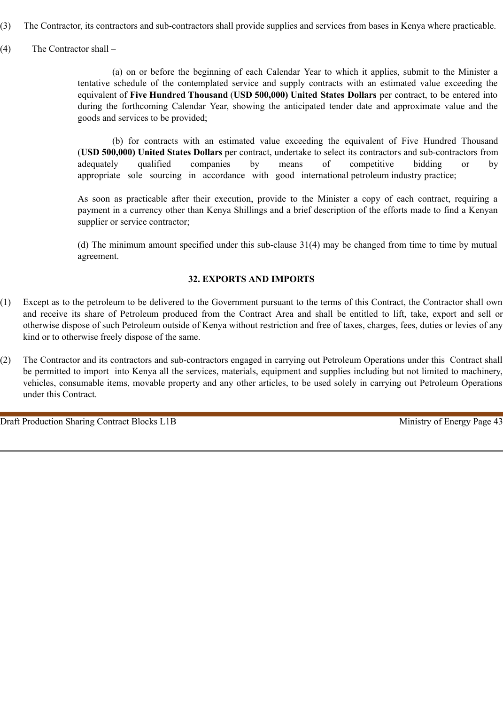- (3) The Contractor, its contractors and sub-contractors shall provide supplies and services from bases in Kenya where practicable.
- (4) The Contractor shall –

(a) on or before the beginning of each Calendar Year to which it applies, submit to the Minister a tentative schedule of the contemplated service and supply contracts with an estimated value exceeding the equivalent of **Five Hundred Thousand** (**USD 500,000) United States Dollars** per contract, to be entered into during the forthcoming Calendar Year, showing the anticipated tender date and approximate value and the goods and services to be provided;

(b) for contracts with an estimated value exceeding the equivalent of Five Hundred Thousand (**USD 500,000) United States Dollars** per contract, undertake to select its contractors and sub-contractors from adequately qualified companies by means of competitive bidding or by appropriate sole sourcing in accordance with good international petroleum industry practice;

As soon as practicable after their execution, provide to the Minister a copy of each contract, requiring a payment in a currency other than Kenya Shillings and a brief description of the efforts made to find a Kenyan supplier or service contractor;

(d) The minimum amount specified under this sub-clause 31(4) may be changed from time to time by mutual agreement.

## **32. EXPORTS AND IMPORTS**

- (1) Except as to the petroleum to be delivered to the Government pursuant to the terms of this Contract, the Contractor shall own and receive its share of Petroleum produced from the Contract Area and shall be entitled to lift, take, export and sell or otherwise dispose of such Petroleum outside of Kenya without restriction and free of taxes, charges, fees, duties or levies of any kind or to otherwise freely dispose of the same.
- (2) The Contractor and its contractors and sub-contractors engaged in carrying out Petroleum Operations under this Contract shall be permitted to import into Kenya all the services, materials, equipment and supplies including but not limited to machinery, vehicles, consumable items, movable property and any other articles, to be used solely in carrying out Petroleum Operations under this Contract.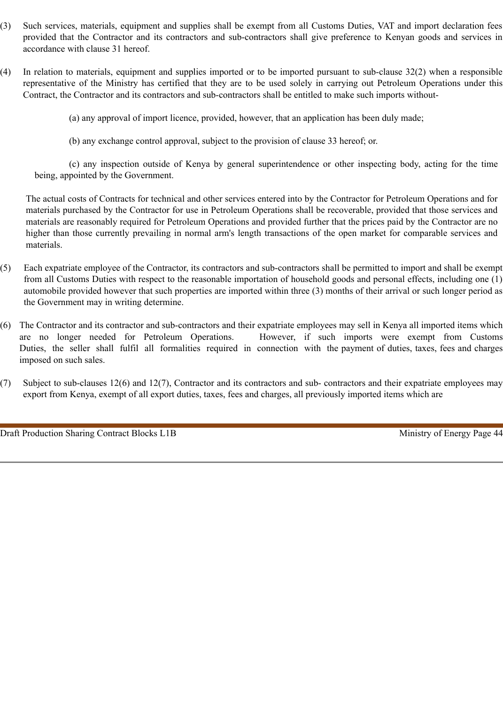- (3) Such services, materials, equipment and supplies shall be exempt from all Customs Duties, VAT and import declaration fees provided that the Contractor and its contractors and sub-contractors shall give preference to Kenyan goods and services in accordance with clause 31 hereof.
- (4) In relation to materials, equipment and supplies imported or to be imported pursuant to sub-clause 32(2) when a responsible representative of the Ministry has certified that they are to be used solely in carrying out Petroleum Operations under this Contract, the Contractor and its contractors and sub-contractors shall be entitled to make such imports without-

(a) any approval of import licence, provided, however, that an application has been duly made;

(b) any exchange control approval, subject to the provision of clause 33 hereof; or.

(c) any inspection outside of Kenya by general superintendence or other inspecting body, acting for the time being, appointed by the Government.

The actual costs of Contracts for technical and other services entered into by the Contractor for Petroleum Operations and for materials purchased by the Contractor for use in Petroleum Operations shall be recoverable, provided that those services and materials are reasonably required for Petroleum Operations and provided further that the prices paid by the Contractor are no higher than those currently prevailing in normal arm's length transactions of the open market for comparable services and materials.

- (5) Each expatriate employee of the Contractor, its contractors and sub-contractors shall be permitted to import and shall be exempt from all Customs Duties with respect to the reasonable importation of household goods and personal effects, including one (1) automobile provided however that such properties are imported within three (3) months of their arrival or such longer period as the Government may in writing determine.
- (6) The Contractor and its contractor and sub-contractors and their expatriate employees may sell in Kenya all imported items which are no longer needed for Petroleum Operations. However, if such imports were exempt from Customs Duties, the seller shall fulfil all formalities required in connection with the payment of duties, taxes, fees and charges imposed on such sales.
- (7) Subject to sub-clauses 12(6) and 12(7), Contractor and its contractors and sub- contractors and their expatriate employees may export from Kenya, exempt of all export duties, taxes, fees and charges, all previously imported items which are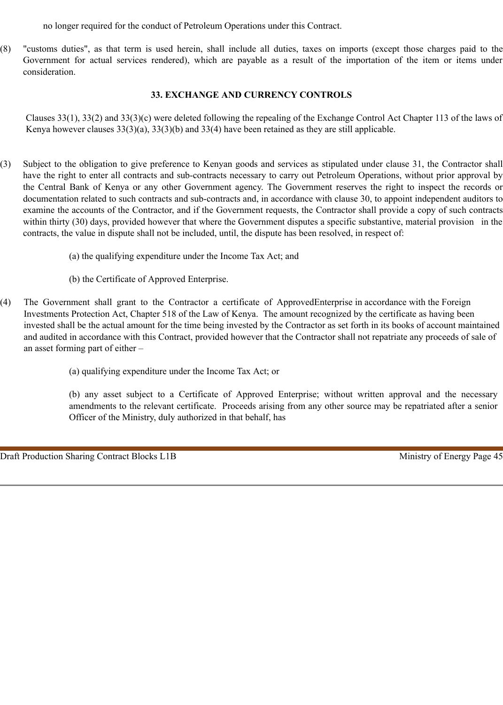no longer required for the conduct of Petroleum Operations under this Contract.

(8) "customs duties", as that term is used herein, shall include all duties, taxes on imports (except those charges paid to the Government for actual services rendered), which are payable as a result of the importation of the item or items under consideration.

## **33. EXCHANGE AND CURRENCY CONTROLS**

Clauses 33(1), 33(2) and 33(3)(c) were deleted following the repealing of the Exchange Control Act Chapter 113 of the laws of Kenya however clauses 33(3)(a), 33(3)(b) and 33(4) have been retained as they are still applicable.

- (3) Subject to the obligation to give preference to Kenyan goods and services as stipulated under clause 31, the Contractor shall have the right to enter all contracts and sub-contracts necessary to carry out Petroleum Operations, without prior approval by the Central Bank of Kenya or any other Government agency. The Government reserves the right to inspect the records or documentation related to such contracts and sub-contracts and, in accordance with clause 30, to appoint independent auditors to examine the accounts of the Contractor, and if the Government requests, the Contractor shall provide a copy of such contracts within thirty (30) days, provided however that where the Government disputes a specific substantive, material provision in the contracts, the value in dispute shall not be included, until, the dispute has been resolved, in respect of:
	- (a) the qualifying expenditure under the Income Tax Act; and
	- (b) the Certificate of Approved Enterprise.
- (4) The Government shall grant to the Contractor a certificate of ApprovedEnterprise in accordance with the Foreign Investments Protection Act, Chapter 518 of the Law of Kenya. The amount recognized by the certificate as having been invested shall be the actual amount for the time being invested by the Contractor as set forth in its books of account maintained and audited in accordance with this Contract, provided however that the Contractor shall not repatriate any proceeds of sale of an asset forming part of either –
	- (a) qualifying expenditure under the Income Tax Act; or

(b) any asset subject to a Certificate of Approved Enterprise; without written approval and the necessary amendments to the relevant certificate. Proceeds arising from any other source may be repatriated after a senior Officer of the Ministry, duly authorized in that behalf, has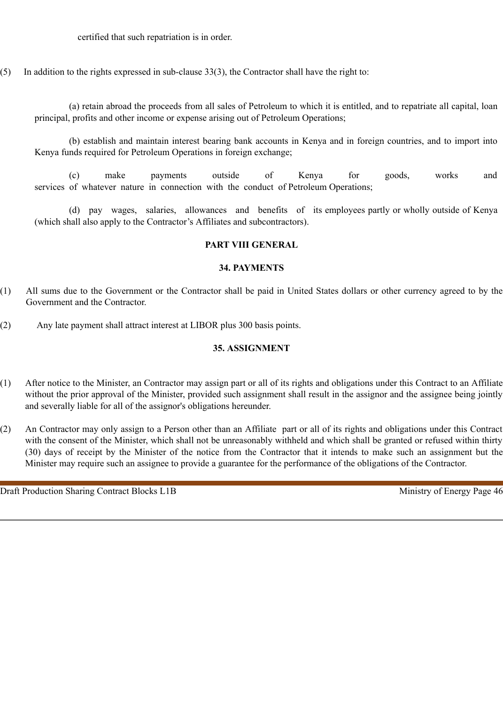certified that such repatriation is in order.

(5) In addition to the rights expressed in sub-clause 33(3), the Contractor shall have the right to:

(a) retain abroad the proceeds from all sales of Petroleum to which it is entitled, and to repatriate all capital, loan principal, profits and other income or expense arising out of Petroleum Operations;

(b) establish and maintain interest bearing bank accounts in Kenya and in foreign countries, and to import into Kenya funds required for Petroleum Operations in foreign exchange;

(c) make payments outside of Kenya for goods, works and services of whatever nature in connection with the conduct of Petroleum Operations;

(d) pay wages, salaries, allowances and benefits of its employees partly or wholly outside of Kenya (which shall also apply to the Contractor's Affiliates and subcontractors).

### **PART VIII GENERAL**

#### **34. PAYMENTS**

- (1) All sums due to the Government or the Contractor shall be paid in United States dollars or other currency agreed to by the Government and the Contractor.
- (2) Any late payment shall attract interest at LIBOR plus 300 basis points.

#### **35. ASSIGNMENT**

- (1) After notice to the Minister, an Contractor may assign part or all of its rights and obligations under this Contract to an Affiliate without the prior approval of the Minister, provided such assignment shall result in the assignor and the assignee being jointly and severally liable for all of the assignor's obligations hereunder.
- (2) An Contractor may only assign to a Person other than an Affiliate part or all of its rights and obligations under this Contract with the consent of the Minister, which shall not be unreasonably withheld and which shall be granted or refused within thirty (30) days of receipt by the Minister of the notice from the Contractor that it intends to make such an assignment but the Minister may require such an assignee to provide a guarantee for the performance of the obligations of the Contractor.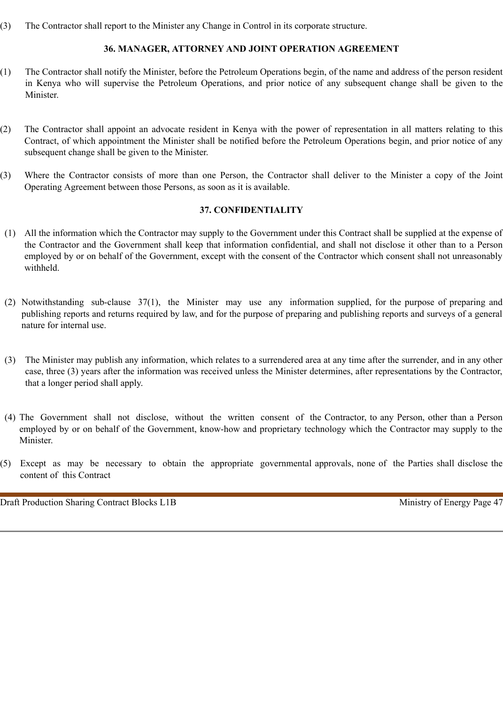(3) The Contractor shall report to the Minister any Change in Control in its corporate structure.

## **36. MANAGER, ATTORNEY AND JOINT OPERATION AGREEMENT**

- (1) The Contractor shall notify the Minister, before the Petroleum Operations begin, of the name and address of the person resident in Kenya who will supervise the Petroleum Operations, and prior notice of any subsequent change shall be given to the Minister.
- (2) The Contractor shall appoint an advocate resident in Kenya with the power of representation in all matters relating to this Contract, of which appointment the Minister shall be notified before the Petroleum Operations begin, and prior notice of any subsequent change shall be given to the Minister.
- (3) Where the Contractor consists of more than one Person, the Contractor shall deliver to the Minister a copy of the Joint Operating Agreement between those Persons, as soon as it is available.

### **37. CONFIDENTIALITY**

- (1) All the information which the Contractor may supply to the Government under this Contract shall be supplied at the expense of the Contractor and the Government shall keep that information confidential, and shall not disclose it other than to a Person employed by or on behalf of the Government, except with the consent of the Contractor which consent shall not unreasonably withheld.
- (2) Notwithstanding sub-clause 37(1), the Minister may use any information supplied, for the purpose of preparing and publishing reports and returns required by law, and for the purpose of preparing and publishing reports and surveys of a general nature for internal use.
- (3) The Minister may publish any information, which relates to a surrendered area at any time after the surrender, and in any other case, three (3) years after the information was received unless the Minister determines, after representations by the Contractor, that a longer period shall apply.
- (4) The Government shall not disclose, without the written consent of the Contractor, to any Person, other than a Person employed by or on behalf of the Government, know-how and proprietary technology which the Contractor may supply to the Minister.
- (5) Except as may be necessary to obtain the appropriate governmental approvals, none of the Parties shall disclose the content of this Contract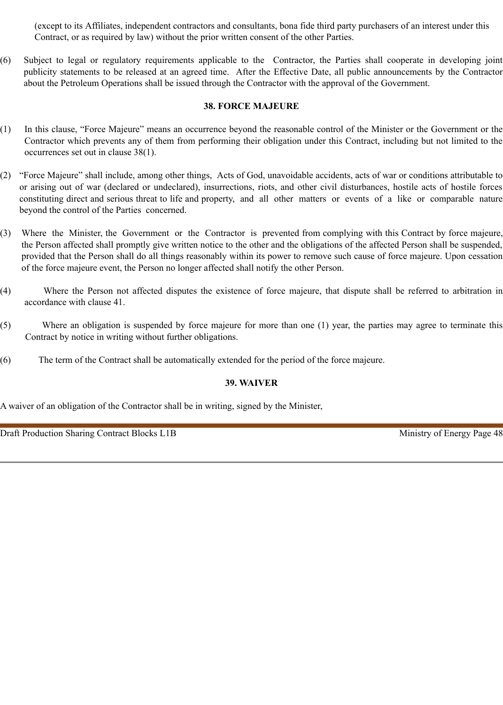(except to its Affiliates, independent contractors and consultants, bona fide third party purchasers of an interest under this Contract, or as required by law) without the prior written consent of the other Parties.

(6) Subject to legal or regulatory requirements applicable to the Contractor, the Parties shall cooperate in developing joint publicity statements to be released at an agreed time. After the Effective Date, all public announcements by the Contractor about the Petroleum Operations shall be issued through the Contractor with the approval of the Government.

## **38. FORCE MAJEURE**

- (1) In this clause, "Force Majeure" means an occurrence beyond the reasonable control of the Minister or the Government or the Contractor which prevents any of them from performing their obligation under this Contract, including but not limited to the occurrences set out in clause 38(1).
- (2) "Force Majeure" shall include, among other things, Acts of God, unavoidable accidents, acts of war or conditions attributable to or arising out of war (declared or undeclared), insurrections, riots, and other civil disturbances, hostile acts of hostile forces constituting direct and serious threat to life and property, and all other matters or events of a like or comparable nature beyond the control of the Parties concerned.
- (3) Where the Minister, the Government or the Contractor is prevented from complying with this Contract by force majeure, the Person affected shall promptly give written notice to the other and the obligations of the affected Person shall be suspended, provided that the Person shall do all things reasonably within its power to remove such cause of force majeure. Upon cessation of the force majeure event, the Person no longer affected shall notify the other Person.
- (4) Where the Person not affected disputes the existence of force majeure, that dispute shall be referred to arbitration in accordance with clause 41.
- (5) Where an obligation is suspended by force majeure for more than one (1) year, the parties may agree to terminate this Contract by notice in writing without further obligations.
- (6) The term of the Contract shall be automatically extended for the period of the force majeure.

# **39. WAIVER**

A waiver of an obligation of the Contractor shall be in writing, signed by the Minister,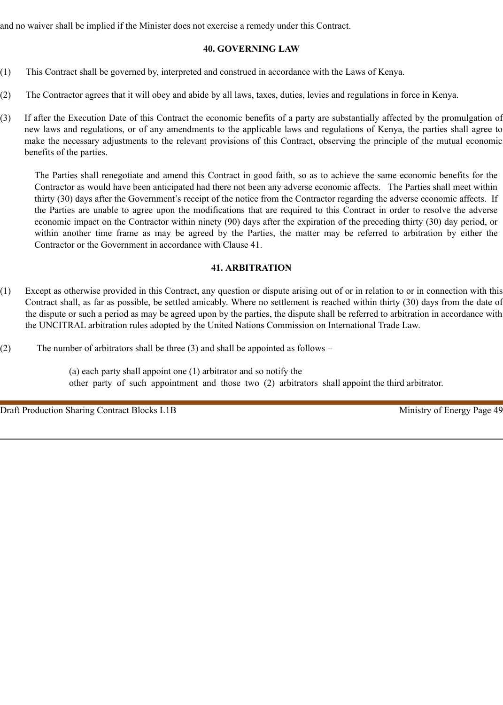and no waiver shall be implied if the Minister does not exercise a remedy under this Contract.

## **40. GOVERNING LAW**

- (1) This Contract shall be governed by, interpreted and construed in accordance with the Laws of Kenya.
- (2) The Contractor agrees that it will obey and abide by all laws, taxes, duties, levies and regulations in force in Kenya.
- (3) If after the Execution Date of this Contract the economic benefits of a party are substantially affected by the promulgation of new laws and regulations, or of any amendments to the applicable laws and regulations of Kenya, the parties shall agree to make the necessary adjustments to the relevant provisions of this Contract, observing the principle of the mutual economic benefits of the parties.

The Parties shall renegotiate and amend this Contract in good faith, so as to achieve the same economic benefits for the Contractor as would have been anticipated had there not been any adverse economic affects. The Parties shall meet within thirty (30) days after the Government's receipt of the notice from the Contractor regarding the adverse economic affects. If the Parties are unable to agree upon the modifications that are required to this Contract in order to resolve the adverse economic impact on the Contractor within ninety (90) days after the expiration of the preceding thirty (30) day period, or within another time frame as may be agreed by the Parties, the matter may be referred to arbitration by either the Contractor or the Government in accordance with Clause 41.

## **41. ARBITRATION**

- (1) Except as otherwise provided in this Contract, any question or dispute arising out of or in relation to or in connection with this Contract shall, as far as possible, be settled amicably. Where no settlement is reached within thirty (30) days from the date of the dispute or such a period as may be agreed upon by the parties, the dispute shall be referred to arbitration in accordance with the UNCITRAL arbitration rules adopted by the United Nations Commission on International Trade Law.
- (2) The number of arbitrators shall be three (3) and shall be appointed as follows –

(a) each party shall appoint one (1) arbitrator and so notify the other party of such appointment and those two (2) arbitrators shall appoint the third arbitrator.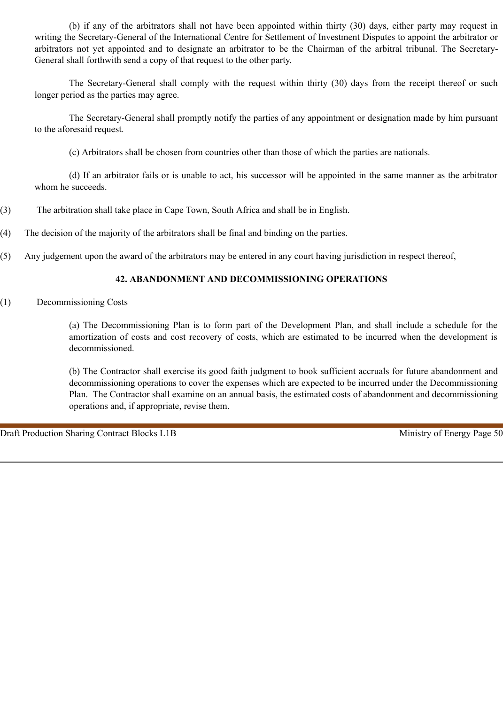(b) if any of the arbitrators shall not have been appointed within thirty (30) days, either party may request in writing the Secretary-General of the International Centre for Settlement of Investment Disputes to appoint the arbitrator or arbitrators not yet appointed and to designate an arbitrator to be the Chairman of the arbitral tribunal. The Secretary-General shall forthwith send a copy of that request to the other party.

The Secretary-General shall comply with the request within thirty (30) days from the receipt thereof or such longer period as the parties may agree.

The Secretary-General shall promptly notify the parties of any appointment or designation made by him pursuant to the aforesaid request.

(c) Arbitrators shall be chosen from countries other than those of which the parties are nationals.

(d) If an arbitrator fails or is unable to act, his successor will be appointed in the same manner as the arbitrator whom he succeeds.

- (3) The arbitration shall take place in Cape Town, South Africa and shall be in English.
- (4) The decision of the majority of the arbitrators shall be final and binding on the parties.
- (5) Any judgement upon the award of the arbitrators may be entered in any court having jurisdiction in respect thereof,

### **42. ABANDONMENT AND DECOMMISSIONING OPERATIONS**

(1) Decommissioning Costs

(a) The Decommissioning Plan is to form part of the Development Plan, and shall include a schedule for the amortization of costs and cost recovery of costs, which are estimated to be incurred when the development is decommissioned.

(b) The Contractor shall exercise its good faith judgment to book sufficient accruals for future abandonment and decommissioning operations to cover the expenses which are expected to be incurred under the Decommissioning Plan. The Contractor shall examine on an annual basis, the estimated costs of abandonment and decommissioning operations and, if appropriate, revise them.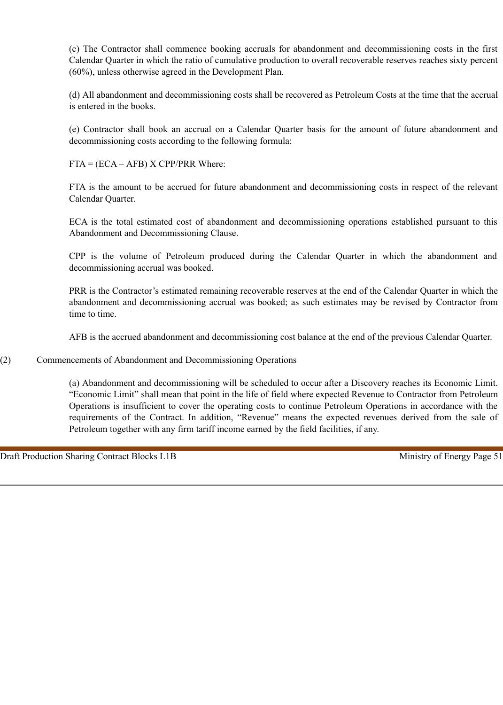(c) The Contractor shall commence booking accruals for abandonment and decommissioning costs in the first Calendar Quarter in which the ratio of cumulative production to overall recoverable reserves reaches sixty percent (60%), unless otherwise agreed in the Development Plan.

(d) All abandonment and decommissioning costs shall be recovered as Petroleum Costs at the time that the accrual is entered in the books.

(e) Contractor shall book an accrual on a Calendar Quarter basis for the amount of future abandonment and decommissioning costs according to the following formula:

 $FTA = (ECA - AFB) \times CP/PRR$  Where:

FTA is the amount to be accrued for future abandonment and decommissioning costs in respect of the relevant Calendar Quarter.

ECA is the total estimated cost of abandonment and decommissioning operations established pursuant to this Abandonment and Decommissioning Clause.

CPP is the volume of Petroleum produced during the Calendar Quarter in which the abandonment and decommissioning accrual was booked.

PRR is the Contractor's estimated remaining recoverable reserves at the end of the Calendar Quarter in which the abandonment and decommissioning accrual was booked; as such estimates may be revised by Contractor from time to time.

AFB is the accrued abandonment and decommissioning cost balance at the end of the previous Calendar Quarter.

(2) Commencements of Abandonment and Decommissioning Operations

(a) Abandonment and decommissioning will be scheduled to occur after a Discovery reaches its Economic Limit. "Economic Limit" shall mean that point in the life of field where expected Revenue to Contractor from Petroleum Operations is insufficient to cover the operating costs to continue Petroleum Operations in accordance with the requirements of the Contract. In addition, "Revenue" means the expected revenues derived from the sale of Petroleum together with any firm tariff income earned by the field facilities, if any.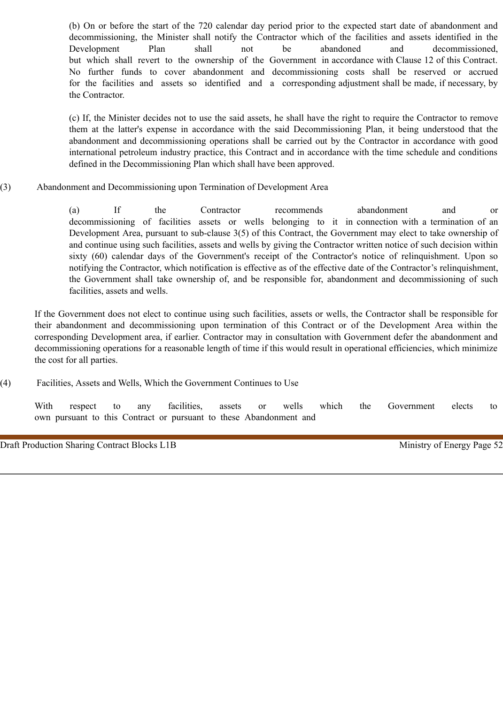(b) On or before the start of the 720 calendar day period prior to the expected start date of abandonment and decommissioning, the Minister shall notify the Contractor which of the facilities and assets identified in the Development Plan shall not be abandoned and decommissioned, but which shall revert to the ownership of the Government in accordance with Clause 12 of this Contract. No further funds to cover abandonment and decommissioning costs shall be reserved or accrued for the facilities and assets so identified and a corresponding adjustment shall be made, if necessary, by the Contractor.

(c) If, the Minister decides not to use the said assets, he shall have the right to require the Contractor to remove them at the latter's expense in accordance with the said Decommissioning Plan, it being understood that the abandonment and decommissioning operations shall be carried out by the Contractor in accordance with good international petroleum industry practice, this Contract and in accordance with the time schedule and conditions defined in the Decommissioning Plan which shall have been approved.

(3) Abandonment and Decommissioning upon Termination of Development Area

(a) If the Contractor recommends abandonment and or decommissioning of facilities assets or wells belonging to it in connection with a termination of an Development Area, pursuant to sub-clause 3(5) of this Contract, the Government may elect to take ownership of and continue using such facilities, assets and wells by giving the Contractor written notice of such decision within sixty (60) calendar days of the Government's receipt of the Contractor's notice of relinquishment. Upon so notifying the Contractor, which notification is effective as of the effective date of the Contractor's relinquishment, the Government shall take ownership of, and be responsible for, abandonment and decommissioning of such facilities, assets and wells.

If the Government does not elect to continue using such facilities, assets or wells, the Contractor shall be responsible for their abandonment and decommissioning upon termination of this Contract or of the Development Area within the corresponding Development area, if earlier. Contractor may in consultation with Government defer the abandonment and decommissioning operations for a reasonable length of time if this would result in operational efficiencies, which minimize the cost for all parties.

(4) Facilities, Assets and Wells, Which the Government Continues to Use

With respect to any facilities, assets or wells which the Government elects to own pursuant to this Contract or pursuant to these Abandonment and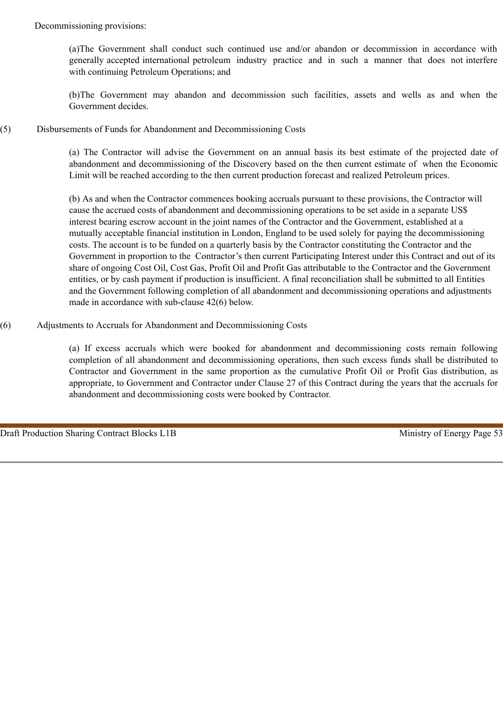Decommissioning provisions:

(a)The Government shall conduct such continued use and/or abandon or decommission in accordance with generally accepted international petroleum industry practice and in such a manner that does not interfere with continuing Petroleum Operations; and

(b)The Government may abandon and decommission such facilities, assets and wells as and when the Government decides.

(5) Disbursements of Funds for Abandonment and Decommissioning Costs

(a) The Contractor will advise the Government on an annual basis its best estimate of the projected date of abandonment and decommissioning of the Discovery based on the then current estimate of when the Economic Limit will be reached according to the then current production forecast and realized Petroleum prices.

(b) As and when the Contractor commences booking accruals pursuant to these provisions, the Contractor will cause the accrued costs of abandonment and decommissioning operations to be set aside in a separate US\$ interest bearing escrow account in the joint names of the Contractor and the Government, established at a mutually acceptable financial institution in London, England to be used solely for paying the decommissioning costs. The account is to be funded on a quarterly basis by the Contractor constituting the Contractor and the Government in proportion to the Contractor's then current Participating Interest under this Contract and out of its share of ongoing Cost Oil, Cost Gas, Profit Oil and Profit Gas attributable to the Contractor and the Government entities, or by cash payment if production is insufficient. A final reconciliation shall be submitted to all Entities and the Government following completion of all abandonment and decommissioning operations and adjustments made in accordance with sub-clause 42(6) below.

(6) Adjustments to Accruals for Abandonment and Decommissioning Costs

(a) If excess accruals which were booked for abandonment and decommissioning costs remain following completion of all abandonment and decommissioning operations, then such excess funds shall be distributed to Contractor and Government in the same proportion as the cumulative Profit Oil or Profit Gas distribution, as appropriate, to Government and Contractor under Clause 27 of this Contract during the years that the accruals for abandonment and decommissioning costs were booked by Contractor.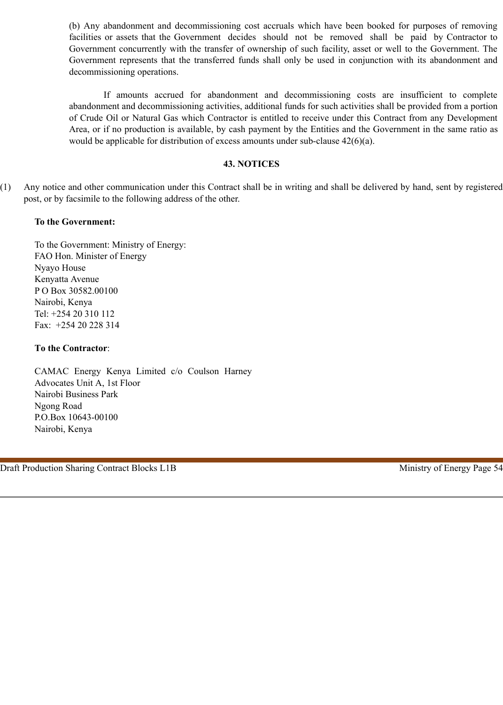(b) Any abandonment and decommissioning cost accruals which have been booked for purposes of removing facilities or assets that the Government decides should not be removed shall be paid by Contractor to Government concurrently with the transfer of ownership of such facility, asset or well to the Government. The Government represents that the transferred funds shall only be used in conjunction with its abandonment and decommissioning operations.

If amounts accrued for abandonment and decommissioning costs are insufficient to complete abandonment and decommissioning activities, additional funds for such activities shall be provided from a portion of Crude Oil or Natural Gas which Contractor is entitled to receive under this Contract from any Development Area, or if no production is available, by cash payment by the Entities and the Government in the same ratio as would be applicable for distribution of excess amounts under sub-clause 42(6)(a).

#### **43. NOTICES**

(1) Any notice and other communication under this Contract shall be in writing and shall be delivered by hand, sent by registered post, or by facsimile to the following address of the other.

### **To the Government:**

To the Government: Ministry of Energy: FAO Hon. Minister of Energy Nyayo House Kenyatta Avenue P O Box 30582.00100 Nairobi, Kenya Tel: +254 20 310 112 Fax: +254 20 228 314

#### **To the Contractor**:

CAMAC Energy Kenya Limited c/o Coulson Harney Advocates Unit A, 1st Floor Nairobi Business Park Ngong Road P.O.Box 10643-00100 Nairobi, Kenya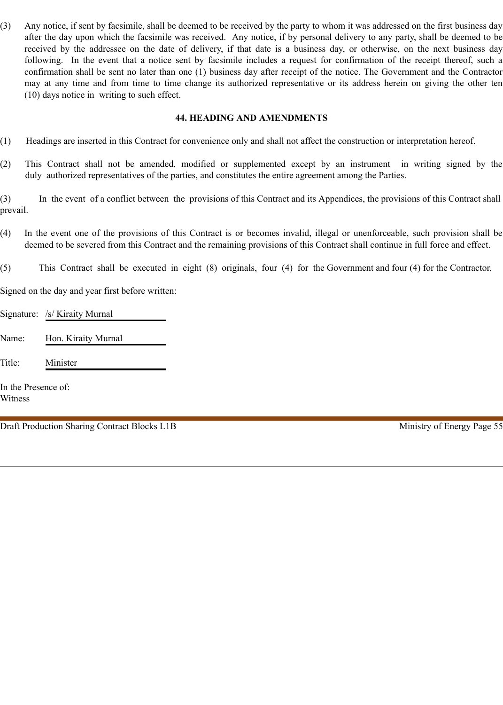(3) Any notice, if sent by facsimile, shall be deemed to be received by the party to whom it was addressed on the first business day after the day upon which the facsimile was received. Any notice, if by personal delivery to any party, shall be deemed to be received by the addressee on the date of delivery, if that date is a business day, or otherwise, on the next business day following. In the event that a notice sent by facsimile includes a request for confirmation of the receipt thereof, such a confirmation shall be sent no later than one (1) business day after receipt of the notice. The Government and the Contractor may at any time and from time to time change its authorized representative or its address herein on giving the other ten (10) days notice in writing to such effect.

### **44. HEADING AND AMENDMENTS**

- (1) Headings are inserted in this Contract for convenience only and shall not affect the construction or interpretation hereof.
- (2) This Contract shall not be amended, modified or supplemented except by an instrument in writing signed by the duly authorized representatives of the parties, and constitutes the entire agreement among the Parties.

(3) In the event of a conflict between the provisions of this Contract and its Appendices, the provisions of this Contract shall prevail.

- (4) In the event one of the provisions of this Contract is or becomes invalid, illegal or unenforceable, such provision shall be deemed to be severed from this Contract and the remaining provisions of this Contract shall continue in full force and effect.
- (5) This Contract shall be executed in eight (8) originals, four (4) for the Government and four (4) for the Contractor.

Signed on the day and year first before written:

Signature: /s/ Kiraity Murnal

Name: Hon. Kiraity Murnal

Title: Minister

In the Presence of: Witness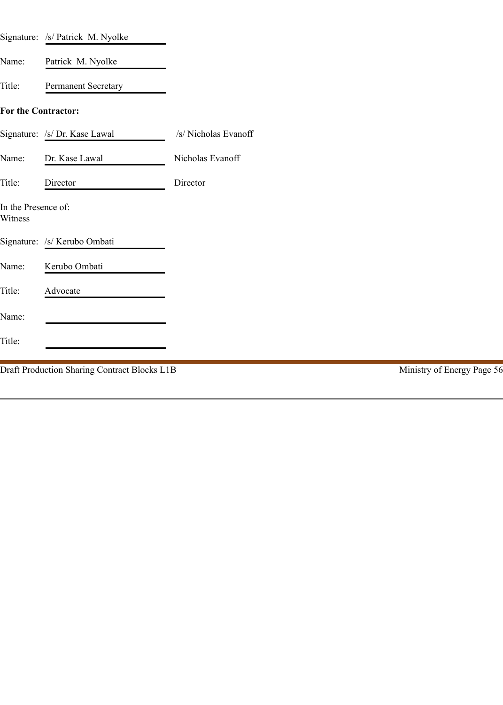|                                | Signature: /s/ Patrick M. Nyolke             |                      |                            |
|--------------------------------|----------------------------------------------|----------------------|----------------------------|
| Name:                          | Patrick M. Nyolke                            |                      |                            |
| Title:                         | Permanent Secretary                          |                      |                            |
| For the Contractor:            |                                              |                      |                            |
|                                | Signature: /s/ Dr. Kase Lawal                | /s/ Nicholas Evanoff |                            |
| Name:                          | Dr. Kase Lawal                               | Nicholas Evanoff     |                            |
| Title:                         | Director                                     | Director             |                            |
| In the Presence of:<br>Witness |                                              |                      |                            |
|                                | Signature: /s/ Kerubo Ombati                 |                      |                            |
| Name:                          | Kerubo Ombati                                |                      |                            |
| Title:                         | Advocate                                     |                      |                            |
| Name:                          |                                              |                      |                            |
| Title:                         |                                              |                      |                            |
|                                | Draft Production Sharing Contract Blocks L1B |                      | Ministry of Energy Page 56 |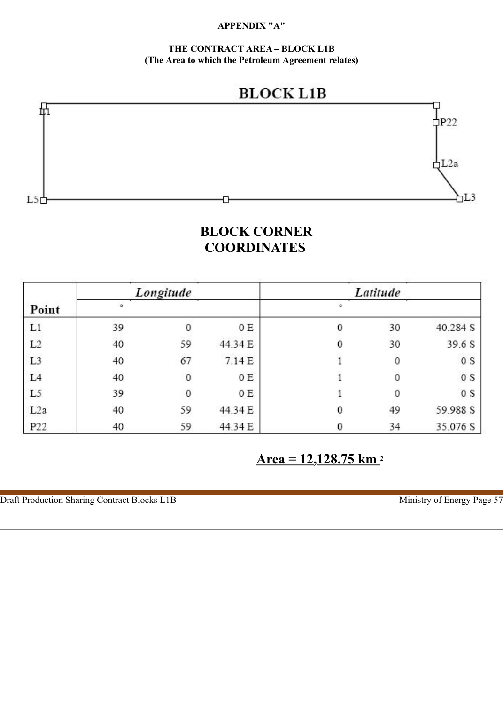## **APPENDIX "A"**

**THE CONTRACT AREA – BLOCK L1B (The Area to which the Petroleum Agreement relates)**





# **BLOCK CORNER COORDINATES**

|                 | Longitude |    |         | Latitude |          |          |  |
|-----------------|-----------|----|---------|----------|----------|----------|--|
| Point           |           |    |         |          |          |          |  |
| L1              | 39        | 0  | 0E      |          | 30       | 40.284 S |  |
| L2              | 40        | 59 | 44.34 E |          | 30       | 39.6 S   |  |
| L <sub>3</sub>  | 40        | 67 | 7.14 E  |          | 0        | 0S       |  |
| L <sub>4</sub>  | 40        | 0  | 0E      |          | $\theta$ | 0S       |  |
| L <sub>5</sub>  | 39        | 0  | 0 E     |          | 0        | 0S       |  |
| L2a             | 40        | 59 | 44.34 E | 0        | 49       | 59.988 S |  |
| P <sub>22</sub> | 40        | 59 | 44.34 E |          | 34       | 35.076 S |  |

 **Area = 12,128.75 km 2**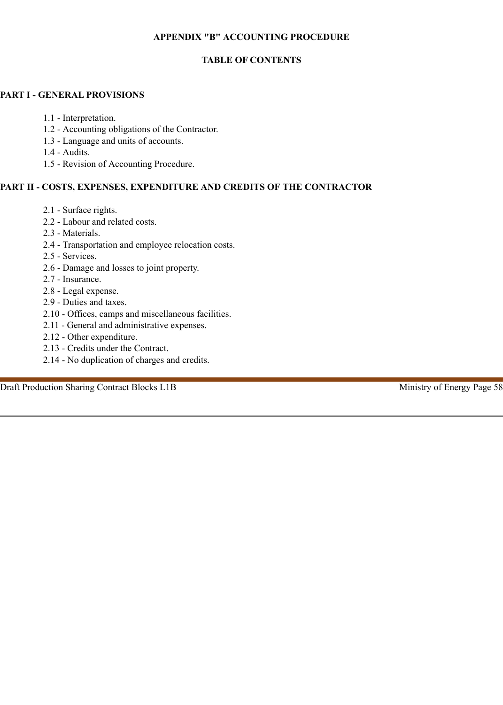## **APPENDIX "B" ACCOUNTING PROCEDURE**

# **TABLE OF CONTENTS**

## **PART I - GENERAL PROVISIONS**

- 1.1 Interpretation.
- 1.2 Accounting obligations of the Contractor.
- 1.3 Language and units of accounts.
- 1.4 Audits.
- 1.5 Revision of Accounting Procedure.

# **PART II - COSTS, EXPENSES, EXPENDITURE AND CREDITS OF THE CONTRACTOR**

- 2.1 Surface rights.
- 2.2 Labour and related costs.
- 2.3 Materials.
- 2.4 Transportation and employee relocation costs.
- 2.5 Services.
- 2.6 Damage and losses to joint property.
- 2.7 Insurance.
- 2.8 Legal expense.
- 2.9 Duties and taxes.
- 2.10 Offices, camps and miscellaneous facilities.
- 2.11 General and administrative expenses.
- 2.12 Other expenditure.
- 2.13 Credits under the Contract.
- 2.14 No duplication of charges and credits.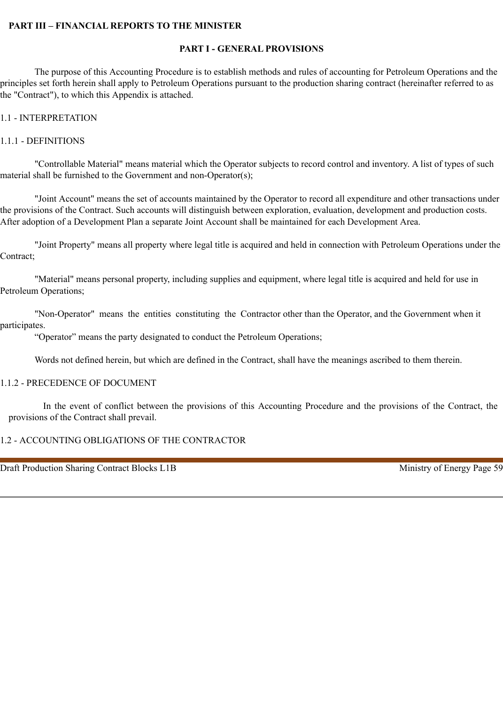#### **PART III – FINANCIAL REPORTS TO THE MINISTER**

#### **PART I - GENERAL PROVISIONS**

The purpose of this Accounting Procedure is to establish methods and rules of accounting for Petroleum Operations and the principles set forth herein shall apply to Petroleum Operations pursuant to the production sharing contract (hereinafter referred to as the "Contract"), to which this Appendix is attached.

#### 1.1 - INTERPRETATION

#### 1.1.1 - DEFINITIONS

"Controllable Material" means material which the Operator subjects to record control and inventory. A list of types of such material shall be furnished to the Government and non-Operator(s);

"Joint Account" means the set of accounts maintained by the Operator to record all expenditure and other transactions under the provisions of the Contract. Such accounts will distinguish between exploration, evaluation, development and production costs. After adoption of a Development Plan a separate Joint Account shall be maintained for each Development Area.

"Joint Property" means all property where legal title is acquired and held in connection with Petroleum Operations under the Contract;

"Material" means personal property, including supplies and equipment, where legal title is acquired and held for use in Petroleum Operations;

"Non-Operator" means the entities constituting the Contractor other than the Operator, and the Government when it participates.

"Operator" means the party designated to conduct the Petroleum Operations;

Words not defined herein, but which are defined in the Contract, shall have the meanings ascribed to them therein.

#### 1.1.2 - PRECEDENCE OF DOCUMENT

In the event of conflict between the provisions of this Accounting Procedure and the provisions of the Contract, the provisions of the Contract shall prevail.

#### 1.2 - ACCOUNTING OBLIGATIONS OF THE CONTRACTOR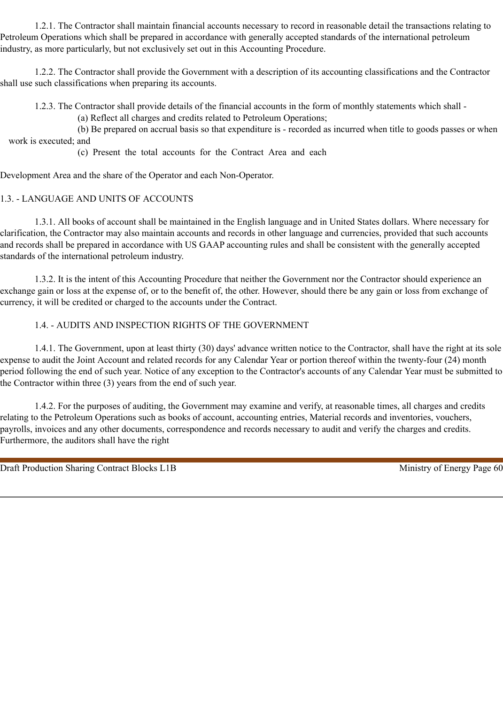1.2.1. The Contractor shall maintain financial accounts necessary to record in reasonable detail the transactions relating to Petroleum Operations which shall be prepared in accordance with generally accepted standards of the international petroleum industry, as more particularly, but not exclusively set out in this Accounting Procedure.

1.2.2. The Contractor shall provide the Government with a description of its accounting classifications and the Contractor shall use such classifications when preparing its accounts.

1.2.3. The Contractor shall provide details of the financial accounts in the form of monthly statements which shall -

(a) Reflect all charges and credits related to Petroleum Operations;

(b) Be prepared on accrual basis so that expenditure is - recorded as incurred when title to goods passes or when work is executed; and

(c) Present the total accounts for the Contract Area and each

Development Area and the share of the Operator and each Non-Operator.

### 1.3. - LANGUAGE AND UNITS OF ACCOUNTS

1.3.1. All books of account shall be maintained in the English language and in United States dollars. Where necessary for clarification, the Contractor may also maintain accounts and records in other language and currencies, provided that such accounts and records shall be prepared in accordance with US GAAP accounting rules and shall be consistent with the generally accepted standards of the international petroleum industry.

1.3.2. It is the intent of this Accounting Procedure that neither the Government nor the Contractor should experience an exchange gain or loss at the expense of, or to the benefit of, the other. However, should there be any gain or loss from exchange of currency, it will be credited or charged to the accounts under the Contract.

### 1.4. - AUDITS AND INSPECTION RIGHTS OF THE GOVERNMENT

1.4.1. The Government, upon at least thirty (30) days' advance written notice to the Contractor, shall have the right at its sole expense to audit the Joint Account and related records for any Calendar Year or portion thereof within the twenty-four (24) month period following the end of such year. Notice of any exception to the Contractor's accounts of any Calendar Year must be submitted to the Contractor within three (3) years from the end of such year.

1.4.2. For the purposes of auditing, the Government may examine and verify, at reasonable times, all charges and credits relating to the Petroleum Operations such as books of account, accounting entries, Material records and inventories, vouchers, payrolls, invoices and any other documents, correspondence and records necessary to audit and verify the charges and credits. Furthermore, the auditors shall have the right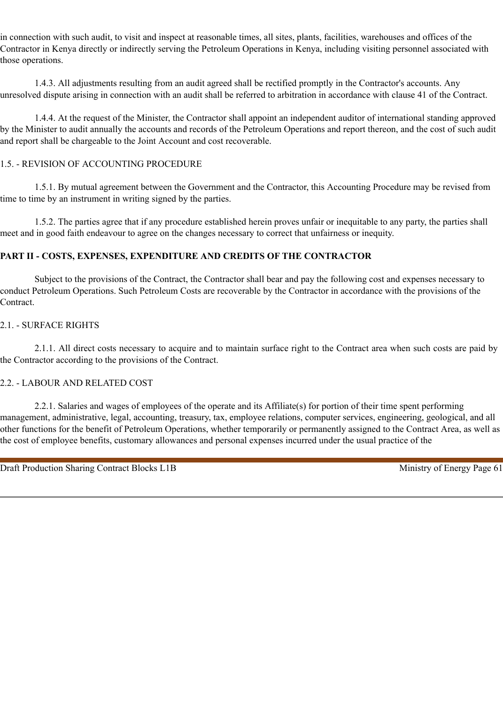in connection with such audit, to visit and inspect at reasonable times, all sites, plants, facilities, warehouses and offices of the Contractor in Kenya directly or indirectly serving the Petroleum Operations in Kenya, including visiting personnel associated with those operations.

1.4.3. All adjustments resulting from an audit agreed shall be rectified promptly in the Contractor's accounts. Any unresolved dispute arising in connection with an audit shall be referred to arbitration in accordance with clause 41 of the Contract.

1.4.4. At the request of the Minister, the Contractor shall appoint an independent auditor of international standing approved by the Minister to audit annually the accounts and records of the Petroleum Operations and report thereon, and the cost of such audit and report shall be chargeable to the Joint Account and cost recoverable.

# 1.5. - REVISION OF ACCOUNTING PROCEDURE

1.5.1. By mutual agreement between the Government and the Contractor, this Accounting Procedure may be revised from time to time by an instrument in writing signed by the parties.

1.5.2. The parties agree that if any procedure established herein proves unfair or inequitable to any party, the parties shall meet and in good faith endeavour to agree on the changes necessary to correct that unfairness or inequity.

# **PART II - COSTS, EXPENSES, EXPENDITURE AND CREDITS OF THE CONTRACTOR**

Subject to the provisions of the Contract, the Contractor shall bear and pay the following cost and expenses necessary to conduct Petroleum Operations. Such Petroleum Costs are recoverable by the Contractor in accordance with the provisions of the Contract.

## 2.1. - SURFACE RIGHTS

2.1.1. All direct costs necessary to acquire and to maintain surface right to the Contract area when such costs are paid by the Contractor according to the provisions of the Contract.

## 2.2. - LABOUR AND RELATED COST

2.2.1. Salaries and wages of employees of the operate and its Affiliate(s) for portion of their time spent performing management, administrative, legal, accounting, treasury, tax, employee relations, computer services, engineering, geological, and all other functions for the benefit of Petroleum Operations, whether temporarily or permanently assigned to the Contract Area, as well as the cost of employee benefits, customary allowances and personal expenses incurred under the usual practice of the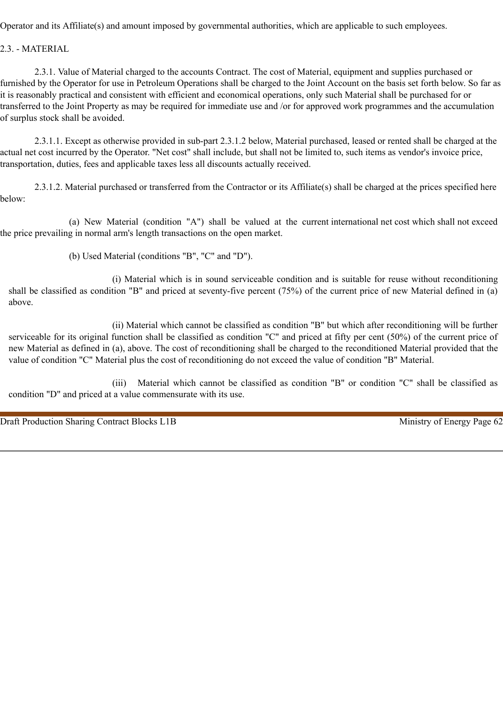Operator and its Affiliate(s) and amount imposed by governmental authorities, which are applicable to such employees.

2.3. - MATERIAL

2.3.1. Value of Material charged to the accounts Contract. The cost of Material, equipment and supplies purchased or furnished by the Operator for use in Petroleum Operations shall be charged to the Joint Account on the basis set forth below. So far as it is reasonably practical and consistent with efficient and economical operations, only such Material shall be purchased for or transferred to the Joint Property as may be required for immediate use and /or for approved work programmes and the accumulation of surplus stock shall be avoided.

2.3.1.1. Except as otherwise provided in sub-part 2.3.1.2 below, Material purchased, leased or rented shall be charged at the actual net cost incurred by the Operator. "Net cost" shall include, but shall not be limited to, such items as vendor's invoice price, transportation, duties, fees and applicable taxes less all discounts actually received.

2.3.1.2. Material purchased or transferred from the Contractor or its Affiliate(s) shall be charged at the prices specified here below:

(a) New Material (condition "A") shall be valued at the current international net cost which shall not exceed the price prevailing in normal arm's length transactions on the open market.

(b) Used Material (conditions "B", "C" and "D").

(i) Material which is in sound serviceable condition and is suitable for reuse without reconditioning shall be classified as condition "B" and priced at seventy-five percent (75%) of the current price of new Material defined in (a) above.

(ii) Material which cannot be classified as condition "B" but which after reconditioning will be further serviceable for its original function shall be classified as condition "C" and priced at fifty per cent (50%) of the current price of new Material as defined in (a), above. The cost of reconditioning shall be charged to the reconditioned Material provided that the value of condition "C" Material plus the cost of reconditioning do not exceed the value of condition "B" Material.

(iii) Material which cannot be classified as condition "B" or condition "C" shall be classified as condition "D" and priced at a value commensurate with its use.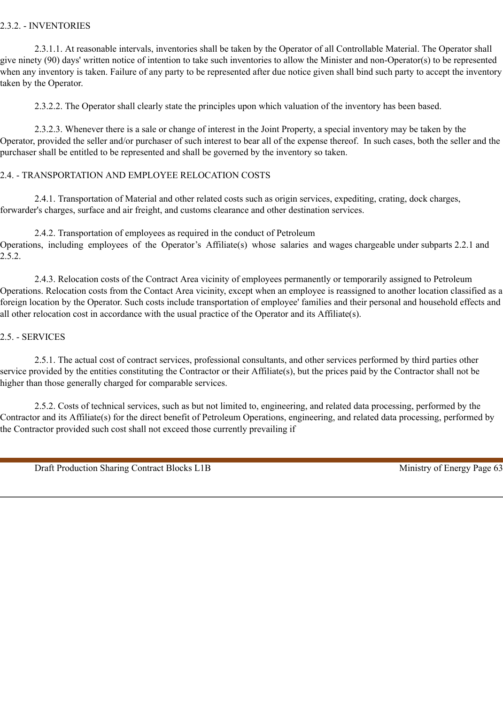## 2.3.2. - INVENTORIES

2.3.1.1. At reasonable intervals, inventories shall be taken by the Operator of all Controllable Material. The Operator shall give ninety (90) days' written notice of intention to take such inventories to allow the Minister and non-Operator(s) to be represented when any inventory is taken. Failure of any party to be represented after due notice given shall bind such party to accept the inventory taken by the Operator.

2.3.2.2. The Operator shall clearly state the principles upon which valuation of the inventory has been based.

2.3.2.3. Whenever there is a sale or change of interest in the Joint Property, a special inventory may be taken by the Operator, provided the seller and/or purchaser of such interest to bear all of the expense thereof. In such cases, both the seller and the purchaser shall be entitled to be represented and shall be governed by the inventory so taken.

## 2.4. - TRANSPORTATION AND EMPLOYEE RELOCATION COSTS

2.4.1. Transportation of Material and other related costs such as origin services, expediting, crating, dock charges, forwarder's charges, surface and air freight, and customs clearance and other destination services.

2.4.2. Transportation of employees as required in the conduct of Petroleum Operations, including employees of the Operator's Affiliate(s) whose salaries and wages chargeable under subparts 2.2.1 and 2.5.2.

2.4.3. Relocation costs of the Contract Area vicinity of employees permanently or temporarily assigned to Petroleum Operations. Relocation costs from the Contact Area vicinity, except when an employee is reassigned to another location classified as a foreign location by the Operator. Such costs include transportation of employee' families and their personal and household effects and all other relocation cost in accordance with the usual practice of the Operator and its Affiliate(s).

### 2.5. - SERVICES

2.5.1. The actual cost of contract services, professional consultants, and other services performed by third parties other service provided by the entities constituting the Contractor or their Affiliate(s), but the prices paid by the Contractor shall not be higher than those generally charged for comparable services.

2.5.2. Costs of technical services, such as but not limited to, engineering, and related data processing, performed by the Contractor and its Affiliate(s) for the direct benefit of Petroleum Operations, engineering, and related data processing, performed by the Contractor provided such cost shall not exceed those currently prevailing if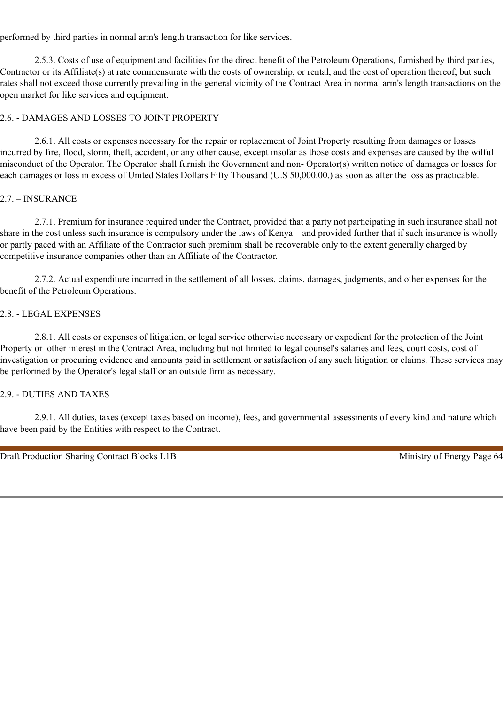performed by third parties in normal arm's length transaction for like services.

2.5.3. Costs of use of equipment and facilities for the direct benefit of the Petroleum Operations, furnished by third parties, Contractor or its Affiliate(s) at rate commensurate with the costs of ownership, or rental, and the cost of operation thereof, but such rates shall not exceed those currently prevailing in the general vicinity of the Contract Area in normal arm's length transactions on the open market for like services and equipment.

# 2.6. - DAMAGES AND LOSSES TO JOINT PROPERTY

2.6.1. All costs or expenses necessary for the repair or replacement of Joint Property resulting from damages or losses incurred by fire, flood, storm, theft, accident, or any other cause, except insofar as those costs and expenses are caused by the wilful misconduct of the Operator. The Operator shall furnish the Government and non- Operator(s) written notice of damages or losses for each damages or loss in excess of United States Dollars Fifty Thousand (U.S 50,000.00.) as soon as after the loss as practicable.

## 2.7. – INSURANCE

2.7.1. Premium for insurance required under the Contract, provided that a party not participating in such insurance shall not share in the cost unless such insurance is compulsory under the laws of Kenya and provided further that if such insurance is wholly or partly paced with an Affiliate of the Contractor such premium shall be recoverable only to the extent generally charged by competitive insurance companies other than an Affiliate of the Contractor.

2.7.2. Actual expenditure incurred in the settlement of all losses, claims, damages, judgments, and other expenses for the benefit of the Petroleum Operations.

### 2.8. - LEGAL EXPENSES

2.8.1. All costs or expenses of litigation, or legal service otherwise necessary or expedient for the protection of the Joint Property or other interest in the Contract Area, including but not limited to legal counsel's salaries and fees, court costs, cost of investigation or procuring evidence and amounts paid in settlement or satisfaction of any such litigation or claims. These services may be performed by the Operator's legal staff or an outside firm as necessary.

#### 2.9. - DUTIES AND TAXES

2.9.1. All duties, taxes (except taxes based on income), fees, and governmental assessments of every kind and nature which have been paid by the Entities with respect to the Contract.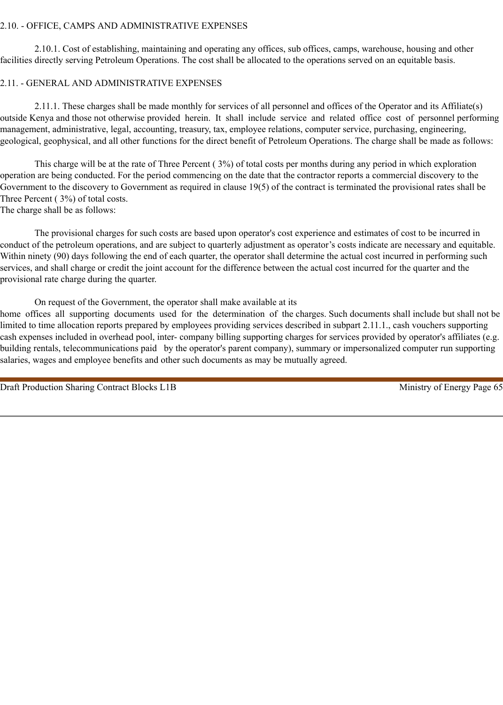#### 2.10. - OFFICE, CAMPS AND ADMINISTRATIVE EXPENSES

2.10.1. Cost of establishing, maintaining and operating any offices, sub offices, camps, warehouse, housing and other facilities directly serving Petroleum Operations. The cost shall be allocated to the operations served on an equitable basis.

## 2.11. - GENERAL AND ADMINISTRATIVE EXPENSES

2.11.1. These charges shall be made monthly for services of all personnel and offices of the Operator and its Affiliate(s) outside Kenya and those not otherwise provided herein. It shall include service and related office cost of personnel performing management, administrative, legal, accounting, treasury, tax, employee relations, computer service, purchasing, engineering, geological, geophysical, and all other functions for the direct benefit of Petroleum Operations. The charge shall be made as follows:

This charge will be at the rate of Three Percent ( 3%) of total costs per months during any period in which exploration operation are being conducted. For the period commencing on the date that the contractor reports a commercial discovery to the Government to the discovery to Government as required in clause 19(5) of the contract is terminated the provisional rates shall be Three Percent ( 3%) of total costs.

The charge shall be as follows:

The provisional charges for such costs are based upon operator's cost experience and estimates of cost to be incurred in conduct of the petroleum operations, and are subject to quarterly adjustment as operator's costs indicate are necessary and equitable. Within ninety (90) days following the end of each quarter, the operator shall determine the actual cost incurred in performing such services, and shall charge or credit the joint account for the difference between the actual cost incurred for the quarter and the provisional rate charge during the quarter.

On request of the Government, the operator shall make available at its

home offices all supporting documents used for the determination of the charges. Such documents shall include but shall not be limited to time allocation reports prepared by employees providing services described in subpart 2.11.1., cash vouchers supporting cash expenses included in overhead pool, inter- company billing supporting charges for services provided by operator's affiliates (e.g. building rentals, telecommunications paid by the operator's parent company), summary or impersonalized computer run supporting salaries, wages and employee benefits and other such documents as may be mutually agreed.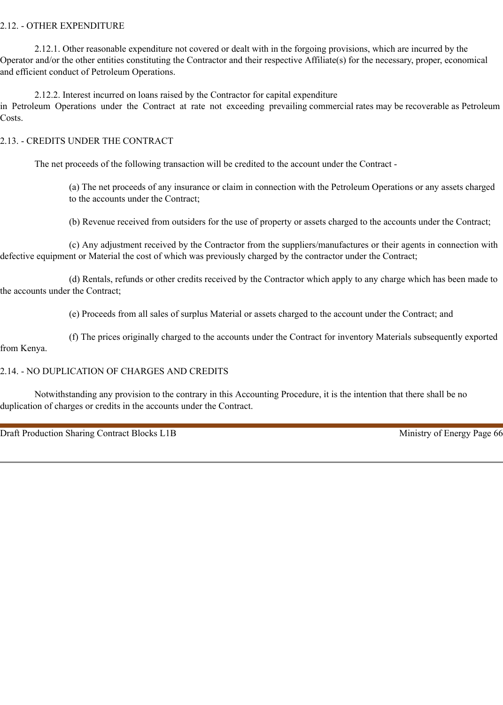## 2.12. - OTHER EXPENDITURE

2.12.1. Other reasonable expenditure not covered or dealt with in the forgoing provisions, which are incurred by the Operator and/or the other entities constituting the Contractor and their respective Affiliate(s) for the necessary, proper, economical and efficient conduct of Petroleum Operations.

2.12.2. Interest incurred on loans raised by the Contractor for capital expenditure

in Petroleum Operations under the Contract at rate not exceeding prevailing commercial rates may be recoverable as Petroleum Costs.

### 2.13. - CREDITS UNDER THE CONTRACT

The net proceeds of the following transaction will be credited to the account under the Contract -

(a) The net proceeds of any insurance or claim in connection with the Petroleum Operations or any assets charged to the accounts under the Contract;

(b) Revenue received from outsiders for the use of property or assets charged to the accounts under the Contract;

(c) Any adjustment received by the Contractor from the suppliers/manufactures or their agents in connection with defective equipment or Material the cost of which was previously charged by the contractor under the Contract;

(d) Rentals, refunds or other credits received by the Contractor which apply to any charge which has been made to the accounts under the Contract;

(e) Proceeds from all sales of surplus Material or assets charged to the account under the Contract; and

(f) The prices originally charged to the accounts under the Contract for inventory Materials subsequently exported

## from Kenya.

## 2.14. - NO DUPLICATION OF CHARGES AND CREDITS

Notwithstanding any provision to the contrary in this Accounting Procedure, it is the intention that there shall be no duplication of charges or credits in the accounts under the Contract.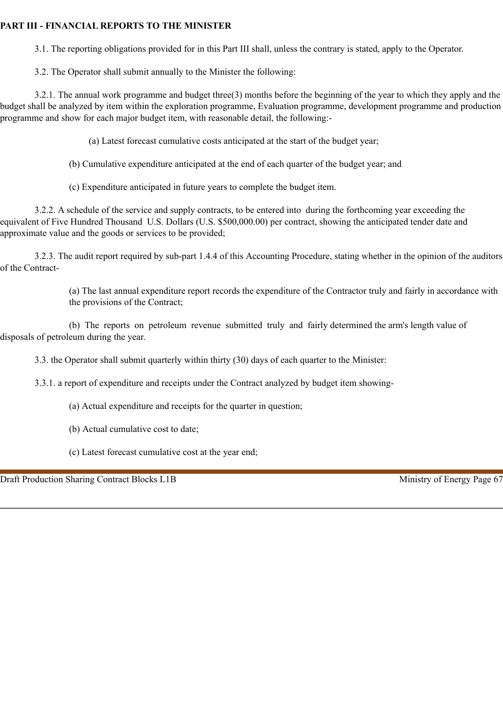# **PART III - FINANCIAL REPORTS TO THE MINISTER**

3.1. The reporting obligations provided for in this Part III shall, unless the contrary is stated, apply to the Operator.

3.2. The Operator shall submit annually to the Minister the following:

3.2.1. The annual work programme and budget three(3) months before the beginning of the year to which they apply and the budget shall be analyzed by item within the exploration programme, Evaluation programme, development programme and production programme and show for each major budget item, with reasonable detail, the following:-

(a) Latest forecast cumulative costs anticipated at the start of the budget year;

(b) Cumulative expenditure anticipated at the end of each quarter of the budget year; and

(c) Expenditure anticipated in future years to complete the budget item.

3.2.2. A schedule of the service and supply contracts, to be entered into during the forthcoming year exceeding the equivalent of Five Hundred Thousand U.S. Dollars (U.S. \$500,000.00) per contract, showing the anticipated tender date and approximate value and the goods or services to be provided;

3.2.3. The audit report required by sub-part 1.4.4 of this Accounting Procedure, stating whether in the opinion of the auditors of the Contract-

> (a) The last annual expenditure report records the expenditure of the Contractor truly and fairly in accordance with the provisions of the Contract;

(b) The reports on petroleum revenue submitted truly and fairly determined the arm's length value of disposals of petroleum during the year.

3.3. the Operator shall submit quarterly within thirty (30) days of each quarter to the Minister:

3.3.1. a report of expenditure and receipts under the Contract analyzed by budget item showing-

- (a) Actual expenditure and receipts for the quarter in question;
- (b) Actual cumulative cost to date;
- (c) Latest forecast cumulative cost at the year end;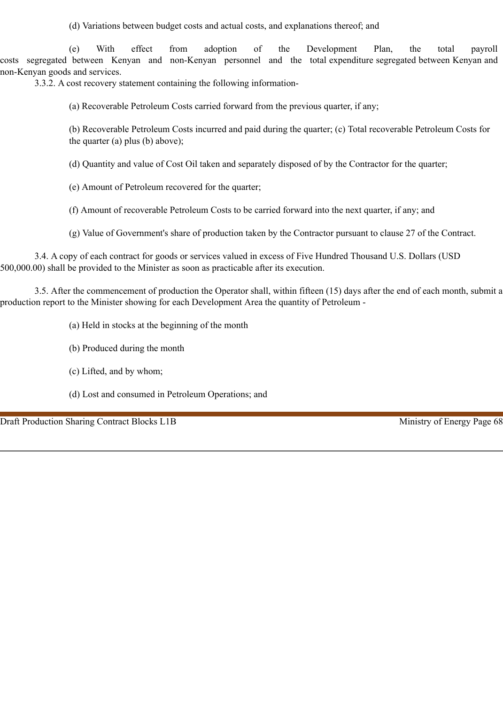(d) Variations between budget costs and actual costs, and explanations thereof; and

(e) With effect from adoption of the Development Plan, the total payroll costs segregated between Kenyan and non-Kenyan personnel and the total expenditure segregated between Kenyan and non-Kenyan goods and services.

3.3.2. A cost recovery statement containing the following information-

(a) Recoverable Petroleum Costs carried forward from the previous quarter, if any;

(b) Recoverable Petroleum Costs incurred and paid during the quarter; (c) Total recoverable Petroleum Costs for the quarter (a) plus (b) above);

(d) Quantity and value of Cost Oil taken and separately disposed of by the Contractor for the quarter;

(e) Amount of Petroleum recovered for the quarter;

(f) Amount of recoverable Petroleum Costs to be carried forward into the next quarter, if any; and

(g) Value of Government's share of production taken by the Contractor pursuant to clause 27 of the Contract.

3.4. A copy of each contract for goods or services valued in excess of Five Hundred Thousand U.S. Dollars (USD 500,000.00) shall be provided to the Minister as soon as practicable after its execution.

3.5. After the commencement of production the Operator shall, within fifteen (15) days after the end of each month, submit a production report to the Minister showing for each Development Area the quantity of Petroleum -

- (a) Held in stocks at the beginning of the month
- (b) Produced during the month
- (c) Lifted, and by whom;
- (d) Lost and consumed in Petroleum Operations; and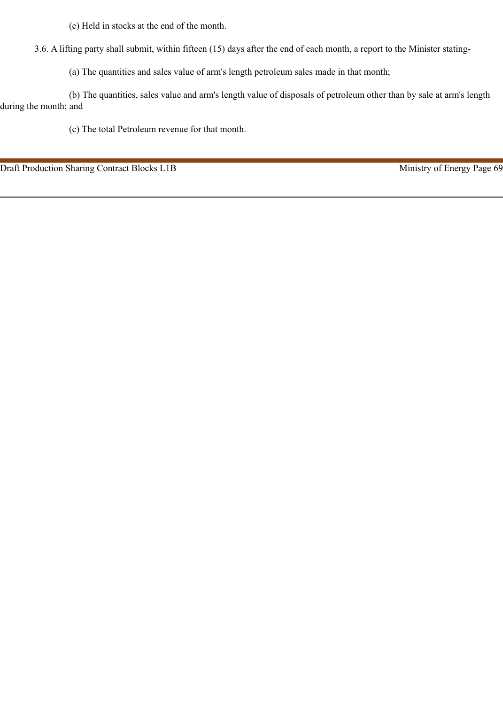(e) Held in stocks at the end of the month.

3.6. A lifting party shall submit, within fifteen (15) days after the end of each month, a report to the Minister stating-

(a) The quantities and sales value of arm's length petroleum sales made in that month;

(b) The quantities, sales value and arm's length value of disposals of petroleum other than by sale at arm's length during the month; and

(c) The total Petroleum revenue for that month.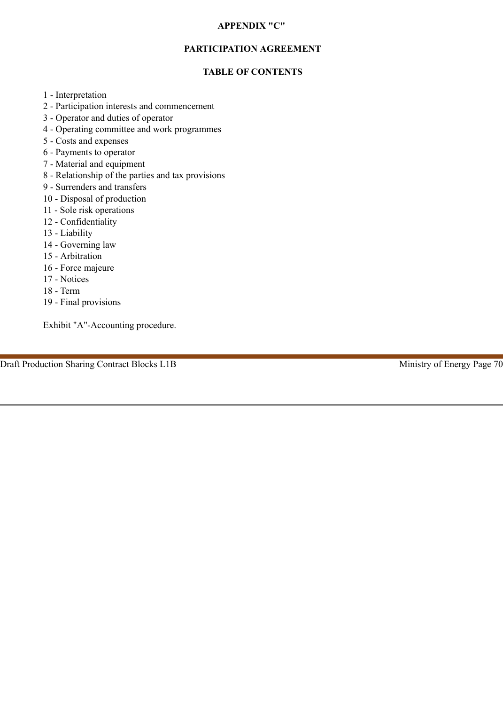#### **APPENDIX "C"**

## **PARTICIPATION AGREEMENT**

## **TABLE OF CONTENTS**

- 1 Interpretation
- 2 Participation interests and commencement
- 3 Operator and duties of operator
- 4 Operating committee and work programmes
- 5 Costs and expenses
- 6 Payments to operator
- 7 Material and equipment
- 8 Relationship of the parties and tax provisions
- 9 Surrenders and transfers
- 10 Disposal of production
- 11 Sole risk operations
- 12 Confidentiality
- 13 Liability
- 14 Governing law
- 15 Arbitration
- 16 Force majeure
- 17 Notices
- 18 Term
- 19 Final provisions

Exhibit "A"-Accounting procedure.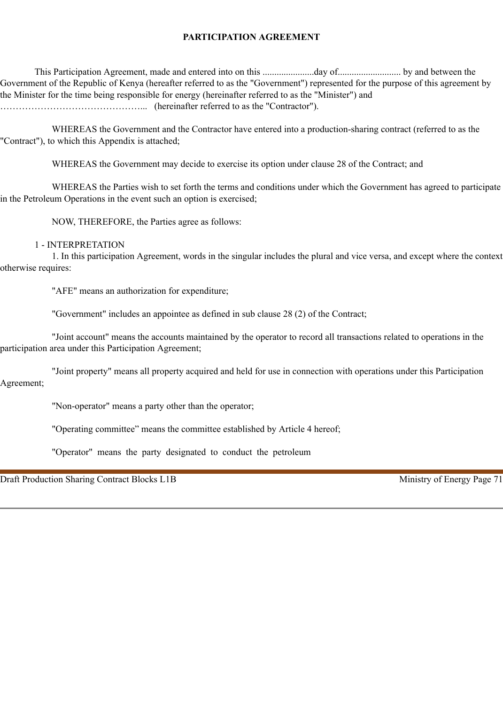## **PARTICIPATION AGREEMENT**

This Participation Agreement, made and entered into on this ......................day of........................... by and between the Government of the Republic of Kenya (hereafter referred to as the "Government") represented for the purpose of this agreement by the Minister for the time being responsible for energy (hereinafter referred to as the "Minister") and ………………………………………... (hereinafter referred to as the "Contractor").

WHEREAS the Government and the Contractor have entered into a production-sharing contract (referred to as the "Contract"), to which this Appendix is attached;

WHEREAS the Government may decide to exercise its option under clause 28 of the Contract; and

WHEREAS the Parties wish to set forth the terms and conditions under which the Government has agreed to participate in the Petroleum Operations in the event such an option is exercised;

NOW, THEREFORE, the Parties agree as follows:

#### 1 - INTERPRETATION

1. In this participation Agreement, words in the singular includes the plural and vice versa, and except where the context otherwise requires:

"AFE" means an authorization for expenditure;

"Government" includes an appointee as defined in sub clause 28 (2) of the Contract;

"Joint account" means the accounts maintained by the operator to record all transactions related to operations in the participation area under this Participation Agreement;

"Joint property" means all property acquired and held for use in connection with operations under this Participation Agreement;

"Non-operator" means a party other than the operator;

"Operating committee" means the committee established by Article 4 hereof;

"Operator" means the party designated to conduct the petroleum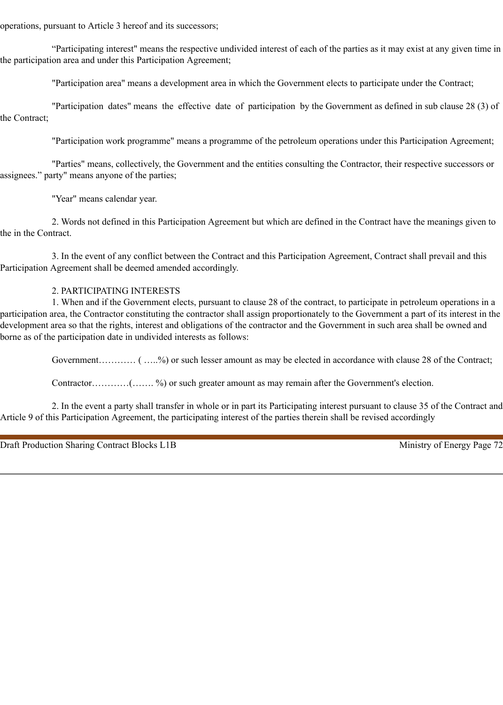operations, pursuant to Article 3 hereof and its successors;

"Participating interest" means the respective undivided interest of each of the parties as it may exist at any given time in the participation area and under this Participation Agreement;

"Participation area" means a development area in which the Government elects to participate under the Contract;

"Participation dates" means the effective date of participation by the Government as defined in sub clause 28 (3) of the Contract;

"Participation work programme" means a programme of the petroleum operations under this Participation Agreement;

"Parties" means, collectively, the Government and the entities consulting the Contractor, their respective successors or assignees." party" means anyone of the parties;

"Year" means calendar year.

2. Words not defined in this Participation Agreement but which are defined in the Contract have the meanings given to the in the Contract.

3. In the event of any conflict between the Contract and this Participation Agreement, Contract shall prevail and this Participation Agreement shall be deemed amended accordingly.

### 2. PARTICIPATING INTERESTS

1. When and if the Government elects, pursuant to clause 28 of the contract, to participate in petroleum operations in a participation area, the Contractor constituting the contractor shall assign proportionately to the Government a part of its interest in the development area so that the rights, interest and obligations of the contractor and the Government in such area shall be owned and borne as of the participation date in undivided interests as follows:

Government………… ( …..%) or such lesser amount as may be elected in accordance with clause 28 of the Contract;

Contractor…………(……. %) or such greater amount as may remain after the Government's election.

2. In the event a party shall transfer in whole or in part its Participating interest pursuant to clause 35 of the Contract and Article 9 of this Participation Agreement, the participating interest of the parties therein shall be revised accordingly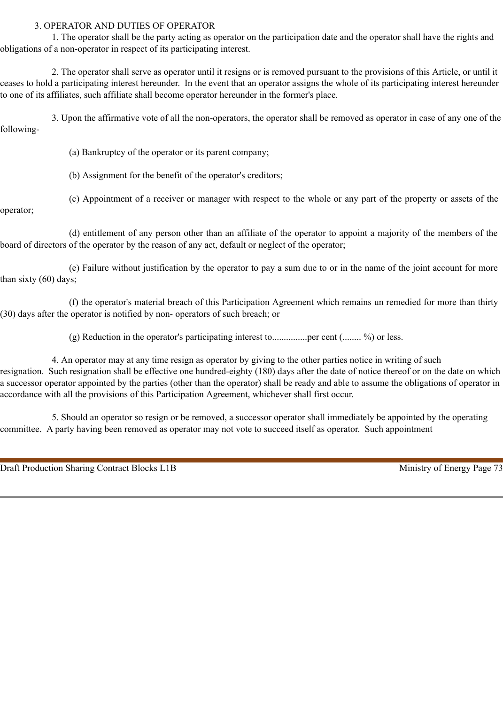#### 3. OPERATOR AND DUTIES OF OPERATOR

1. The operator shall be the party acting as operator on the participation date and the operator shall have the rights and obligations of a non-operator in respect of its participating interest.

2. The operator shall serve as operator until it resigns or is removed pursuant to the provisions of this Article, or until it ceases to hold a participating interest hereunder. In the event that an operator assigns the whole of its participating interest hereunder to one of its affiliates, such affiliate shall become operator hereunder in the former's place.

3. Upon the affirmative vote of all the non-operators, the operator shall be removed as operator in case of any one of the following-

(a) Bankruptcy of the operator or its parent company;

(b) Assignment for the benefit of the operator's creditors;

(c) Appointment of a receiver or manager with respect to the whole or any part of the property or assets of the

operator;

(d) entitlement of any person other than an affiliate of the operator to appoint a majority of the members of the board of directors of the operator by the reason of any act, default or neglect of the operator;

(e) Failure without justification by the operator to pay a sum due to or in the name of the joint account for more than sixty (60) days;

(f) the operator's material breach of this Participation Agreement which remains un remedied for more than thirty (30) days after the operator is notified by non- operators of such breach; or

(g) Reduction in the operator's participating interest to...............per cent (........ %) or less.

4. An operator may at any time resign as operator by giving to the other parties notice in writing of such resignation. Such resignation shall be effective one hundred-eighty (180) days after the date of notice thereof or on the date on which a successor operator appointed by the parties (other than the operator) shall be ready and able to assume the obligations of operator in accordance with all the provisions of this Participation Agreement, whichever shall first occur.

5. Should an operator so resign or be removed, a successor operator shall immediately be appointed by the operating committee. A party having been removed as operator may not vote to succeed itself as operator. Such appointment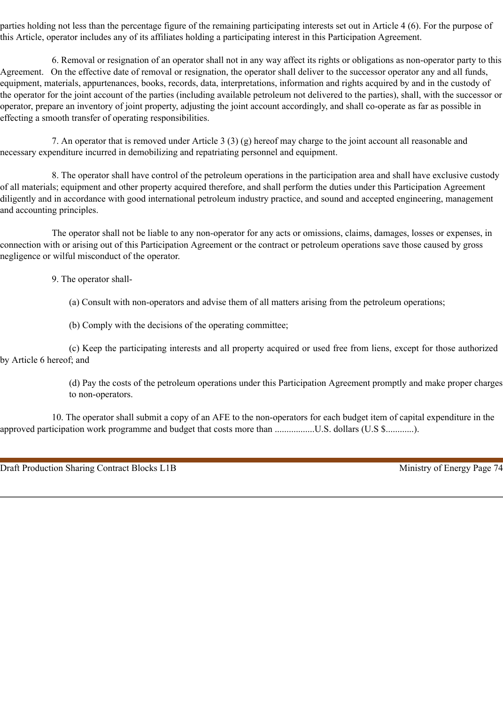parties holding not less than the percentage figure of the remaining participating interests set out in Article 4 (6). For the purpose of this Article, operator includes any of its affiliates holding a participating interest in this Participation Agreement.

6. Removal or resignation of an operator shall not in any way affect its rights or obligations as non-operator party to this Agreement. On the effective date of removal or resignation, the operator shall deliver to the successor operator any and all funds, equipment, materials, appurtenances, books, records, data, interpretations, information and rights acquired by and in the custody of the operator for the joint account of the parties (including available petroleum not delivered to the parties), shall, with the successor or operator, prepare an inventory of joint property, adjusting the joint account accordingly, and shall co-operate as far as possible in effecting a smooth transfer of operating responsibilities.

7. An operator that is removed under Article 3 (3) (g) hereof may charge to the joint account all reasonable and necessary expenditure incurred in demobilizing and repatriating personnel and equipment.

8. The operator shall have control of the petroleum operations in the participation area and shall have exclusive custody of all materials; equipment and other property acquired therefore, and shall perform the duties under this Participation Agreement diligently and in accordance with good international petroleum industry practice, and sound and accepted engineering, management and accounting principles.

The operator shall not be liable to any non-operator for any acts or omissions, claims, damages, losses or expenses, in connection with or arising out of this Participation Agreement or the contract or petroleum operations save those caused by gross negligence or wilful misconduct of the operator.

9. The operator shall-

(a) Consult with non-operators and advise them of all matters arising from the petroleum operations;

(b) Comply with the decisions of the operating committee;

(c) Keep the participating interests and all property acquired or used free from liens, except for those authorized by Article 6 hereof; and

> (d) Pay the costs of the petroleum operations under this Participation Agreement promptly and make proper charges to non-operators.

10. The operator shall submit a copy of an AFE to the non-operators for each budget item of capital expenditure in the approved participation work programme and budget that costs more than ..................U.S. dollars (U.S \$.............).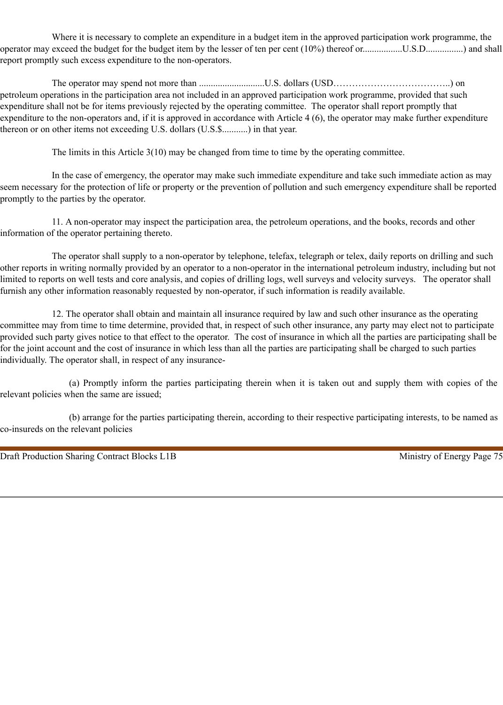Where it is necessary to complete an expenditure in a budget item in the approved participation work programme, the operator may exceed the budget for the budget item by the lesser of ten per cent (10%) thereof or.................U.S.D................) and shall report promptly such excess expenditure to the non-operators.

The operator may spend not more than ............................U.S. dollars (USD………………………………..) on petroleum operations in the participation area not included in an approved participation work programme, provided that such expenditure shall not be for items previously rejected by the operating committee. The operator shall report promptly that expenditure to the non-operators and, if it is approved in accordance with Article 4 (6), the operator may make further expenditure thereon or on other items not exceeding U.S. dollars (U.S.\$...........) in that year.

The limits in this Article 3(10) may be changed from time to time by the operating committee.

In the case of emergency, the operator may make such immediate expenditure and take such immediate action as may seem necessary for the protection of life or property or the prevention of pollution and such emergency expenditure shall be reported promptly to the parties by the operator.

11. A non-operator may inspect the participation area, the petroleum operations, and the books, records and other information of the operator pertaining thereto.

The operator shall supply to a non-operator by telephone, telefax, telegraph or telex, daily reports on drilling and such other reports in writing normally provided by an operator to a non-operator in the international petroleum industry, including but not limited to reports on well tests and core analysis, and copies of drilling logs, well surveys and velocity surveys. The operator shall furnish any other information reasonably requested by non-operator, if such information is readily available.

12. The operator shall obtain and maintain all insurance required by law and such other insurance as the operating committee may from time to time determine, provided that, in respect of such other insurance, any party may elect not to participate provided such party gives notice to that effect to the operator. The cost of insurance in which all the parties are participating shall be for the joint account and the cost of insurance in which less than all the parties are participating shall be charged to such parties individually. The operator shall, in respect of any insurance-

(a) Promptly inform the parties participating therein when it is taken out and supply them with copies of the relevant policies when the same are issued;

(b) arrange for the parties participating therein, according to their respective participating interests, to be named as co-insureds on the relevant policies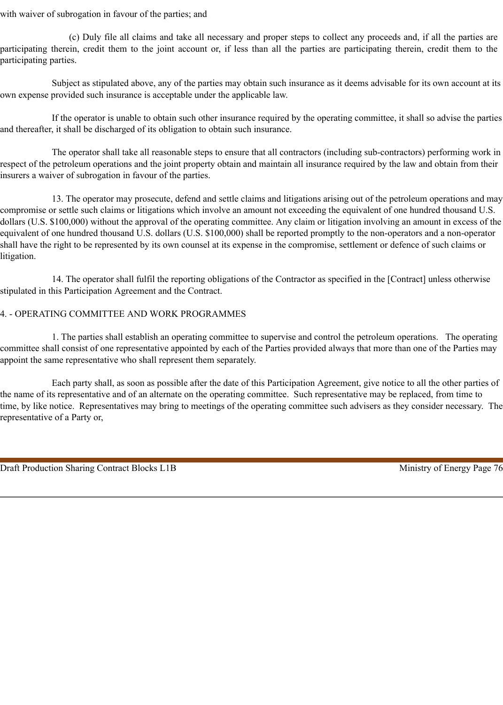with waiver of subrogation in favour of the parties; and

(c) Duly file all claims and take all necessary and proper steps to collect any proceeds and, if all the parties are participating therein, credit them to the joint account or, if less than all the parties are participating therein, credit them to the participating parties.

Subject as stipulated above, any of the parties may obtain such insurance as it deems advisable for its own account at its own expense provided such insurance is acceptable under the applicable law.

If the operator is unable to obtain such other insurance required by the operating committee, it shall so advise the parties and thereafter, it shall be discharged of its obligation to obtain such insurance.

The operator shall take all reasonable steps to ensure that all contractors (including sub-contractors) performing work in respect of the petroleum operations and the joint property obtain and maintain all insurance required by the law and obtain from their insurers a waiver of subrogation in favour of the parties.

13. The operator may prosecute, defend and settle claims and litigations arising out of the petroleum operations and may compromise or settle such claims or litigations which involve an amount not exceeding the equivalent of one hundred thousand U.S. dollars (U.S. \$100,000) without the approval of the operating committee. Any claim or litigation involving an amount in excess of the equivalent of one hundred thousand U.S. dollars (U.S. \$100,000) shall be reported promptly to the non-operators and a non-operator shall have the right to be represented by its own counsel at its expense in the compromise, settlement or defence of such claims or litigation.

14. The operator shall fulfil the reporting obligations of the Contractor as specified in the [Contract] unless otherwise stipulated in this Participation Agreement and the Contract.

#### 4. - OPERATING COMMITTEE AND WORK PROGRAMMES

1. The parties shall establish an operating committee to supervise and control the petroleum operations. The operating committee shall consist of one representative appointed by each of the Parties provided always that more than one of the Parties may appoint the same representative who shall represent them separately.

Each party shall, as soon as possible after the date of this Participation Agreement, give notice to all the other parties of the name of its representative and of an alternate on the operating committee. Such representative may be replaced, from time to time, by like notice. Representatives may bring to meetings of the operating committee such advisers as they consider necessary. The representative of a Party or,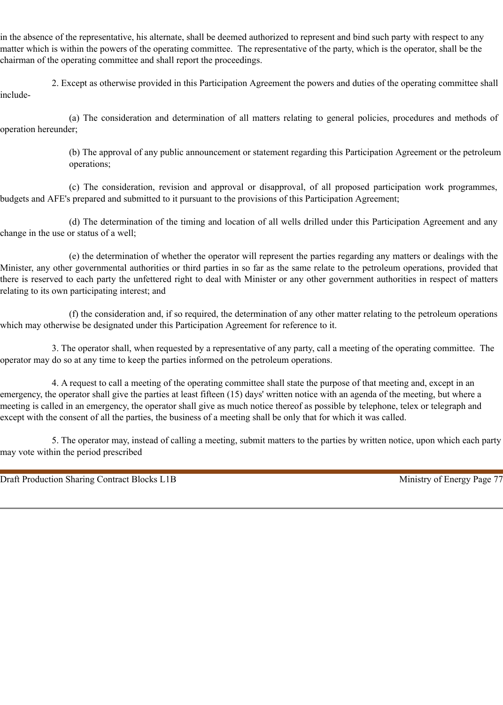in the absence of the representative, his alternate, shall be deemed authorized to represent and bind such party with respect to any matter which is within the powers of the operating committee. The representative of the party, which is the operator, shall be the chairman of the operating committee and shall report the proceedings.

2. Except as otherwise provided in this Participation Agreement the powers and duties of the operating committee shall include-

(a) The consideration and determination of all matters relating to general policies, procedures and methods of operation hereunder;

> (b) The approval of any public announcement or statement regarding this Participation Agreement or the petroleum operations;

(c) The consideration, revision and approval or disapproval, of all proposed participation work programmes, budgets and AFE's prepared and submitted to it pursuant to the provisions of this Participation Agreement;

(d) The determination of the timing and location of all wells drilled under this Participation Agreement and any change in the use or status of a well;

(e) the determination of whether the operator will represent the parties regarding any matters or dealings with the Minister, any other governmental authorities or third parties in so far as the same relate to the petroleum operations, provided that there is reserved to each party the unfettered right to deal with Minister or any other government authorities in respect of matters relating to its own participating interest; and

(f) the consideration and, if so required, the determination of any other matter relating to the petroleum operations which may otherwise be designated under this Participation Agreement for reference to it.

3. The operator shall, when requested by a representative of any party, call a meeting of the operating committee. The operator may do so at any time to keep the parties informed on the petroleum operations.

4. A request to call a meeting of the operating committee shall state the purpose of that meeting and, except in an emergency, the operator shall give the parties at least fifteen (15) days' written notice with an agenda of the meeting, but where a meeting is called in an emergency, the operator shall give as much notice thereof as possible by telephone, telex or telegraph and except with the consent of all the parties, the business of a meeting shall be only that for which it was called.

5. The operator may, instead of calling a meeting, submit matters to the parties by written notice, upon which each party may vote within the period prescribed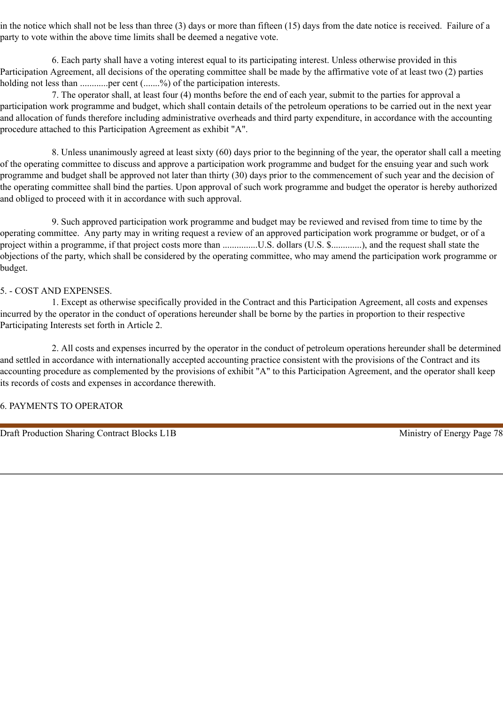in the notice which shall not be less than three (3) days or more than fifteen (15) days from the date notice is received. Failure of a party to vote within the above time limits shall be deemed a negative vote.

6. Each party shall have a voting interest equal to its participating interest. Unless otherwise provided in this Participation Agreement, all decisions of the operating committee shall be made by the affirmative vote of at least two (2) parties holding not less than ............per cent (.......%) of the participation interests.

7. The operator shall, at least four (4) months before the end of each year, submit to the parties for approval a participation work programme and budget, which shall contain details of the petroleum operations to be carried out in the next year and allocation of funds therefore including administrative overheads and third party expenditure, in accordance with the accounting procedure attached to this Participation Agreement as exhibit "A".

8. Unless unanimously agreed at least sixty (60) days prior to the beginning of the year, the operator shall call a meeting of the operating committee to discuss and approve a participation work programme and budget for the ensuing year and such work programme and budget shall be approved not later than thirty (30) days prior to the commencement of such year and the decision of the operating committee shall bind the parties. Upon approval of such work programme and budget the operator is hereby authorized and obliged to proceed with it in accordance with such approval.

9. Such approved participation work programme and budget may be reviewed and revised from time to time by the operating committee. Any party may in writing request a review of an approved participation work programme or budget, or of a project within a programme, if that project costs more than ................U.S. dollars (U.S. \$..............), and the request shall state the objections of the party, which shall be considered by the operating committee, who may amend the participation work programme or budget.

#### 5. - COST AND EXPENSES.

1. Except as otherwise specifically provided in the Contract and this Participation Agreement, all costs and expenses incurred by the operator in the conduct of operations hereunder shall be borne by the parties in proportion to their respective Participating Interests set forth in Article 2.

2. All costs and expenses incurred by the operator in the conduct of petroleum operations hereunder shall be determined and settled in accordance with internationally accepted accounting practice consistent with the provisions of the Contract and its accounting procedure as complemented by the provisions of exhibit "A" to this Participation Agreement, and the operator shall keep its records of costs and expenses in accordance therewith.

### 6. PAYMENTS TO OPERATOR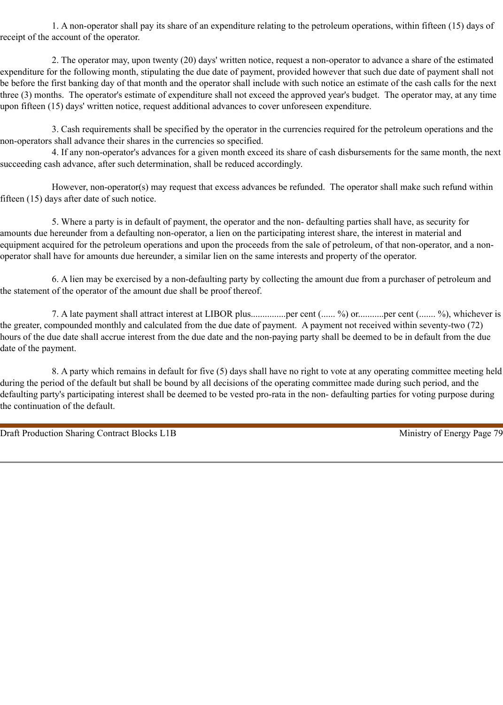1. A non-operator shall pay its share of an expenditure relating to the petroleum operations, within fifteen (15) days of receipt of the account of the operator.

2. The operator may, upon twenty (20) days' written notice, request a non-operator to advance a share of the estimated expenditure for the following month, stipulating the due date of payment, provided however that such due date of payment shall not be before the first banking day of that month and the operator shall include with such notice an estimate of the cash calls for the next three (3) months. The operator's estimate of expenditure shall not exceed the approved year's budget. The operator may, at any time upon fifteen (15) days' written notice, request additional advances to cover unforeseen expenditure.

3. Cash requirements shall be specified by the operator in the currencies required for the petroleum operations and the non-operators shall advance their shares in the currencies so specified.

4. If any non-operator's advances for a given month exceed its share of cash disbursements for the same month, the next succeeding cash advance, after such determination, shall be reduced accordingly.

However, non-operator(s) may request that excess advances be refunded. The operator shall make such refund within fifteen (15) days after date of such notice.

5. Where a party is in default of payment, the operator and the non- defaulting parties shall have, as security for amounts due hereunder from a defaulting non-operator, a lien on the participating interest share, the interest in material and equipment acquired for the petroleum operations and upon the proceeds from the sale of petroleum, of that non-operator, and a nonoperator shall have for amounts due hereunder, a similar lien on the same interests and property of the operator.

6. A lien may be exercised by a non-defaulting party by collecting the amount due from a purchaser of petroleum and the statement of the operator of the amount due shall be proof thereof.

7. A late payment shall attract interest at LIBOR plus...............per cent (...... %) or...........per cent (....... %), whichever is the greater, compounded monthly and calculated from the due date of payment. A payment not received within seventy-two (72) hours of the due date shall accrue interest from the due date and the non-paying party shall be deemed to be in default from the due date of the payment.

8. A party which remains in default for five (5) days shall have no right to vote at any operating committee meeting held during the period of the default but shall be bound by all decisions of the operating committee made during such period, and the defaulting party's participating interest shall be deemed to be vested pro-rata in the non- defaulting parties for voting purpose during the continuation of the default.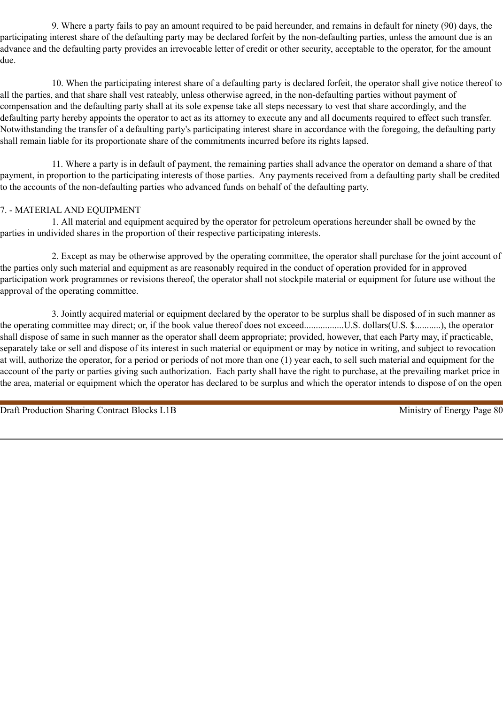9. Where a party fails to pay an amount required to be paid hereunder, and remains in default for ninety (90) days, the participating interest share of the defaulting party may be declared forfeit by the non-defaulting parties, unless the amount due is an advance and the defaulting party provides an irrevocable letter of credit or other security, acceptable to the operator, for the amount due.

10. When the participating interest share of a defaulting party is declared forfeit, the operator shall give notice thereof to all the parties, and that share shall vest rateably, unless otherwise agreed, in the non-defaulting parties without payment of compensation and the defaulting party shall at its sole expense take all steps necessary to vest that share accordingly, and the defaulting party hereby appoints the operator to act as its attorney to execute any and all documents required to effect such transfer. Notwithstanding the transfer of a defaulting party's participating interest share in accordance with the foregoing, the defaulting party shall remain liable for its proportionate share of the commitments incurred before its rights lapsed.

11. Where a party is in default of payment, the remaining parties shall advance the operator on demand a share of that payment, in proportion to the participating interests of those parties. Any payments received from a defaulting party shall be credited to the accounts of the non-defaulting parties who advanced funds on behalf of the defaulting party.

# 7. - MATERIAL AND EQUIPMENT

1. All material and equipment acquired by the operator for petroleum operations hereunder shall be owned by the parties in undivided shares in the proportion of their respective participating interests.

2. Except as may be otherwise approved by the operating committee, the operator shall purchase for the joint account of the parties only such material and equipment as are reasonably required in the conduct of operation provided for in approved participation work programmes or revisions thereof, the operator shall not stockpile material or equipment for future use without the approval of the operating committee.

3. Jointly acquired material or equipment declared by the operator to be surplus shall be disposed of in such manner as the operating committee may direct; or, if the book value thereof does not exceed.................U.S. dollars(U.S. \$...........), the operator shall dispose of same in such manner as the operator shall deem appropriate; provided, however, that each Party may, if practicable, separately take or sell and dispose of its interest in such material or equipment or may by notice in writing, and subject to revocation at will, authorize the operator, for a period or periods of not more than one (1) year each, to sell such material and equipment for the account of the party or parties giving such authorization. Each party shall have the right to purchase, at the prevailing market price in the area, material or equipment which the operator has declared to be surplus and which the operator intends to dispose of on the open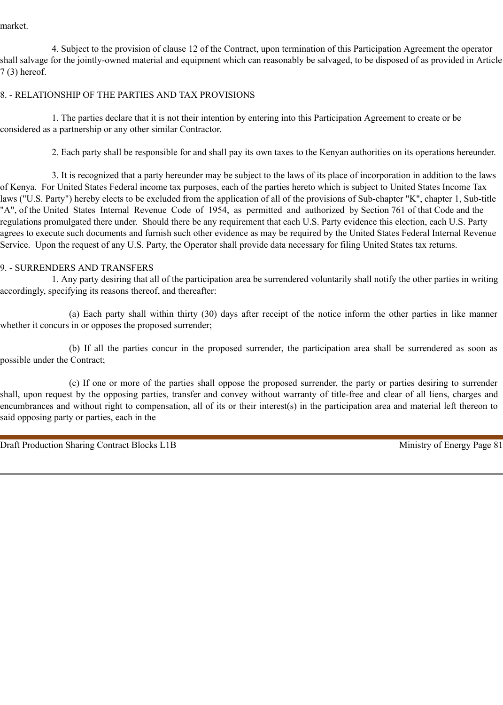market.

4. Subject to the provision of clause 12 of the Contract, upon termination of this Participation Agreement the operator shall salvage for the jointly-owned material and equipment which can reasonably be salvaged, to be disposed of as provided in Article 7 (3) hereof.

### 8. - RELATIONSHIP OF THE PARTIES AND TAX PROVISIONS

1. The parties declare that it is not their intention by entering into this Participation Agreement to create or be considered as a partnership or any other similar Contractor.

2. Each party shall be responsible for and shall pay its own taxes to the Kenyan authorities on its operations hereunder.

3. It is recognized that a party hereunder may be subject to the laws of its place of incorporation in addition to the laws of Kenya. For United States Federal income tax purposes, each of the parties hereto which is subject to United States Income Tax laws ("U.S. Party") hereby elects to be excluded from the application of all of the provisions of Sub-chapter "K", chapter 1, Sub-title "A", of the United States Internal Revenue Code of 1954, as permitted and authorized by Section 761 of that Code and the regulations promulgated there under. Should there be any requirement that each U.S. Party evidence this election, each U.S. Party agrees to execute such documents and furnish such other evidence as may be required by the United States Federal Internal Revenue Service. Upon the request of any U.S. Party, the Operator shall provide data necessary for filing United States tax returns.

#### 9. - SURRENDERS AND TRANSFERS

1. Any party desiring that all of the participation area be surrendered voluntarily shall notify the other parties in writing accordingly, specifying its reasons thereof, and thereafter:

(a) Each party shall within thirty (30) days after receipt of the notice inform the other parties in like manner whether it concurs in or opposes the proposed surrender;

(b) If all the parties concur in the proposed surrender, the participation area shall be surrendered as soon as possible under the Contract;

(c) If one or more of the parties shall oppose the proposed surrender, the party or parties desiring to surrender shall, upon request by the opposing parties, transfer and convey without warranty of title-free and clear of all liens, charges and encumbrances and without right to compensation, all of its or their interest(s) in the participation area and material left thereon to said opposing party or parties, each in the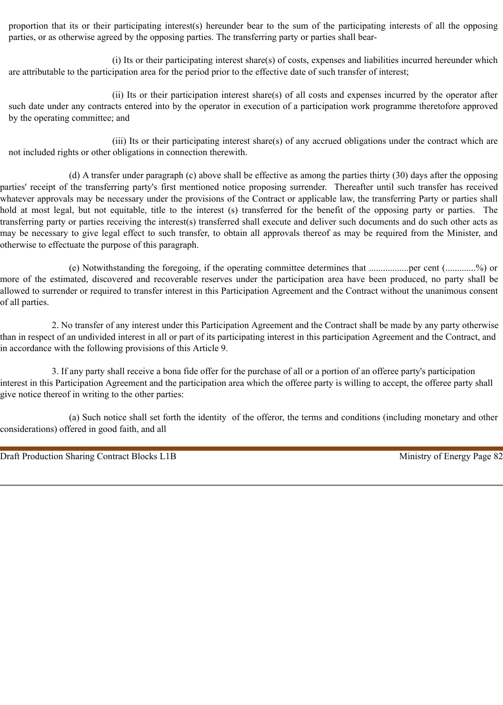proportion that its or their participating interest(s) hereunder bear to the sum of the participating interests of all the opposing parties, or as otherwise agreed by the opposing parties. The transferring party or parties shall bear-

(i) Its or their participating interest share(s) of costs, expenses and liabilities incurred hereunder which are attributable to the participation area for the period prior to the effective date of such transfer of interest;

(ii) Its or their participation interest share(s) of all costs and expenses incurred by the operator after such date under any contracts entered into by the operator in execution of a participation work programme theretofore approved by the operating committee; and

(iii) Its or their participating interest share(s) of any accrued obligations under the contract which are not included rights or other obligations in connection therewith.

(d) A transfer under paragraph (c) above shall be effective as among the parties thirty (30) days after the opposing parties' receipt of the transferring party's first mentioned notice proposing surrender. Thereafter until such transfer has received whatever approvals may be necessary under the provisions of the Contract or applicable law, the transferring Party or parties shall hold at most legal, but not equitable, title to the interest (s) transferred for the benefit of the opposing party or parties. The transferring party or parties receiving the interest(s) transferred shall execute and deliver such documents and do such other acts as may be necessary to give legal effect to such transfer, to obtain all approvals thereof as may be required from the Minister, and otherwise to effectuate the purpose of this paragraph.

(e) Notwithstanding the foregoing, if the operating committee determines that .................per cent (.............%) or more of the estimated, discovered and recoverable reserves under the participation area have been produced, no party shall be allowed to surrender or required to transfer interest in this Participation Agreement and the Contract without the unanimous consent of all parties.

2. No transfer of any interest under this Participation Agreement and the Contract shall be made by any party otherwise than in respect of an undivided interest in all or part of its participating interest in this participation Agreement and the Contract, and in accordance with the following provisions of this Article 9.

3. If any party shall receive a bona fide offer for the purchase of all or a portion of an offeree party's participation interest in this Participation Agreement and the participation area which the offeree party is willing to accept, the offeree party shall give notice thereof in writing to the other parties:

(a) Such notice shall set forth the identity of the offeror, the terms and conditions (including monetary and other considerations) offered in good faith, and all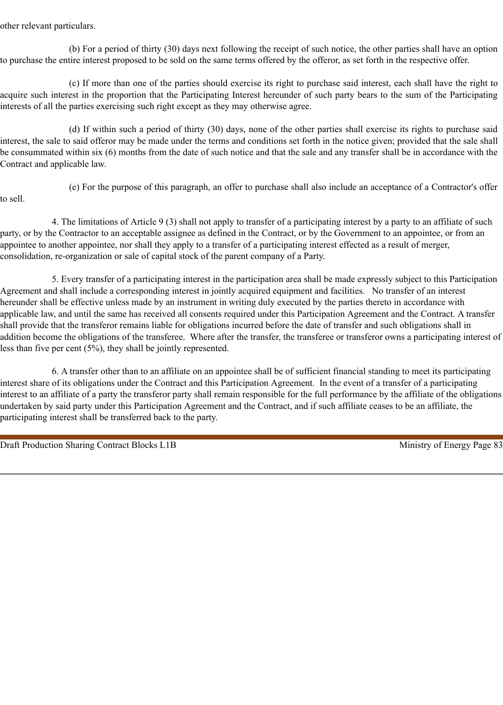other relevant particulars.

(b) For a period of thirty (30) days next following the receipt of such notice, the other parties shall have an option to purchase the entire interest proposed to be sold on the same terms offered by the offeror, as set forth in the respective offer.

(c) If more than one of the parties should exercise its right to purchase said interest, each shall have the right to acquire such interest in the proportion that the Participating Interest hereunder of such party bears to the sum of the Participating interests of all the parties exercising such right except as they may otherwise agree.

(d) If within such a period of thirty (30) days, none of the other parties shall exercise its rights to purchase said interest, the sale to said offeror may be made under the terms and conditions set forth in the notice given; provided that the sale shall be consummated within six (6) months from the date of such notice and that the sale and any transfer shall be in accordance with the Contract and applicable law.

(e) For the purpose of this paragraph, an offer to purchase shall also include an acceptance of a Contractor's offer to sell.

4. The limitations of Article 9 (3) shall not apply to transfer of a participating interest by a party to an affiliate of such party, or by the Contractor to an acceptable assignee as defined in the Contract, or by the Government to an appointee, or from an appointee to another appointee, nor shall they apply to a transfer of a participating interest effected as a result of merger, consolidation, re-organization or sale of capital stock of the parent company of a Party.

5. Every transfer of a participating interest in the participation area shall be made expressly subject to this Participation Agreement and shall include a corresponding interest in jointly acquired equipment and facilities. No transfer of an interest hereunder shall be effective unless made by an instrument in writing duly executed by the parties thereto in accordance with applicable law, and until the same has received all consents required under this Participation Agreement and the Contract. A transfer shall provide that the transferor remains liable for obligations incurred before the date of transfer and such obligations shall in addition become the obligations of the transferee. Where after the transfer, the transferee or transferor owns a participating interest of less than five per cent (5%), they shall be jointly represented.

6. A transfer other than to an affiliate on an appointee shall be of sufficient financial standing to meet its participating interest share of its obligations under the Contract and this Participation Agreement. In the event of a transfer of a participating interest to an affiliate of a party the transferor party shall remain responsible for the full performance by the affiliate of the obligations undertaken by said party under this Participation Agreement and the Contract, and if such affiliate ceases to be an affiliate, the participating interest shall be transferred back to the party.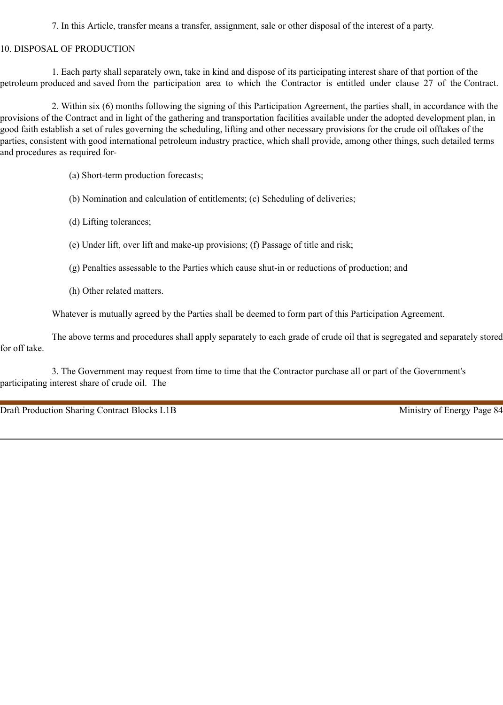7. In this Article, transfer means a transfer, assignment, sale or other disposal of the interest of a party.

#### 10. DISPOSAL OF PRODUCTION

1. Each party shall separately own, take in kind and dispose of its participating interest share of that portion of the petroleum produced and saved from the participation area to which the Contractor is entitled under clause 27 of the Contract.

2. Within six (6) months following the signing of this Participation Agreement, the parties shall, in accordance with the provisions of the Contract and in light of the gathering and transportation facilities available under the adopted development plan, in good faith establish a set of rules governing the scheduling, lifting and other necessary provisions for the crude oil offtakes of the parties, consistent with good international petroleum industry practice, which shall provide, among other things, such detailed terms and procedures as required for-

(a) Short-term production forecasts;

- (b) Nomination and calculation of entitlements; (c) Scheduling of deliveries;
- (d) Lifting tolerances;
- (e) Under lift, over lift and make-up provisions; (f) Passage of title and risk;
- (g) Penalties assessable to the Parties which cause shut-in or reductions of production; and
- (h) Other related matters.

Whatever is mutually agreed by the Parties shall be deemed to form part of this Participation Agreement.

The above terms and procedures shall apply separately to each grade of crude oil that is segregated and separately stored for off take.

3. The Government may request from time to time that the Contractor purchase all or part of the Government's participating interest share of crude oil. The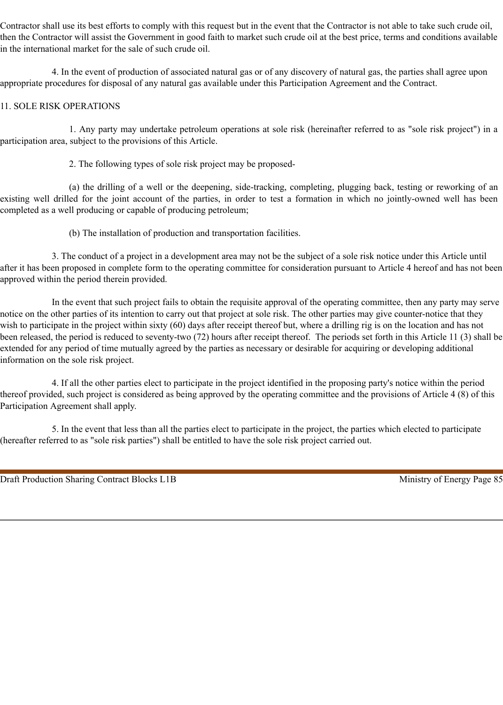Contractor shall use its best efforts to comply with this request but in the event that the Contractor is not able to take such crude oil, then the Contractor will assist the Government in good faith to market such crude oil at the best price, terms and conditions available in the international market for the sale of such crude oil.

4. In the event of production of associated natural gas or of any discovery of natural gas, the parties shall agree upon appropriate procedures for disposal of any natural gas available under this Participation Agreement and the Contract.

### 11. SOLE RISK OPERATIONS

1. Any party may undertake petroleum operations at sole risk (hereinafter referred to as "sole risk project") in a participation area, subject to the provisions of this Article.

2. The following types of sole risk project may be proposed-

(a) the drilling of a well or the deepening, side-tracking, completing, plugging back, testing or reworking of an existing well drilled for the joint account of the parties, in order to test a formation in which no jointly-owned well has been completed as a well producing or capable of producing petroleum;

(b) The installation of production and transportation facilities.

3. The conduct of a project in a development area may not be the subject of a sole risk notice under this Article until after it has been proposed in complete form to the operating committee for consideration pursuant to Article 4 hereof and has not been approved within the period therein provided.

In the event that such project fails to obtain the requisite approval of the operating committee, then any party may serve notice on the other parties of its intention to carry out that project at sole risk. The other parties may give counter-notice that they wish to participate in the project within sixty (60) days after receipt thereof but, where a drilling rig is on the location and has not been released, the period is reduced to seventy-two (72) hours after receipt thereof. The periods set forth in this Article 11 (3) shall be extended for any period of time mutually agreed by the parties as necessary or desirable for acquiring or developing additional information on the sole risk project.

4. If all the other parties elect to participate in the project identified in the proposing party's notice within the period thereof provided, such project is considered as being approved by the operating committee and the provisions of Article 4 (8) of this Participation Agreement shall apply.

5. In the event that less than all the parties elect to participate in the project, the parties which elected to participate (hereafter referred to as "sole risk parties") shall be entitled to have the sole risk project carried out.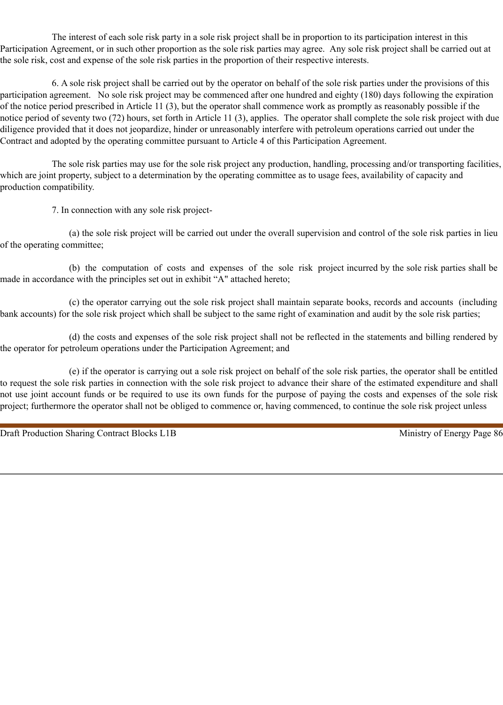The interest of each sole risk party in a sole risk project shall be in proportion to its participation interest in this Participation Agreement, or in such other proportion as the sole risk parties may agree. Any sole risk project shall be carried out at the sole risk, cost and expense of the sole risk parties in the proportion of their respective interests.

6. A sole risk project shall be carried out by the operator on behalf of the sole risk parties under the provisions of this participation agreement. No sole risk project may be commenced after one hundred and eighty (180) days following the expiration of the notice period prescribed in Article 11 (3), but the operator shall commence work as promptly as reasonably possible if the notice period of seventy two (72) hours, set forth in Article 11 (3), applies. The operator shall complete the sole risk project with due diligence provided that it does not jeopardize, hinder or unreasonably interfere with petroleum operations carried out under the Contract and adopted by the operating committee pursuant to Article 4 of this Participation Agreement.

The sole risk parties may use for the sole risk project any production, handling, processing and/or transporting facilities, which are joint property, subject to a determination by the operating committee as to usage fees, availability of capacity and production compatibility.

7. In connection with any sole risk project-

(a) the sole risk project will be carried out under the overall supervision and control of the sole risk parties in lieu of the operating committee;

(b) the computation of costs and expenses of the sole risk project incurred by the sole risk parties shall be made in accordance with the principles set out in exhibit "A" attached hereto;

(c) the operator carrying out the sole risk project shall maintain separate books, records and accounts (including bank accounts) for the sole risk project which shall be subject to the same right of examination and audit by the sole risk parties;

(d) the costs and expenses of the sole risk project shall not be reflected in the statements and billing rendered by the operator for petroleum operations under the Participation Agreement; and

(e) if the operator is carrying out a sole risk project on behalf of the sole risk parties, the operator shall be entitled to request the sole risk parties in connection with the sole risk project to advance their share of the estimated expenditure and shall not use joint account funds or be required to use its own funds for the purpose of paying the costs and expenses of the sole risk project; furthermore the operator shall not be obliged to commence or, having commenced, to continue the sole risk project unless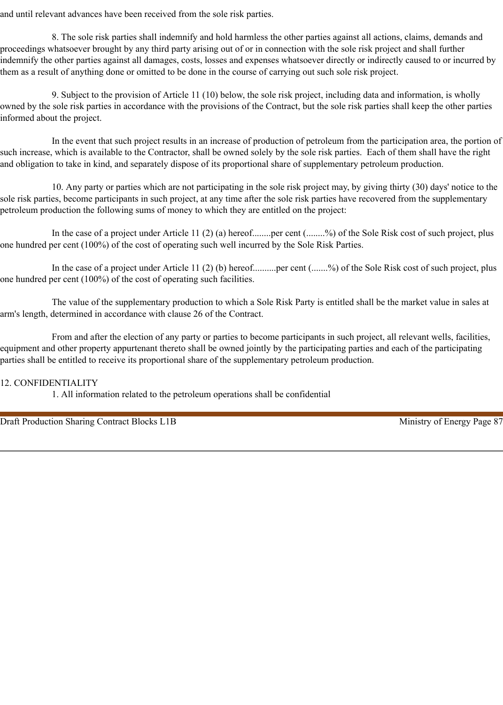and until relevant advances have been received from the sole risk parties.

8. The sole risk parties shall indemnify and hold harmless the other parties against all actions, claims, demands and proceedings whatsoever brought by any third party arising out of or in connection with the sole risk project and shall further indemnify the other parties against all damages, costs, losses and expenses whatsoever directly or indirectly caused to or incurred by them as a result of anything done or omitted to be done in the course of carrying out such sole risk project.

9. Subject to the provision of Article 11 (10) below, the sole risk project, including data and information, is wholly owned by the sole risk parties in accordance with the provisions of the Contract, but the sole risk parties shall keep the other parties informed about the project.

In the event that such project results in an increase of production of petroleum from the participation area, the portion of such increase, which is available to the Contractor, shall be owned solely by the sole risk parties. Each of them shall have the right and obligation to take in kind, and separately dispose of its proportional share of supplementary petroleum production.

10. Any party or parties which are not participating in the sole risk project may, by giving thirty (30) days' notice to the sole risk parties, become participants in such project, at any time after the sole risk parties have recovered from the supplementary petroleum production the following sums of money to which they are entitled on the project:

In the case of a project under Article 11 (2) (a) hereof........per cent (........%) of the Sole Risk cost of such project, plus one hundred per cent (100%) of the cost of operating such well incurred by the Sole Risk Parties.

In the case of a project under Article 11 (2) (b) hereof..........per cent (.......%) of the Sole Risk cost of such project, plus one hundred per cent (100%) of the cost of operating such facilities.

The value of the supplementary production to which a Sole Risk Party is entitled shall be the market value in sales at arm's length, determined in accordance with clause 26 of the Contract.

From and after the election of any party or parties to become participants in such project, all relevant wells, facilities, equipment and other property appurtenant thereto shall be owned jointly by the participating parties and each of the participating parties shall be entitled to receive its proportional share of the supplementary petroleum production.

### 12. CONFIDENTIALITY

1. All information related to the petroleum operations shall be confidential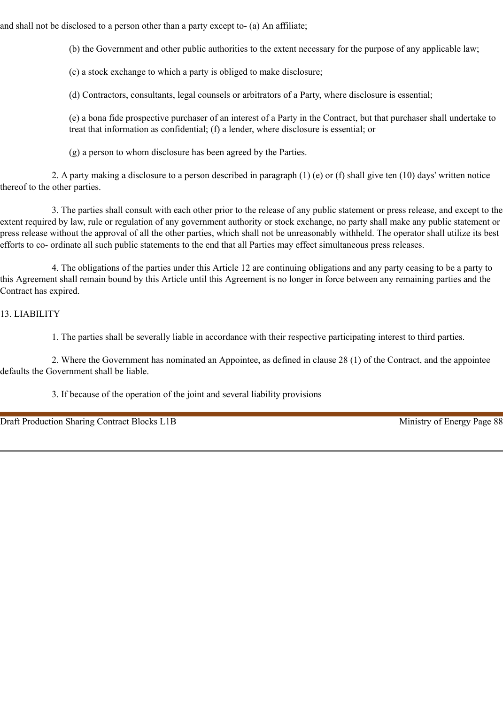and shall not be disclosed to a person other than a party except to- (a) An affiliate;

(b) the Government and other public authorities to the extent necessary for the purpose of any applicable law;

(c) a stock exchange to which a party is obliged to make disclosure;

(d) Contractors, consultants, legal counsels or arbitrators of a Party, where disclosure is essential;

(e) a bona fide prospective purchaser of an interest of a Party in the Contract, but that purchaser shall undertake to treat that information as confidential; (f) a lender, where disclosure is essential; or

(g) a person to whom disclosure has been agreed by the Parties.

2. A party making a disclosure to a person described in paragraph (1) (e) or (f) shall give ten (10) days' written notice thereof to the other parties.

3. The parties shall consult with each other prior to the release of any public statement or press release, and except to the extent required by law, rule or regulation of any government authority or stock exchange, no party shall make any public statement or press release without the approval of all the other parties, which shall not be unreasonably withheld. The operator shall utilize its best efforts to co- ordinate all such public statements to the end that all Parties may effect simultaneous press releases.

4. The obligations of the parties under this Article 12 are continuing obligations and any party ceasing to be a party to this Agreement shall remain bound by this Article until this Agreement is no longer in force between any remaining parties and the Contract has expired.

# 13. LIABILITY

1. The parties shall be severally liable in accordance with their respective participating interest to third parties.

2. Where the Government has nominated an Appointee, as defined in clause 28 (1) of the Contract, and the appointee defaults the Government shall be liable.

3. If because of the operation of the joint and several liability provisions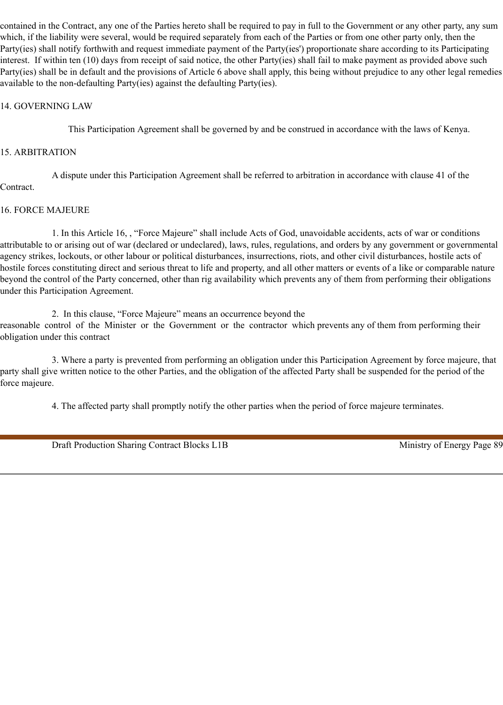contained in the Contract, any one of the Parties hereto shall be required to pay in full to the Government or any other party, any sum which, if the liability were several, would be required separately from each of the Parties or from one other party only, then the Party(ies) shall notify forthwith and request immediate payment of the Party(ies') proportionate share according to its Participating interest. If within ten (10) days from receipt of said notice, the other Party(ies) shall fail to make payment as provided above such Party(ies) shall be in default and the provisions of Article 6 above shall apply, this being without prejudice to any other legal remedies available to the non-defaulting Party(ies) against the defaulting Party(ies).

### 14. GOVERNING LAW

This Participation Agreement shall be governed by and be construed in accordance with the laws of Kenya.

#### 15. ARBITRATION

A dispute under this Participation Agreement shall be referred to arbitration in accordance with clause 41 of the Contract.

#### 16. FORCE MAJEURE

1. In this Article 16, , "Force Majeure" shall include Acts of God, unavoidable accidents, acts of war or conditions attributable to or arising out of war (declared or undeclared), laws, rules, regulations, and orders by any government or governmental agency strikes, lockouts, or other labour or political disturbances, insurrections, riots, and other civil disturbances, hostile acts of hostile forces constituting direct and serious threat to life and property, and all other matters or events of a like or comparable nature beyond the control of the Party concerned, other than rig availability which prevents any of them from performing their obligations under this Participation Agreement.

2. In this clause, "Force Majeure" means an occurrence beyond the reasonable control of the Minister or the Government or the contractor which prevents any of them from performing their obligation under this contract

3. Where a party is prevented from performing an obligation under this Participation Agreement by force majeure, that party shall give written notice to the other Parties, and the obligation of the affected Party shall be suspended for the period of the force majeure.

4. The affected party shall promptly notify the other parties when the period of force majeure terminates.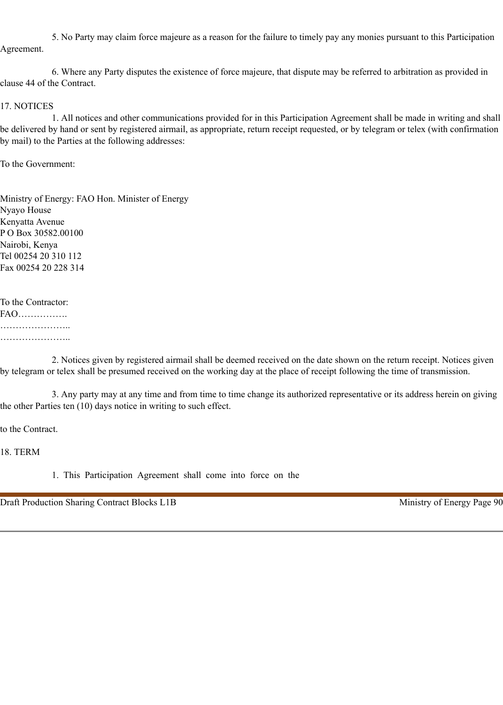5. No Party may claim force majeure as a reason for the failure to timely pay any monies pursuant to this Participation Agreement.

6. Where any Party disputes the existence of force majeure, that dispute may be referred to arbitration as provided in clause 44 of the Contract.

#### 17. NOTICES

1. All notices and other communications provided for in this Participation Agreement shall be made in writing and shall be delivered by hand or sent by registered airmail, as appropriate, return receipt requested, or by telegram or telex (with confirmation by mail) to the Parties at the following addresses:

To the Government:

Ministry of Energy: FAO Hon. Minister of Energy Nyayo House Kenyatta Avenue P O Box 30582.00100 Nairobi, Kenya Tel 00254 20 310 112 Fax 00254 20 228 314

To the Contractor: FAO……………. ………………………… …………………..

2. Notices given by registered airmail shall be deemed received on the date shown on the return receipt. Notices given by telegram or telex shall be presumed received on the working day at the place of receipt following the time of transmission.

3. Any party may at any time and from time to time change its authorized representative or its address herein on giving the other Parties ten (10) days notice in writing to such effect.

to the Contract.

18. TERM

1. This Participation Agreement shall come into force on the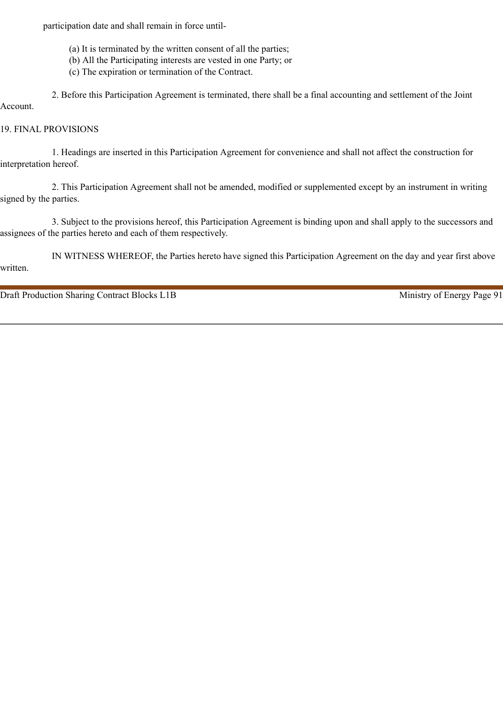participation date and shall remain in force until-

- (a) It is terminated by the written consent of all the parties;
- (b) All the Participating interests are vested in one Party; or
- (c) The expiration or termination of the Contract.

2. Before this Participation Agreement is terminated, there shall be a final accounting and settlement of the Joint Account.

### 19. FINAL PROVISIONS

1. Headings are inserted in this Participation Agreement for convenience and shall not affect the construction for interpretation hereof.

2. This Participation Agreement shall not be amended, modified or supplemented except by an instrument in writing signed by the parties.

3. Subject to the provisions hereof, this Participation Agreement is binding upon and shall apply to the successors and assignees of the parties hereto and each of them respectively.

IN WITNESS WHEREOF, the Parties hereto have signed this Participation Agreement on the day and year first above written.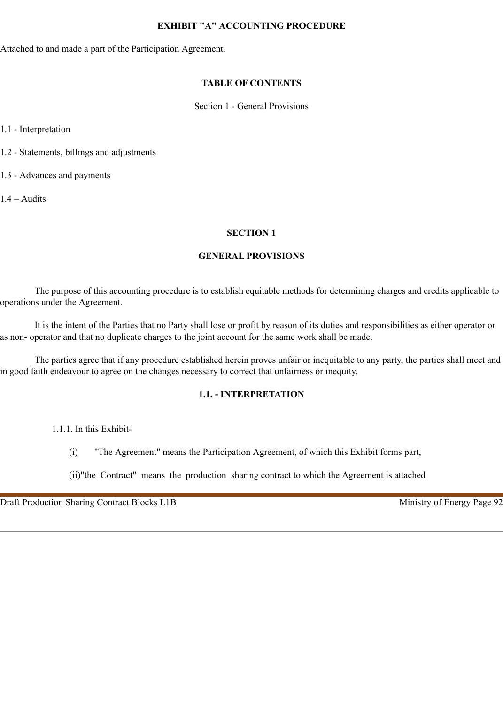#### **EXHIBIT "A" ACCOUNTING PROCEDURE**

Attached to and made a part of the Participation Agreement.

### **TABLE OF CONTENTS**

Section 1 - General Provisions

1.1 - Interpretation

1.2 - Statements, billings and adjustments

1.3 - Advances and payments

1.4 – Audits

### **SECTION 1**

### **GENERAL PROVISIONS**

The purpose of this accounting procedure is to establish equitable methods for determining charges and credits applicable to operations under the Agreement.

It is the intent of the Parties that no Party shall lose or profit by reason of its duties and responsibilities as either operator or as non- operator and that no duplicate charges to the joint account for the same work shall be made.

The parties agree that if any procedure established herein proves unfair or inequitable to any party, the parties shall meet and in good faith endeavour to agree on the changes necessary to correct that unfairness or inequity.

# **1.1. - INTERPRETATION**

1.1.1. In this Exhibit-

(i) "The Agreement" means the Participation Agreement, of which this Exhibit forms part,

(ii)"the Contract" means the production sharing contract to which the Agreement is attached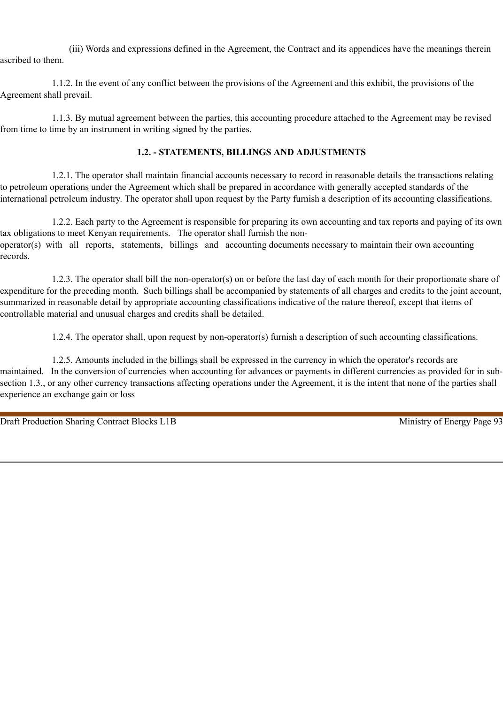(iii) Words and expressions defined in the Agreement, the Contract and its appendices have the meanings therein ascribed to them.

1.1.2. In the event of any conflict between the provisions of the Agreement and this exhibit, the provisions of the Agreement shall prevail.

1.1.3. By mutual agreement between the parties, this accounting procedure attached to the Agreement may be revised from time to time by an instrument in writing signed by the parties.

### **1.2. - STATEMENTS, BILLINGS AND ADJUSTMENTS**

1.2.1. The operator shall maintain financial accounts necessary to record in reasonable details the transactions relating to petroleum operations under the Agreement which shall be prepared in accordance with generally accepted standards of the international petroleum industry. The operator shall upon request by the Party furnish a description of its accounting classifications.

1.2.2. Each party to the Agreement is responsible for preparing its own accounting and tax reports and paying of its own tax obligations to meet Kenyan requirements. The operator shall furnish the nonoperator(s) with all reports, statements, billings and accounting documents necessary to maintain their own accounting records.

1.2.3. The operator shall bill the non-operator(s) on or before the last day of each month for their proportionate share of expenditure for the preceding month. Such billings shall be accompanied by statements of all charges and credits to the joint account, summarized in reasonable detail by appropriate accounting classifications indicative of the nature thereof, except that items of controllable material and unusual charges and credits shall be detailed.

1.2.4. The operator shall, upon request by non-operator(s) furnish a description of such accounting classifications.

1.2.5. Amounts included in the billings shall be expressed in the currency in which the operator's records are maintained. In the conversion of currencies when accounting for advances or payments in different currencies as provided for in subsection 1.3., or any other currency transactions affecting operations under the Agreement, it is the intent that none of the parties shall experience an exchange gain or loss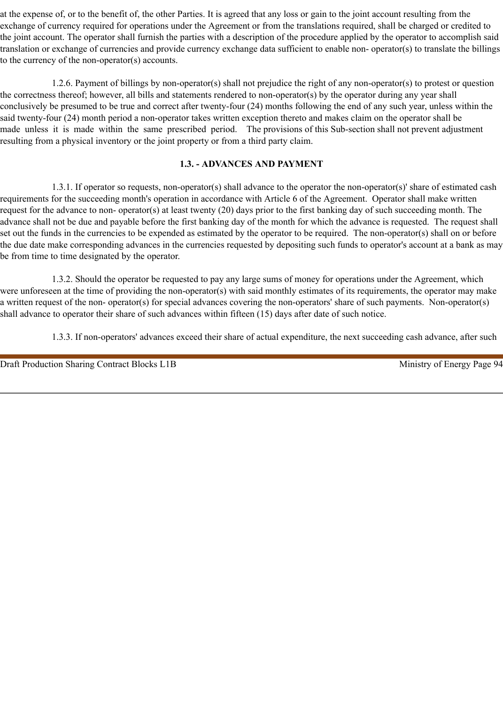at the expense of, or to the benefit of, the other Parties. It is agreed that any loss or gain to the joint account resulting from the exchange of currency required for operations under the Agreement or from the translations required, shall be charged or credited to the joint account. The operator shall furnish the parties with a description of the procedure applied by the operator to accomplish said translation or exchange of currencies and provide currency exchange data sufficient to enable non- operator(s) to translate the billings to the currency of the non-operator(s) accounts.

1.2.6. Payment of billings by non-operator(s) shall not prejudice the right of any non-operator(s) to protest or question the correctness thereof; however, all bills and statements rendered to non-operator(s) by the operator during any year shall conclusively be presumed to be true and correct after twenty-four (24) months following the end of any such year, unless within the said twenty-four (24) month period a non-operator takes written exception thereto and makes claim on the operator shall be made unless it is made within the same prescribed period. The provisions of this Sub-section shall not prevent adjustment resulting from a physical inventory or the joint property or from a third party claim.

# **1.3. - ADVANCES AND PAYMENT**

1.3.1. If operator so requests, non-operator(s) shall advance to the operator the non-operator(s)' share of estimated cash requirements for the succeeding month's operation in accordance with Article 6 of the Agreement. Operator shall make written request for the advance to non- operator(s) at least twenty (20) days prior to the first banking day of such succeeding month. The advance shall not be due and payable before the first banking day of the month for which the advance is requested. The request shall set out the funds in the currencies to be expended as estimated by the operator to be required. The non-operator(s) shall on or before the due date make corresponding advances in the currencies requested by depositing such funds to operator's account at a bank as may be from time to time designated by the operator.

1.3.2. Should the operator be requested to pay any large sums of money for operations under the Agreement, which were unforeseen at the time of providing the non-operator(s) with said monthly estimates of its requirements, the operator may make a written request of the non- operator(s) for special advances covering the non-operators' share of such payments. Non-operator(s) shall advance to operator their share of such advances within fifteen (15) days after date of such notice.

1.3.3. If non-operators' advances exceed their share of actual expenditure, the next succeeding cash advance, after such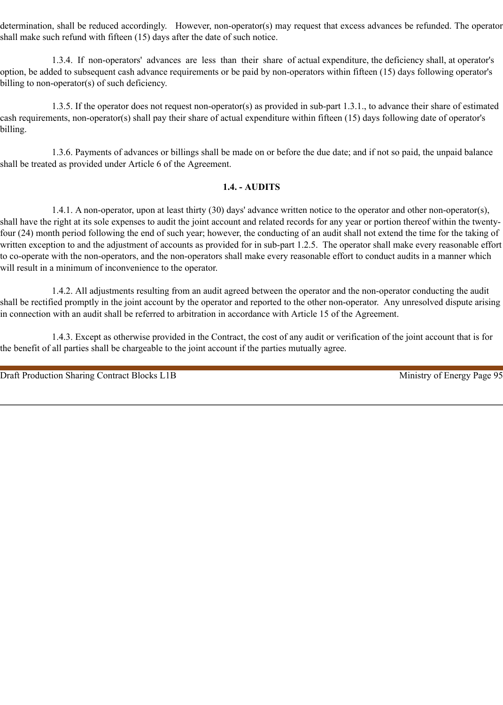determination, shall be reduced accordingly. However, non-operator(s) may request that excess advances be refunded. The operator shall make such refund with fifteen (15) days after the date of such notice.

1.3.4. If non-operators' advances are less than their share of actual expenditure, the deficiency shall, at operator's option, be added to subsequent cash advance requirements or be paid by non-operators within fifteen (15) days following operator's billing to non-operator(s) of such deficiency.

1.3.5. If the operator does not request non-operator(s) as provided in sub-part 1.3.1., to advance their share of estimated cash requirements, non-operator(s) shall pay their share of actual expenditure within fifteen (15) days following date of operator's billing.

1.3.6. Payments of advances or billings shall be made on or before the due date; and if not so paid, the unpaid balance shall be treated as provided under Article 6 of the Agreement.

### **1.4. - AUDITS**

1.4.1. A non-operator, upon at least thirty (30) days' advance written notice to the operator and other non-operator(s), shall have the right at its sole expenses to audit the joint account and related records for any year or portion thereof within the twentyfour (24) month period following the end of such year; however, the conducting of an audit shall not extend the time for the taking of written exception to and the adjustment of accounts as provided for in sub-part 1.2.5. The operator shall make every reasonable effort to co-operate with the non-operators, and the non-operators shall make every reasonable effort to conduct audits in a manner which will result in a minimum of inconvenience to the operator.

1.4.2. All adjustments resulting from an audit agreed between the operator and the non-operator conducting the audit shall be rectified promptly in the joint account by the operator and reported to the other non-operator. Any unresolved dispute arising in connection with an audit shall be referred to arbitration in accordance with Article 15 of the Agreement.

1.4.3. Except as otherwise provided in the Contract, the cost of any audit or verification of the joint account that is for the benefit of all parties shall be chargeable to the joint account if the parties mutually agree.